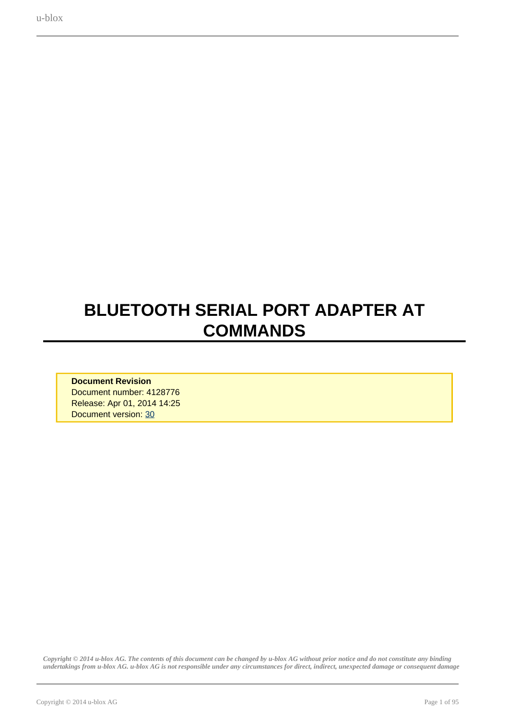# <span id="page-0-0"></span>**BLUETOOTH SERIAL PORT ADAPTER AT COMMANDS**

**Document Revision** Document number: 4128776 Release: Apr 01, 2014 14:25 Document version: [30](#page-0-0)

*Copyright © 2014 u-blox AG. The contents of this document can be changed by u-blox AG without prior notice and do not constitute any binding undertakings from u-blox AG. u-blox AG is not responsible under any circumstances for direct, indirect, unexpected damage or consequent damage*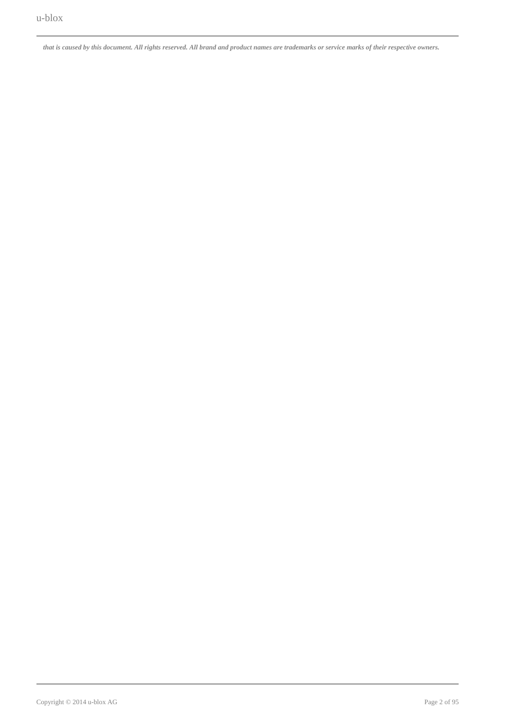*that is caused by this document. All rights reserved. All brand and product names are trademarks or service marks of their respective owners.*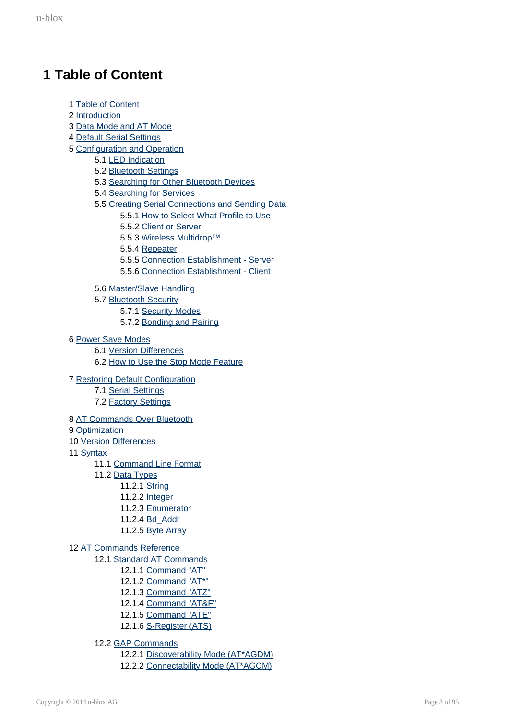# <span id="page-2-0"></span>**1 Table of Content**

- 1 [Table of Content](#page-2-0)
- 2 [Introduction](#page-4-0)
- 3 [Data Mode and AT Mode](#page-4-1)
- 4 [Default Serial Settings](#page-5-0)
- 5 [Configuration and Operation](#page-5-1)
	- 5.1 [LED Indication](#page-5-2)
	- 5.2 [Bluetooth Settings](#page-6-0)
	- 5.3 [Searching for Other Bluetooth Devices](#page-6-1)
	- 5.4 [Searching for Services](#page-6-2)
	- 5.5 [Creating Serial Connections and Sending Data](#page-6-3)
		- 5.5.1 [How to Select What Profile to Use](#page-6-4)
		- 5.5.2 [Client or Server](#page-6-5)
		- 5.5.3 [Wireless Multidrop™](#page-6-6)
		- 5.5.4 [Repeater](#page-7-0)
		- 5.5.5 [Connection Establishment Server](#page-7-1)
		- 5.5.6 [Connection Establishment Client](#page-7-2)
	- 5.6 [Master/Slave Handling](#page-7-3)
	- 5.7 [Bluetooth Security](#page-8-0)
		- 5.7.1 [Security Modes](#page-9-0)
		- 5.7.2 [Bonding and Pairing](#page-10-0)
- 6 [Power Save Modes](#page-10-1)
	- 6.1 [Version Differences](#page-13-0)
	- 6.2 [How to Use the Stop Mode Feature](#page-11-0)
- 7 [Restoring Default Configuration](#page-11-1)
	- 7.1 [Serial Settings](#page-11-2)
	- 7.2 [Factory Settings](#page-11-3)
- 8 [AT Commands Over Bluetooth](#page-12-0)
- 9 [Optimization](#page-13-1)
- 10 [Version Differences](#page-13-0)
- 11 [Syntax](#page-13-2)
	- 11.1 [Command Line Format](#page-13-3)
	- 11.2 [Data Types](#page-13-4)
		- 11.2.1 [String](#page-14-0)
		- 11.2.2 [Integer](#page-14-1)
		- 11.2.3 [Enumerator](#page-14-2)
		- 11.2.4 [Bd\\_Addr](#page-14-3)
		- 11.2.5 [Byte Array](#page-14-4)

### 12 [AT Commands Reference](#page-14-5)

- 12.1 [Standard AT Commands](#page-14-6)
	- 12.1.1 [Command "AT"](#page-15-0)
	- 12.1.2 Command "AT\*
	- 12.1.3 [Command "ATZ"](#page-15-1)
	- 12.1.4 [Command "AT&F"](#page-16-0)
	- 12.1.5 [Command "ATE"](#page-16-1)
	- 12.1.6 [S-Register \(ATS\)](#page-17-0)
	- 12.2 [GAP Commands](#page-20-0)
		- 12.2.1 [Discoverability Mode \(AT\\*AGDM\)](#page-20-1)
		- 12.2.2 [Connectability Mode \(AT\\*AGCM\)](#page-21-0)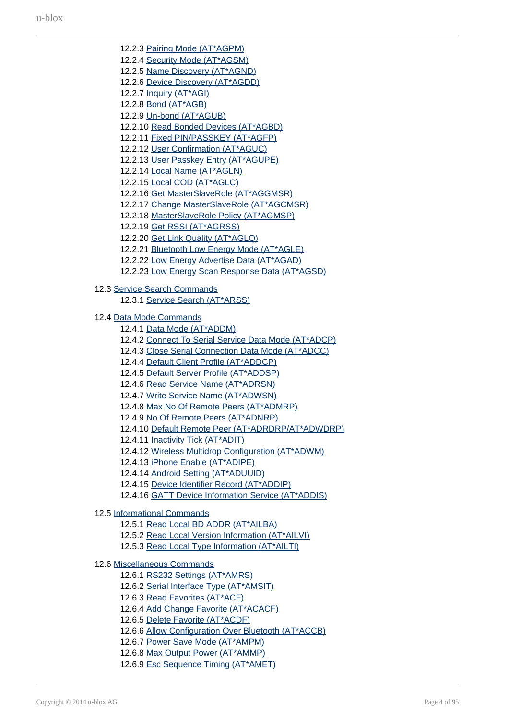12.2.3 [Pairing Mode \(AT\\*AGPM\)](#page-21-1) 12.2.4 [Security Mode \(AT\\*AGSM\)](#page-22-0) 12.2.5 [Name Discovery \(AT\\*AGND\)](#page-24-0) 12.2.6 [Device Discovery \(AT\\*AGDD\)](#page-25-0) 12.2.7 [Inquiry \(AT\\*AGI\)](#page-26-0) 12.2.8 [Bond \(AT\\*AGB\)](#page-28-0) 12.2.9 [Un-bond \(AT\\*AGUB\)](#page-29-0) 12.2.10 [Read Bonded Devices \(AT\\*AGBD\)](#page-29-1) 12.2.11 [Fixed PIN/PASSKEY \(AT\\*AGFP\)](#page-30-0) 12.2.12 [User Confirmation \(AT\\*AGUC\)](#page-32-0) 12.2.13 [User Passkey Entry \(AT\\*AGUPE\)](#page-32-1) 12.2.14 [Local Name \(AT\\*AGLN\)](#page-33-0) 12.2.15 [Local COD \(AT\\*AGLC\)](#page-34-0) 12.2.16 [Get MasterSlaveRole \(AT\\*AGGMSR\)](#page-35-0) 12.2.17 [Change MasterSlaveRole \(AT\\*AGCMSR\)](#page-35-1) 12.2.18 [MasterSlaveRole Policy \(AT\\*AGMSP\)](#page-36-0) 12.2.19 [Get RSSI \(AT\\*AGRSS\)](#page-37-0) 12.2.20 [Get Link Quality \(AT\\*AGLQ\)](#page-37-1) 12.2.21 [Bluetooth Low Energy Mode \(AT\\*AGLE\)](#page-38-0) 12.2.22 [Low Energy Advertise Data \(AT\\*AGAD\)](#page-39-0) 12.2.23 [Low Energy Scan Response Data \(AT\\*AGSD\)](#page-41-0) 12.3 [Service Search Commands](#page-42-0) 12.3.1 [Service Search \(AT\\*ARSS\)](#page-42-1) 12.4 [Data Mode Commands](#page-45-0) 12.4.1 [Data Mode \(AT\\*ADDM\)](#page-45-1) 12.4.2 [Connect To Serial Service Data Mode \(AT\\*ADCP\)](#page-46-0) 12.4.3 [Close Serial Connection Data Mode \(AT\\*ADCC\)](#page-47-0) 12.4.4 [Default Client Profile \(AT\\*ADDCP\)](#page-48-0) 12.4.5 [Default Server Profile \(AT\\*ADDSP\)](#page-49-0) 12.4.6 [Read Service Name \(AT\\*ADRSN\)](#page-51-0) 12.4.7 [Write Service Name \(AT\\*ADWSN\)](#page-51-1) 12.4.8 [Max No Of Remote Peers \(AT\\*ADMRP\)](#page-52-0) 12.4.9 [No Of Remote Peers \(AT\\*ADNRP\)](#page-53-0) 12.4.10 [Default Remote Peer \(AT\\*ADRDRP/AT\\*ADWDRP\)](#page-54-0) 12.4.11 [Inactivity Tick \(AT\\*ADIT\)](#page-57-0) 12.4.12 [Wireless Multidrop Configuration \(AT\\*ADWM\)](#page-58-0) 12.4.13 [iPhone Enable \(AT\\*ADIPE\)](#page-59-0) 12.4.14 [Android Setting \(AT\\*ADUUID\)](#page-60-0) 12.4.15 [Device Identifier Record \(AT\\*ADDIP\)](#page-62-0) 12.4.16 [GATT Device Information Service \(AT\\*ADDIS\)](#page-63-0) 12.5 [Informational Commands](#page-64-0) 12.5.1 [Read Local BD ADDR \(AT\\*AILBA\)](#page-64-1) 12.5.2 [Read Local Version Information \(AT\\*AILVI\)](#page-64-2) 12.5.3 [Read Local Type Information \(AT\\*AILTI\)](#page-65-0) 12.6 [Miscellaneous Commands](#page-66-0) 12.6.1 [RS232 Settings \(AT\\*AMRS\)](#page-66-1) 12.6.2 [Serial Interface Type \(AT\\*AMSIT\)](#page-68-0) 12.6.3 [Read Favorites \(AT\\*ACF\)](#page-69-0) 12.6.4 [Add Change Favorite \(AT\\*ACACF\)](#page-70-0) 12.6.5 [Delete Favorite \(AT\\*ACDF\)](#page-70-1) 12.6.6 [Allow Configuration Over Bluetooth \(AT\\*ACCB\)](#page-71-0) 12.6.7 [Power Save Mode \(AT\\*AMPM\)](#page-72-0) 12.6.8 [Max Output Power \(AT\\*AMMP\)](#page-73-0)

12.6.9 [Esc Sequence Timing \(AT\\*AMET\)](#page-74-0)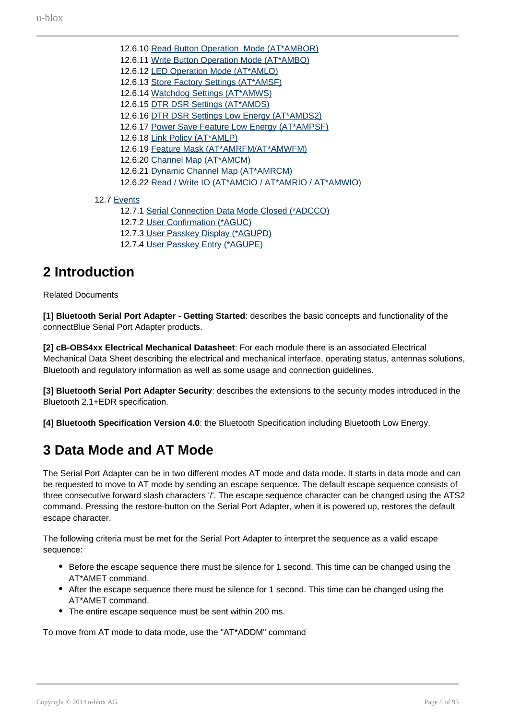- 12.6.10 Read Button Operation Mode (AT\*AMBOR) 12.6.11 [Write Button Operation Mode \(AT\\*AMBO\)](#page-75-1) 12.6.12 [LED Operation Mode \(AT\\*AMLO\)](#page-76-0) 12.6.13 [Store Factory Settings \(AT\\*AMSF\)](#page-77-0) 12.6.14 [Watchdog Settings \(AT\\*AMWS\)](#page-77-1) 12.6.15 [DTR DSR Settings \(AT\\*AMDS\)](#page-79-0) 12.6.16 [DTR DSR Settings Low Energy \(AT\\*AMDS2\)](#page-80-0) 12.6.17 [Power Save Feature Low Energy \(AT\\*AMPSF\)](#page-82-0) 12.6.18 [Link Policy \(AT\\*AMLP\)](#page-83-0) 12.6.19 [Feature Mask \(AT\\*AMRFM/AT\\*AMWFM\)](#page-86-0) 12.6.20 [Channel Map \(AT\\*AMCM\)](#page-88-0) 12.6.21 [Dynamic Channel Map \(AT\\*AMRCM\)](#page-89-0) 12.6.22 [Read / Write IO \(AT\\*AMCIO / AT\\*AMRIO / AT\\*AMWIO\)](#page-90-0)
- 12.7 [Events](#page-92-0)
	- 12.7.1 [Serial Connection Data Mode Closed \(\\*ADCCO\)](#page-92-1)
	- 12.7.2 [User Confirmation \(\\*AGUC\)](#page-92-2)
	- 12.7.3 [User Passkey Display \(\\*AGUPD\)](#page-93-0)
	- 12.7.4 [User Passkey Entry \(\\*AGUPE\)](#page-93-1)

# <span id="page-4-0"></span>**2 Introduction**

Related Documents

**[1] Bluetooth Serial Port Adapter - Getting Started**: describes the basic concepts and functionality of the connectBlue Serial Port Adapter products.

**[2] cB-OBS4xx Electrical Mechanical Datasheet**: For each module there is an associated Electrical Mechanical Data Sheet describing the electrical and mechanical interface, operating status, antennas solutions, Bluetooth and regulatory information as well as some usage and connection guidelines.

**[3] Bluetooth Serial Port Adapter Security**: describes the extensions to the security modes introduced in the Bluetooth 2.1+EDR specification.

**[4] Bluetooth Specification Version 4.0**: the Bluetooth Specification including Bluetooth Low Energy.

# <span id="page-4-1"></span>**3 Data Mode and AT Mode**

The Serial Port Adapter can be in two different modes AT mode and data mode. It starts in data mode and can be requested to move to AT mode by sending an escape sequence. The default escape sequence consists of three consecutive forward slash characters '/'. The escape sequence character can be changed using the ATS2 command. Pressing the restore-button on the Serial Port Adapter, when it is powered up, restores the default escape character.

The following criteria must be met for the Serial Port Adapter to interpret the sequence as a valid escape sequence:

- Before the escape sequence there must be silence for 1 second. This time can be changed using the AT\*AMET command.
- After the escape sequence there must be silence for 1 second. This time can be changed using the AT\*AMET command.
- The entire escape sequence must be sent within 200 ms.

To move from AT mode to data mode, use the "AT\*ADDM" command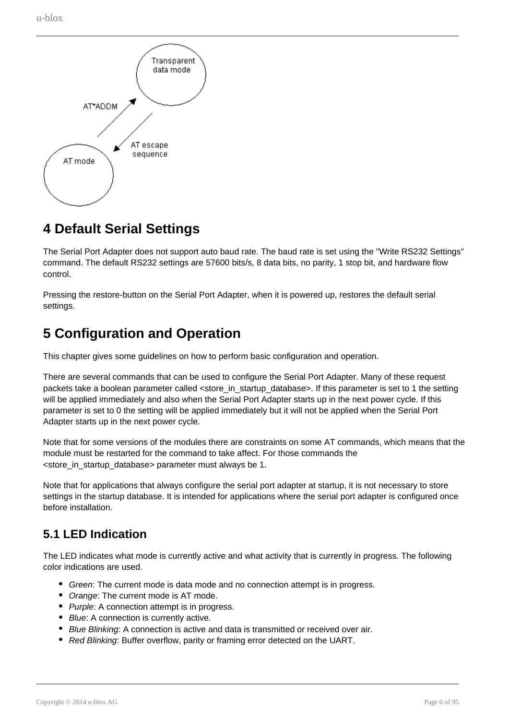

# <span id="page-5-0"></span>**4 Default Serial Settings**

The Serial Port Adapter does not support auto baud rate. The baud rate is set using the "Write RS232 Settings" command. The default RS232 settings are 57600 bits/s, 8 data bits, no parity, 1 stop bit, and hardware flow control.

Pressing the restore-button on the Serial Port Adapter, when it is powered up, restores the default serial settings.

# <span id="page-5-1"></span>**5 Configuration and Operation**

This chapter gives some guidelines on how to perform basic configuration and operation.

There are several commands that can be used to configure the Serial Port Adapter. Many of these request packets take a boolean parameter called <store\_in\_startup\_database>. If this parameter is set to 1 the setting will be applied immediately and also when the Serial Port Adapter starts up in the next power cycle. If this parameter is set to 0 the setting will be applied immediately but it will not be applied when the Serial Port Adapter starts up in the next power cycle.

Note that for some versions of the modules there are constraints on some AT commands, which means that the module must be restarted for the command to take affect. For those commands the <store\_in\_startup\_database> parameter must always be 1.

Note that for applications that always configure the serial port adapter at startup, it is not necessary to store settings in the startup database. It is intended for applications where the serial port adapter is configured once before installation.

# <span id="page-5-2"></span>**5.1 LED Indication**

The LED indicates what mode is currently active and what activity that is currently in progress. The following color indications are used.

- Green: The current mode is data mode and no connection attempt is in progress.
- Orange: The current mode is AT mode.
- Purple: A connection attempt is in progress.
- Blue: A connection is currently active.
- **Blue Blinking:** A connection is active and data is transmitted or received over air.
- Red Blinking: Buffer overflow, parity or framing error detected on the UART.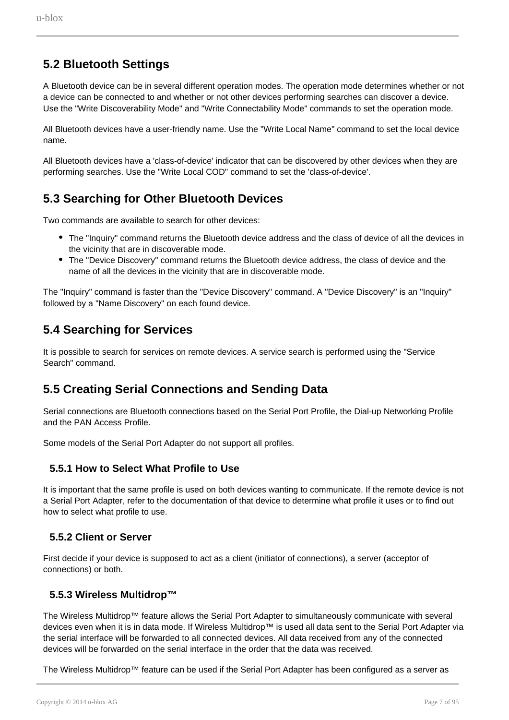# <span id="page-6-0"></span>**5.2 Bluetooth Settings**

A Bluetooth device can be in several different operation modes. The operation mode determines whether or not a device can be connected to and whether or not other devices performing searches can discover a device. Use the "Write Discoverability Mode" and "Write Connectability Mode" commands to set the operation mode.

All Bluetooth devices have a user-friendly name. Use the "Write Local Name" command to set the local device name.

All Bluetooth devices have a 'class-of-device' indicator that can be discovered by other devices when they are performing searches. Use the "Write Local COD" command to set the 'class-of-device'.

## <span id="page-6-1"></span>**5.3 Searching for Other Bluetooth Devices**

Two commands are available to search for other devices:

- The "Inquiry" command returns the Bluetooth device address and the class of device of all the devices in the vicinity that are in discoverable mode.
- The "Device Discovery" command returns the Bluetooth device address, the class of device and the name of all the devices in the vicinity that are in discoverable mode.

The "Inquiry" command is faster than the "Device Discovery" command. A "Device Discovery" is an "Inquiry" followed by a "Name Discovery" on each found device.

## <span id="page-6-2"></span>**5.4 Searching for Services**

It is possible to search for services on remote devices. A service search is performed using the "Service Search" command.

## <span id="page-6-3"></span>**5.5 Creating Serial Connections and Sending Data**

Serial connections are Bluetooth connections based on the Serial Port Profile, the Dial-up Networking Profile and the PAN Access Profile.

Some models of the Serial Port Adapter do not support all profiles.

### **5.5.1 How to Select What Profile to Use**

<span id="page-6-4"></span>It is important that the same profile is used on both devices wanting to communicate. If the remote device is not a Serial Port Adapter, refer to the documentation of that device to determine what profile it uses or to find out how to select what profile to use.

### **5.5.2 Client or Server**

<span id="page-6-5"></span>First decide if your device is supposed to act as a client (initiator of connections), a server (acceptor of connections) or both.

### **5.5.3 Wireless Multidrop™**

<span id="page-6-6"></span>The Wireless Multidrop™ feature allows the Serial Port Adapter to simultaneously communicate with several devices even when it is in data mode. If Wireless Multidrop™ is used all data sent to the Serial Port Adapter via the serial interface will be forwarded to all connected devices. All data received from any of the connected devices will be forwarded on the serial interface in the order that the data was received.

The Wireless Multidrop™ feature can be used if the Serial Port Adapter has been configured as a server as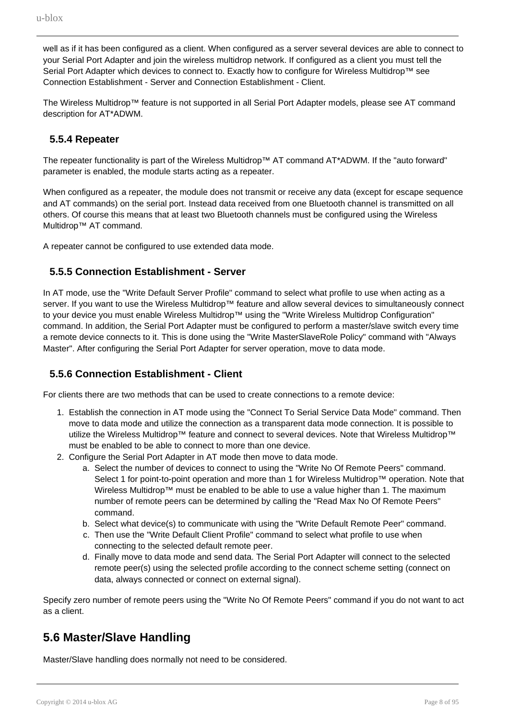well as if it has been configured as a client. When configured as a server several devices are able to connect to your Serial Port Adapter and join the wireless multidrop network. If configured as a client you must tell the Serial Port Adapter which devices to connect to. Exactly how to configure for Wireless Multidrop™ see Connection Establishment - Server and Connection Establishment - Client.

The Wireless Multidrop™ feature is not supported in all Serial Port Adapter models, please see AT command description for AT\*ADWM.

### **5.5.4 Repeater**

<span id="page-7-0"></span>The repeater functionality is part of the Wireless Multidrop™ AT command AT\*ADWM. If the "auto forward" parameter is enabled, the module starts acting as a repeater.

When configured as a repeater, the module does not transmit or receive any data (except for escape sequence and AT commands) on the serial port. Instead data received from one Bluetooth channel is transmitted on all others. Of course this means that at least two Bluetooth channels must be configured using the Wireless Multidrop™ AT command.

A repeater cannot be configured to use extended data mode.

### **5.5.5 Connection Establishment - Server**

<span id="page-7-1"></span>In AT mode, use the "Write Default Server Profile" command to select what profile to use when acting as a server. If you want to use the Wireless Multidrop™ feature and allow several devices to simultaneously connect to your device you must enable Wireless Multidrop™ using the "Write Wireless Multidrop Configuration" command. In addition, the Serial Port Adapter must be configured to perform a master/slave switch every time a remote device connects to it. This is done using the "Write MasterSlaveRole Policy" command with "Always Master". After configuring the Serial Port Adapter for server operation, move to data mode.

### <span id="page-7-2"></span>**5.5.6 Connection Establishment - Client**

For clients there are two methods that can be used to create connections to a remote device:

- 1. Establish the connection in AT mode using the "Connect To Serial Service Data Mode" command. Then move to data mode and utilize the connection as a transparent data mode connection. It is possible to utilize the Wireless Multidrop™ feature and connect to several devices. Note that Wireless Multidrop™ must be enabled to be able to connect to more than one device.
- 2. Configure the Serial Port Adapter in AT mode then move to data mode.
	- a. Select the number of devices to connect to using the "Write No Of Remote Peers" command. Select 1 for point-to-point operation and more than 1 for Wireless Multidrop™ operation. Note that Wireless Multidrop™ must be enabled to be able to use a value higher than 1. The maximum number of remote peers can be determined by calling the "Read Max No Of Remote Peers" command.
	- b. Select what device(s) to communicate with using the "Write Default Remote Peer" command.
	- c. Then use the "Write Default Client Profile" command to select what profile to use when connecting to the selected default remote peer.
	- d. Finally move to data mode and send data. The Serial Port Adapter will connect to the selected remote peer(s) using the selected profile according to the connect scheme setting (connect on data, always connected or connect on external signal).

Specify zero number of remote peers using the "Write No Of Remote Peers" command if you do not want to act as a client.

## <span id="page-7-3"></span>**5.6 Master/Slave Handling**

Master/Slave handling does normally not need to be considered.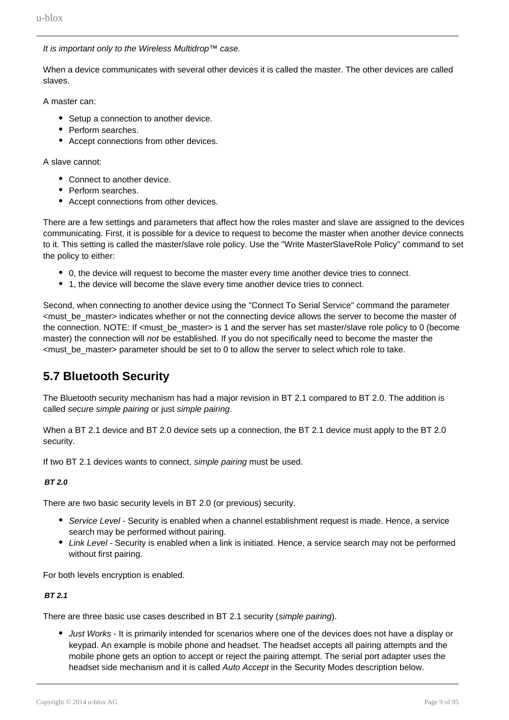It is important only to the Wireless Multidrop™ case.

When a device communicates with several other devices it is called the master. The other devices are called slaves.

A master can:

- Setup a connection to another device.
- Perform searches.
- Accept connections from other devices.

A slave cannot:

- Connect to another device.
- Perform searches
- Accept connections from other devices.

There are a few settings and parameters that affect how the roles master and slave are assigned to the devices communicating. First, it is possible for a device to request to become the master when another device connects to it. This setting is called the master/slave role policy. Use the "Write MasterSlaveRole Policy" command to set the policy to either:

- 0, the device will request to become the master every time another device tries to connect.
- 1, the device will become the slave every time another device tries to connect.

Second, when connecting to another device using the "Connect To Serial Service" command the parameter <must\_be\_master> indicates whether or not the connecting device allows the server to become the master of the connection. NOTE: If <must\_be\_master> is 1 and the server has set master/slave role policy to 0 (become master) the connection will not be established. If you do not specifically need to become the master the <must\_be\_master> parameter should be set to 0 to allow the server to select which role to take.

## <span id="page-8-0"></span>**5.7 Bluetooth Security**

The Bluetooth security mechanism has had a major revision in BT 2.1 compared to BT 2.0. The addition is called secure simple pairing or just simple pairing.

When a BT 2.1 device and BT 2.0 device sets up a connection, the BT 2.1 device must apply to the BT 2.0 security.

If two BT 2.1 devices wants to connect, simple pairing must be used.

#### **BT 2.0**

There are two basic security levels in BT 2.0 (or previous) security.

- Service Level Security is enabled when a channel establishment request is made. Hence, a service search may be performed without pairing.
- Link Level Security is enabled when a link is initiated. Hence, a service search may not be performed without first pairing.

For both levels encryption is enabled.

### **BT 2.1**

There are three basic use cases described in BT 2.1 security (simple pairing).

• Just Works - It is primarily intended for scenarios where one of the devices does not have a display or keypad. An example is mobile phone and headset. The headset accepts all pairing attempts and the mobile phone gets an option to accept or reject the pairing attempt. The serial port adapter uses the headset side mechanism and it is called Auto Accept in the Security Modes description below.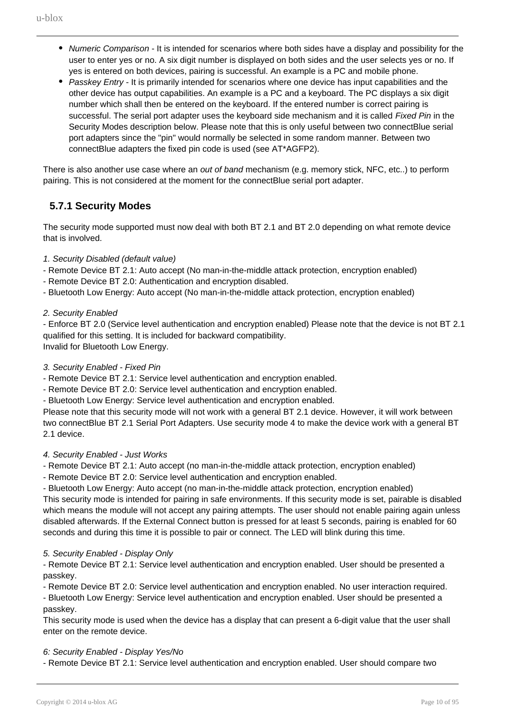- Numeric Comparison It is intended for scenarios where both sides have a display and possibility for the user to enter yes or no. A six digit number is displayed on both sides and the user selects yes or no. If yes is entered on both devices, pairing is successful. An example is a PC and mobile phone.
- Passkey Entry It is primarily intended for scenarios where one device has input capabilities and the other device has output capabilities. An example is a PC and a keyboard. The PC displays a six digit number which shall then be entered on the keyboard. If the entered number is correct pairing is successful. The serial port adapter uses the keyboard side mechanism and it is called Fixed Pin in the Security Modes description below. Please note that this is only useful between two connectBlue serial port adapters since the "pin" would normally be selected in some random manner. Between two connectBlue adapters the fixed pin code is used (see AT\*AGFP2).

There is also another use case where an *out of band* mechanism (e.g. memory stick, NFC, etc..) to perform pairing. This is not considered at the moment for the connectBlue serial port adapter.

### **5.7.1 Security Modes**

<span id="page-9-0"></span>The security mode supported must now deal with both BT 2.1 and BT 2.0 depending on what remote device that is involved.

### 1. Security Disabled (default value)

- Remote Device BT 2.1: Auto accept (No man-in-the-middle attack protection, encryption enabled)
- Remote Device BT 2.0: Authentication and encryption disabled.
- Bluetooth Low Energy: Auto accept (No man-in-the-middle attack protection, encryption enabled)

### 2. Security Enabled

- Enforce BT 2.0 (Service level authentication and encryption enabled) Please note that the device is not BT 2.1 qualified for this setting. It is included for backward compatibility. Invalid for Bluetooth Low Energy.

#### 3. Security Enabled - Fixed Pin

- Remote Device BT 2.1: Service level authentication and encryption enabled.

- Remote Device BT 2.0: Service level authentication and encryption enabled.
- Bluetooth Low Energy: Service level authentication and encryption enabled.

Please note that this security mode will not work with a general BT 2.1 device. However, it will work between two connectBlue BT 2.1 Serial Port Adapters. Use security mode 4 to make the device work with a general BT 2.1 device.

#### 4. Security Enabled - Just Works

- Remote Device BT 2.1: Auto accept (no man-in-the-middle attack protection, encryption enabled)

- Remote Device BT 2.0: Service level authentication and encryption enabled.

- Bluetooth Low Energy: Auto accept (no man-in-the-middle attack protection, encryption enabled)

This security mode is intended for pairing in safe environments. If this security mode is set, pairable is disabled which means the module will not accept any pairing attempts. The user should not enable pairing again unless disabled afterwards. If the External Connect button is pressed for at least 5 seconds, pairing is enabled for 60 seconds and during this time it is possible to pair or connect. The LED will blink during this time.

#### 5. Security Enabled - Display Only

- Remote Device BT 2.1: Service level authentication and encryption enabled. User should be presented a passkey.

- Remote Device BT 2.0: Service level authentication and encryption enabled. No user interaction required.

- Bluetooth Low Energy: Service level authentication and encryption enabled. User should be presented a passkey.

This security mode is used when the device has a display that can present a 6-digit value that the user shall enter on the remote device.

#### 6: Security Enabled - Display Yes/No

- Remote Device BT 2.1: Service level authentication and encryption enabled. User should compare two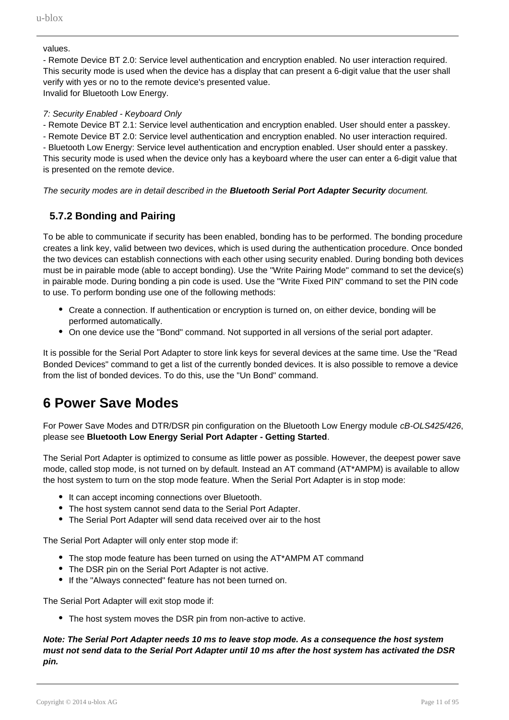values.

- Remote Device BT 2.0: Service level authentication and encryption enabled. No user interaction required. This security mode is used when the device has a display that can present a 6-digit value that the user shall verify with yes or no to the remote device's presented value. Invalid for Bluetooth Low Energy.

### 7: Security Enabled - Keyboard Only

- Remote Device BT 2.1: Service level authentication and encryption enabled. User should enter a passkey.

- Remote Device BT 2.0: Service level authentication and encryption enabled. No user interaction required. - Bluetooth Low Energy: Service level authentication and encryption enabled. User should enter a passkey. This security mode is used when the device only has a keyboard where the user can enter a 6-digit value that is presented on the remote device.

The security modes are in detail described in the **Bluetooth Serial Port Adapter Security** document.

### **5.7.2 Bonding and Pairing**

<span id="page-10-0"></span>To be able to communicate if security has been enabled, bonding has to be performed. The bonding procedure creates a link key, valid between two devices, which is used during the authentication procedure. Once bonded the two devices can establish connections with each other using security enabled. During bonding both devices must be in pairable mode (able to accept bonding). Use the "Write Pairing Mode" command to set the device(s) in pairable mode. During bonding a pin code is used. Use the "Write Fixed PIN" command to set the PIN code to use. To perform bonding use one of the following methods:

- Create a connection. If authentication or encryption is turned on, on either device, bonding will be performed automatically.
- On one device use the "Bond" command. Not supported in all versions of the serial port adapter.

It is possible for the Serial Port Adapter to store link keys for several devices at the same time. Use the "Read Bonded Devices" command to get a list of the currently bonded devices. It is also possible to remove a device from the list of bonded devices. To do this, use the "Un Bond" command.

# <span id="page-10-1"></span>**6 Power Save Modes**

For Power Save Modes and DTR/DSR pin configuration on the Bluetooth Low Energy module cB-OLS425/426, please see **Bluetooth Low Energy Serial Port Adapter - Getting Started**.

The Serial Port Adapter is optimized to consume as little power as possible. However, the deepest power save mode, called stop mode, is not turned on by default. Instead an AT command (AT\*AMPM) is available to allow the host system to turn on the stop mode feature. When the Serial Port Adapter is in stop mode:

- It can accept incoming connections over Bluetooth.
- The host system cannot send data to the Serial Port Adapter.
- The Serial Port Adapter will send data received over air to the host

The Serial Port Adapter will only enter stop mode if:

- The stop mode feature has been turned on using the AT\*AMPM AT command
- The DSR pin on the Serial Port Adapter is not active.
- If the "Always connected" feature has not been turned on.

The Serial Port Adapter will exit stop mode if:

• The host system moves the DSR pin from non-active to active.

### **Note: The Serial Port Adapter needs 10 ms to leave stop mode. As a consequence the host system must not send data to the Serial Port Adapter until 10 ms after the host system has activated the DSR pin.**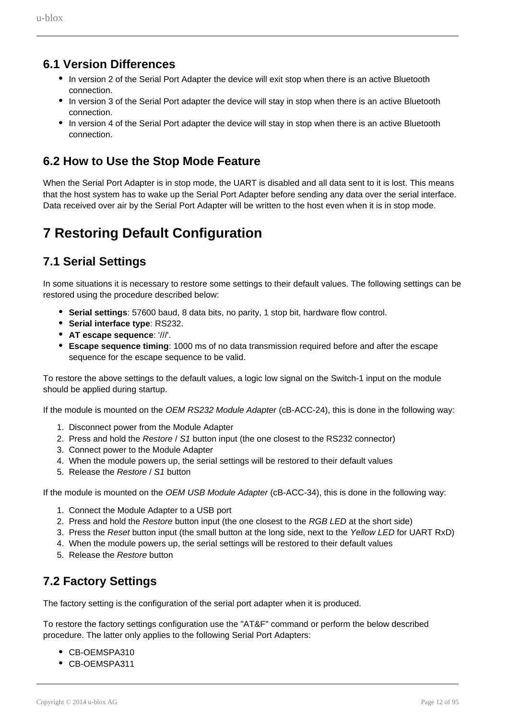### **6.1 Version Differences**

- In version 2 of the Serial Port Adapter the device will exit stop when there is an active Bluetooth connection.
- In version 3 of the Serial Port adapter the device will stay in stop when there is an active Bluetooth connection.
- In version 4 of the Serial Port adapter the device will stay in stop when there is an active Bluetooth connection.

## <span id="page-11-0"></span>**6.2 How to Use the Stop Mode Feature**

When the Serial Port Adapter is in stop mode, the UART is disabled and all data sent to it is lost. This means that the host system has to wake up the Serial Port Adapter before sending any data over the serial interface. Data received over air by the Serial Port Adapter will be written to the host even when it is in stop mode.

# <span id="page-11-1"></span>**7 Restoring Default Configuration**

## <span id="page-11-2"></span>**7.1 Serial Settings**

In some situations it is necessary to restore some settings to their default values. The following settings can be restored using the procedure described below:

- **Serial settings**: 57600 baud, 8 data bits, no parity, 1 stop bit, hardware flow control.
- **Serial interface type: RS232.**
- **AT escape sequence**: '///'.
- **Escape sequence timing**: 1000 ms of no data transmission required before and after the escape sequence for the escape sequence to be valid.

To restore the above settings to the default values, a logic low signal on the Switch-1 input on the module should be applied during startup.

If the module is mounted on the OEM RS232 Module Adapter (cB-ACC-24), this is done in the following way:

- 1. Disconnect power from the Module Adapter
- 2. Press and hold the Restore / S1 button input (the one closest to the RS232 connector)
- 3. Connect power to the Module Adapter
- 4. When the module powers up, the serial settings will be restored to their default values
- 5. Release the Restore / S1 button

If the module is mounted on the OEM USB Module Adapter (cB-ACC-34), this is done in the following way:

- 1. Connect the Module Adapter to a USB port
- 2. Press and hold the Restore button input (the one closest to the RGB LED at the short side)
- 3. Press the Reset button input (the small button at the long side, next to the Yellow LED for UART RxD)
- 4. When the module powers up, the serial settings will be restored to their default values
- 5. Release the Restore button

## <span id="page-11-3"></span>**7.2 Factory Settings**

The factory setting is the configuration of the serial port adapter when it is produced.

To restore the factory settings configuration use the "AT&F" command or perform the below described procedure. The latter only applies to the following Serial Port Adapters:

- CB-OEMSPA310
- CB-OEMSPA311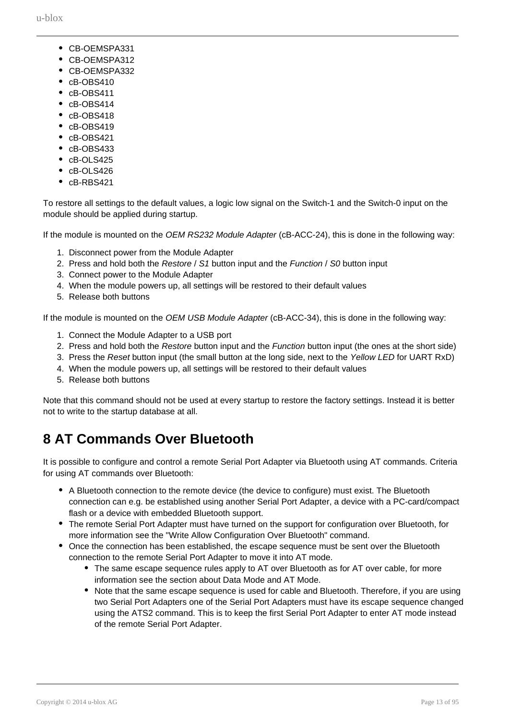- CB-OEMSPA331
- CB-OEMSPA312
- CB-OEMSPA332
- $\cdot$   $cB$ -OBS410
- cB-OBS411
- cB-OBS414
- cB-OBS418
- cB-OBS419
- $\cdot$   $c$ B-OBS421
- $\bullet$   $c$ B-OBS433
- cB-OLS425
- cB-OLS426
- cB-RBS421

To restore all settings to the default values, a logic low signal on the Switch-1 and the Switch-0 input on the module should be applied during startup.

If the module is mounted on the OEM RS232 Module Adapter (cB-ACC-24), this is done in the following way:

- 1. Disconnect power from the Module Adapter
- 2. Press and hold both the Restore / S1 button input and the Function / S0 button input
- 3. Connect power to the Module Adapter
- 4. When the module powers up, all settings will be restored to their default values
- 5. Release both buttons

If the module is mounted on the OEM USB Module Adapter (cB-ACC-34), this is done in the following way:

- 1. Connect the Module Adapter to a USB port
- 2. Press and hold both the Restore button input and the Function button input (the ones at the short side)
- 3. Press the Reset button input (the small button at the long side, next to the Yellow LED for UART RxD)
- 4. When the module powers up, all settings will be restored to their default values
- 5. Release both buttons

Note that this command should not be used at every startup to restore the factory settings. Instead it is better not to write to the startup database at all.

# <span id="page-12-0"></span>**8 AT Commands Over Bluetooth**

It is possible to configure and control a remote Serial Port Adapter via Bluetooth using AT commands. Criteria for using AT commands over Bluetooth:

- A Bluetooth connection to the remote device (the device to configure) must exist. The Bluetooth connection can e.g. be established using another Serial Port Adapter, a device with a PC-card/compact flash or a device with embedded Bluetooth support.
- The remote Serial Port Adapter must have turned on the support for configuration over Bluetooth, for more information see the "Write Allow Configuration Over Bluetooth" command.
- Once the connection has been established, the escape sequence must be sent over the Bluetooth connection to the remote Serial Port Adapter to move it into AT mode.
	- The same escape sequence rules apply to AT over Bluetooth as for AT over cable, for more information see the section about Data Mode and AT Mode.
	- Note that the same escape sequence is used for cable and Bluetooth. Therefore, if you are using two Serial Port Adapters one of the Serial Port Adapters must have its escape sequence changed using the ATS2 command. This is to keep the first Serial Port Adapter to enter AT mode instead of the remote Serial Port Adapter.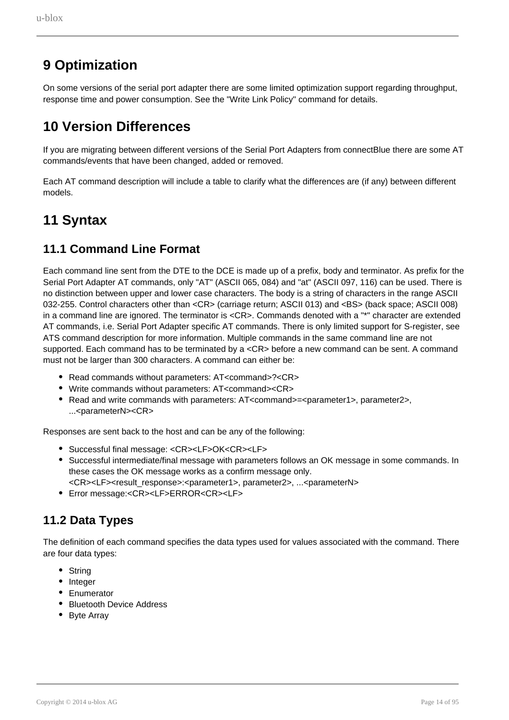# <span id="page-13-1"></span>**9 Optimization**

On some versions of the serial port adapter there are some limited optimization support regarding throughput, response time and power consumption. See the "Write Link Policy" command for details.

# <span id="page-13-0"></span>**10 Version Differences**

If you are migrating between different versions of the Serial Port Adapters from connectBlue there are some AT commands/events that have been changed, added or removed.

Each AT command description will include a table to clarify what the differences are (if any) between different models.

# <span id="page-13-2"></span>**11 Syntax**

## <span id="page-13-3"></span>**11.1 Command Line Format**

Each command line sent from the DTE to the DCE is made up of a prefix, body and terminator. As prefix for the Serial Port Adapter AT commands, only "AT" (ASCII 065, 084) and "at" (ASCII 097, 116) can be used. There is no distinction between upper and lower case characters. The body is a string of characters in the range ASCII 032-255. Control characters other than <CR> (carriage return; ASCII 013) and <BS> (back space; ASCII 008) in a command line are ignored. The terminator is <CR>. Commands denoted with a "\*" character are extended AT commands, i.e. Serial Port Adapter specific AT commands. There is only limited support for S-register, see ATS command description for more information. Multiple commands in the same command line are not supported. Each command has to be terminated by a <CR> before a new command can be sent. A command must not be larger than 300 characters. A command can either be:

- Read commands without parameters: AT<command>?<CR>
- Write commands without parameters: AT<command><CR>
- Read and write commands with parameters: AT<command>=<parameter1>, parameter2>, ...<parameterN><CR>

Responses are sent back to the host and can be any of the following:

- Successful final message: <CR><LF>OK<CR><LF>
- Successful intermediate/final message with parameters follows an OK message in some commands. In these cases the OK message works as a confirm message only.
- <CR><LF><result\_response>:<parameter1>, parameter2>, ...<parameterN>
- Error message:<CR><LF>ERROR<CR><LF>

## <span id="page-13-4"></span>**11.2 Data Types**

The definition of each command specifies the data types used for values associated with the command. There are four data types:

- String
- Integer
- Enumerator
- Bluetooth Device Address
- Byte Array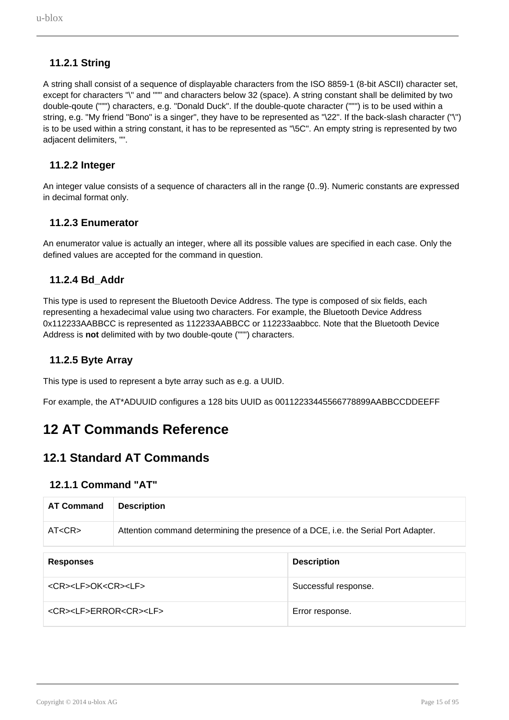### **11.2.1 String**

<span id="page-14-0"></span>A string shall consist of a sequence of displayable characters from the ISO 8859-1 (8-bit ASCII) character set, except for characters "\" and """ and characters below 32 (space). A string constant shall be delimited by two double-qoute (""") characters, e.g. "Donald Duck". If the double-quote character (""") is to be used within a string, e.g. "My friend "Bono" is a singer", they have to be represented as "\22". If the back-slash character ("\") is to be used within a string constant, it has to be represented as "\5C". An empty string is represented by two adjacent delimiters, "".

### **11.2.2 Integer**

<span id="page-14-1"></span>An integer value consists of a sequence of characters all in the range {0..9}. Numeric constants are expressed in decimal format only.

### **11.2.3 Enumerator**

<span id="page-14-2"></span>An enumerator value is actually an integer, where all its possible values are specified in each case. Only the defined values are accepted for the command in question.

### **11.2.4 Bd\_Addr**

<span id="page-14-3"></span>This type is used to represent the Bluetooth Device Address. The type is composed of six fields, each representing a hexadecimal value using two characters. For example, the Bluetooth Device Address 0x112233AABBCC is represented as 112233AABBCC or 112233aabbcc. Note that the Bluetooth Device Address is **not** delimited with by two double-qoute (""") characters.

### **11.2.5 Byte Array**

<span id="page-14-4"></span>This type is used to represent a byte array such as e.g. a UUID.

For example, the AT\*ADUUID configures a 128 bits UUID as 00112233445566778899AABBCCDDEEFF

## <span id="page-14-5"></span>**12 AT Commands Reference**

### <span id="page-14-6"></span>**12.1 Standard AT Commands**

### **12.1.1 Command "AT"**

| <b>AT Command</b> | <b>Description</b>                                                                 |
|-------------------|------------------------------------------------------------------------------------|
| AT <cr></cr>      | Attention command determining the presence of a DCE, i.e. the Serial Port Adapter. |

| <b>Responses</b>                          | <b>Description</b>   |
|-------------------------------------------|----------------------|
| <cr><lf>OK<cr><lf></lf></cr></lf></cr>    | Successful response. |
| <cr><lf>ERROR<cr><lf></lf></cr></lf></cr> | Error response.      |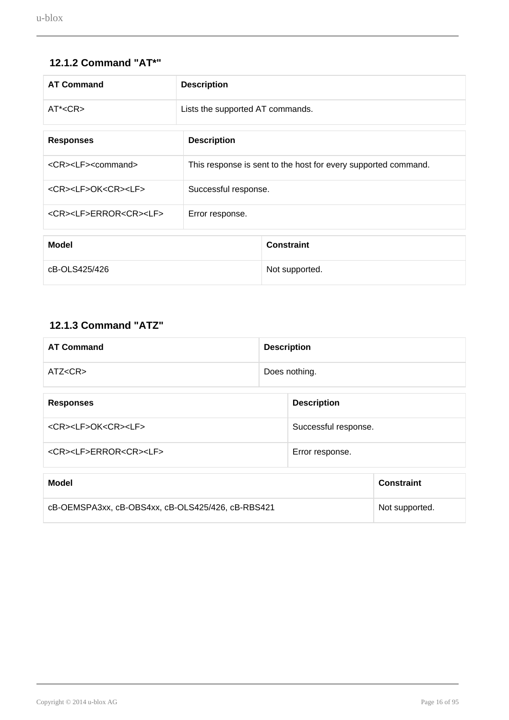## **12.1.2 Command "AT\*"**

<span id="page-15-0"></span>

| <b>AT Command</b>                                               | <b>Description</b>               |                                                                |
|-----------------------------------------------------------------|----------------------------------|----------------------------------------------------------------|
| AT <sub>AC</sub> CR <sub>&gt;</sub>                             | Lists the supported AT commands. |                                                                |
| <b>Description</b><br><b>Responses</b>                          |                                  |                                                                |
| <cr><lf><command/></lf></cr>                                    |                                  | This response is sent to the host for every supported command. |
| <cr><lf>OK<cr><lf><br/>Successful response.</lf></cr></lf></cr> |                                  |                                                                |
| <cr><lf>ERROR<cr><lf></lf></cr></lf></cr>                       | Error response.                  |                                                                |
| <b>Model</b>                                                    |                                  | <b>Constraint</b>                                              |
| cB-OLS425/426                                                   |                                  | Not supported.                                                 |

## **12.1.3 Command "ATZ"**

<span id="page-15-1"></span>

| <b>AT Command</b>                                 |  | <b>Description</b>   |                   |  |
|---------------------------------------------------|--|----------------------|-------------------|--|
| ATZ < CR                                          |  | Does nothing.        |                   |  |
| <b>Responses</b>                                  |  | <b>Description</b>   |                   |  |
| <cr><lf>OK<cr><lf></lf></cr></lf></cr>            |  | Successful response. |                   |  |
| <cr><lf>ERROR<cr><lf></lf></cr></lf></cr>         |  | Error response.      |                   |  |
| <b>Model</b>                                      |  |                      | <b>Constraint</b> |  |
| cB-OEMSPA3xx, cB-OBS4xx, cB-OLS425/426, cB-RBS421 |  |                      | Not supported.    |  |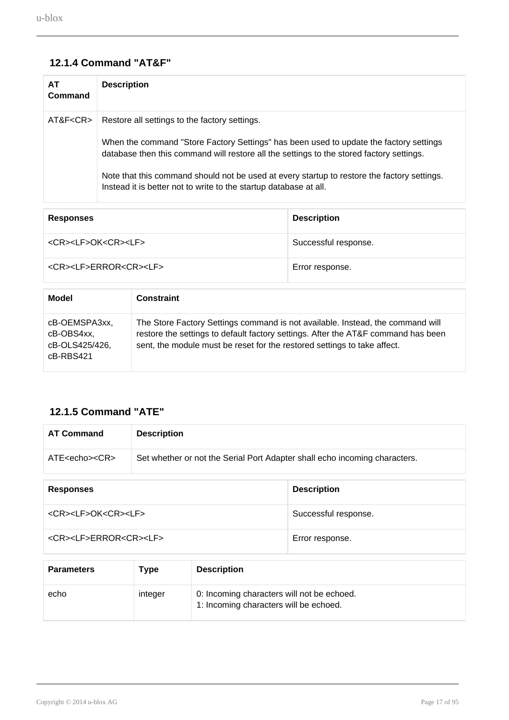## **12.1.4 Command "AT&F"**

<span id="page-16-0"></span>

| AT.<br>Command | <b>Description</b>                                                                                                                                                                                                                                                                                                                                                                                      |
|----------------|---------------------------------------------------------------------------------------------------------------------------------------------------------------------------------------------------------------------------------------------------------------------------------------------------------------------------------------------------------------------------------------------------------|
| AT&F <cr></cr> | Restore all settings to the factory settings.<br>When the command "Store Factory Settings" has been used to update the factory settings<br>database then this command will restore all the settings to the stored factory settings.<br>Note that this command should not be used at every startup to restore the factory settings.<br>Instead it is better not to write to the startup database at all. |

| <b>Responses</b>                          | <b>Description</b>   |
|-------------------------------------------|----------------------|
| <cr><lf>OK<cr><lf></lf></cr></lf></cr>    | Successful response. |
| <cr><lf>ERROR<cr><lf></lf></cr></lf></cr> | Error response.      |

| Model                                                      | <b>Constraint</b>                                                                                                                                                                                                                               |
|------------------------------------------------------------|-------------------------------------------------------------------------------------------------------------------------------------------------------------------------------------------------------------------------------------------------|
| cB-OEMSPA3xx,<br>cB-OBS4xx.<br>cB-OLS425/426,<br>cB-RBS421 | The Store Factory Settings command is not available. Instead, the command will<br>restore the settings to default factory settings. After the AT&F command has been<br>sent, the module must be reset for the restored settings to take affect. |

## **12.1.5 Command "ATE"**

<span id="page-16-1"></span>

| <b>AT Command</b>                                                                              | <b>Description</b> |                      |
|------------------------------------------------------------------------------------------------|--------------------|----------------------|
| ATE < echos < CR<br>Set whether or not the Serial Port Adapter shall echo incoming characters. |                    |                      |
|                                                                                                |                    |                      |
| <b>Responses</b>                                                                               |                    | <b>Description</b>   |
| <cr><lf>OK<cr><lf></lf></cr></lf></cr>                                                         |                    | Successful response. |
| <cr><lf>ERROR<cr><lf></lf></cr></lf></cr>                                                      |                    | Error response.      |

| <b>Parameters</b> | Type    | <b>Description</b>                                                                   |
|-------------------|---------|--------------------------------------------------------------------------------------|
| echo              | integer | 0: Incoming characters will not be echoed.<br>1: Incoming characters will be echoed. |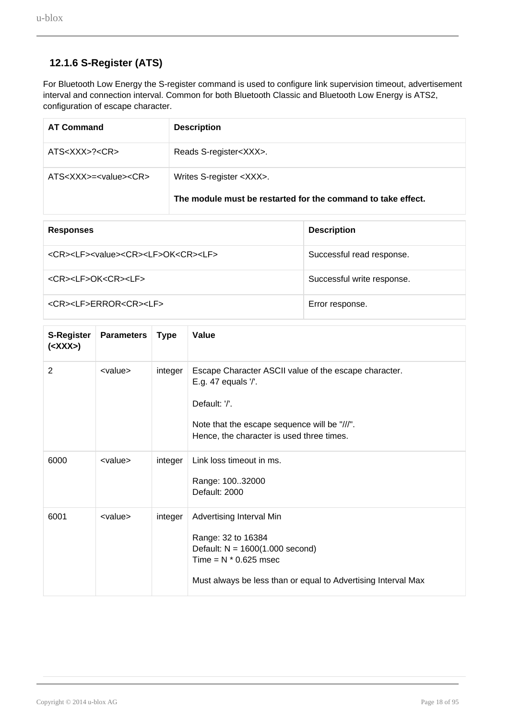## **12.1.6 S-Register (ATS)**

<span id="page-17-0"></span>For Bluetooth Low Energy the S-register command is used to configure link supervision timeout, advertisement interval and connection interval. Common for both Bluetooth Classic and Bluetooth Low Energy is ATS2, configuration of escape character.

| <b>AT Command</b>          | <b>Description</b>                                                                              |
|----------------------------|-------------------------------------------------------------------------------------------------|
| ATS < XXX > ? < CR >       | Reads S-register <xxx>.</xxx>                                                                   |
| $ATS>=<$ value $><$ CR $>$ | Writes S-register <xxx>.<br/>The module must be restarted for the command to take effect.</xxx> |

| <b>Responses</b>                                                        | <b>Description</b>         |
|-------------------------------------------------------------------------|----------------------------|
| <cr><lf><value><cr><lf>OK<cr><lf></lf></cr></lf></cr></value></lf></cr> | Successful read response.  |
| <cr><lf>OK<cr><lf></lf></cr></lf></cr>                                  | Successful write response. |
| <cr><lf>ERROR<cr><lf></lf></cr></lf></cr>                               | Error response.            |

| <b>S-Register</b><br>$(<\mathsf{XXX}$ | <b>Parameters</b> | <b>Type</b> | Value                                                                                                                                                                                      |
|---------------------------------------|-------------------|-------------|--------------------------------------------------------------------------------------------------------------------------------------------------------------------------------------------|
| 2                                     | <value></value>   | integer     | Escape Character ASCII value of the escape character.<br>E.g. 47 equals '/'.<br>Default: '/'.<br>Note that the escape sequence will be "///".<br>Hence, the character is used three times. |
| 6000                                  | <value></value>   | integer     | Link loss timeout in ms.<br>Range: 10032000<br>Default: 2000                                                                                                                               |
| 6001                                  | <value></value>   | integer     | Advertising Interval Min<br>Range: 32 to 16384<br>Default: $N = 1600(1.000$ second)<br>Time = $N * 0.625$ msec<br>Must always be less than or equal to Advertising Interval Max            |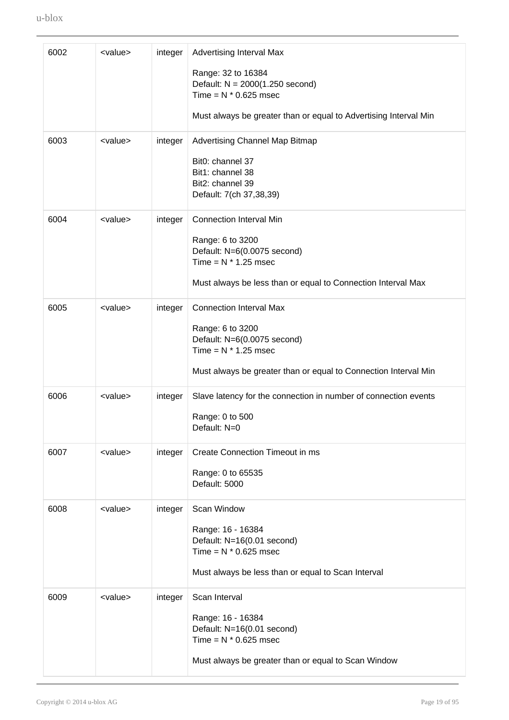| 6002 | <value></value> | integer | Advertising Interval Max<br>Range: 32 to 16384<br>Default: $N = 2000(1.250$ second)<br>Time = $N * 0.625$ msec<br>Must always be greater than or equal to Advertising Interval Min |
|------|-----------------|---------|------------------------------------------------------------------------------------------------------------------------------------------------------------------------------------|
| 6003 | <value></value> | integer | Advertising Channel Map Bitmap<br>Bit0: channel 37<br>Bit1: channel 38<br>Bit2: channel 39<br>Default: 7(ch 37,38,39)                                                              |
| 6004 | <value></value> | integer | <b>Connection Interval Min</b><br>Range: 6 to 3200<br>Default: N=6(0.0075 second)<br>Time = $N * 1.25$ msec<br>Must always be less than or equal to Connection Interval Max        |
| 6005 | <value></value> | integer | <b>Connection Interval Max</b><br>Range: 6 to 3200<br>Default: N=6(0.0075 second)<br>Time = $N * 1.25$ msec<br>Must always be greater than or equal to Connection Interval Min     |
| 6006 | <value></value> | integer | Slave latency for the connection in number of connection events<br>Range: 0 to 500<br>Default: N=0                                                                                 |
| 6007 | <value></value> | integer | Create Connection Timeout in ms<br>Range: 0 to 65535<br>Default: 5000                                                                                                              |
| 6008 | <value></value> | integer | Scan Window<br>Range: 16 - 16384<br>Default: N=16(0.01 second)<br>Time = $N * 0.625$ msec<br>Must always be less than or equal to Scan Interval                                    |
| 6009 | <value></value> | integer | Scan Interval<br>Range: 16 - 16384<br>Default: N=16(0.01 second)<br>Time = $N * 0.625$ msec<br>Must always be greater than or equal to Scan Window                                 |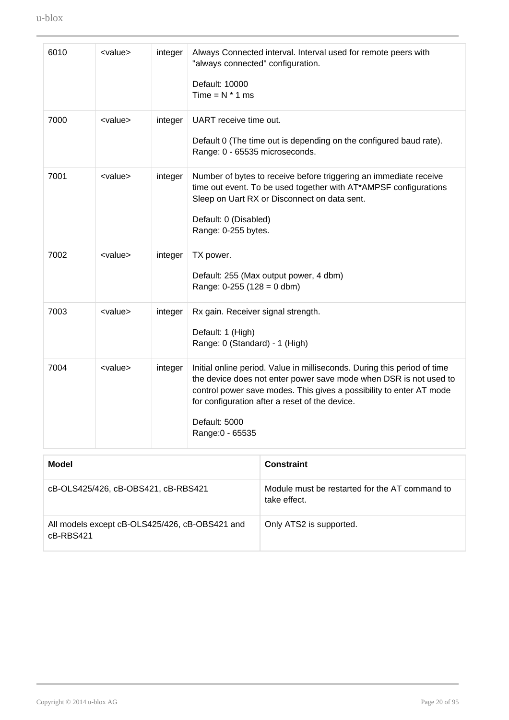| 6010 | <value></value> | integer | Always Connected interval. Interval used for remote peers with<br>"always connected" configuration.<br>Default: 10000<br>Time = $N * 1$ ms                                                                                                                                                                  |
|------|-----------------|---------|-------------------------------------------------------------------------------------------------------------------------------------------------------------------------------------------------------------------------------------------------------------------------------------------------------------|
| 7000 | <value></value> | integer | UART receive time out.<br>Default 0 (The time out is depending on the configured baud rate).<br>Range: 0 - 65535 microseconds.                                                                                                                                                                              |
| 7001 | <value></value> | integer | Number of bytes to receive before triggering an immediate receive<br>time out event. To be used together with AT*AMPSF configurations<br>Sleep on Uart RX or Disconnect on data sent.<br>Default: 0 (Disabled)<br>Range: 0-255 bytes.                                                                       |
| 7002 | <value></value> | integer | TX power.<br>Default: 255 (Max output power, 4 dbm)<br>Range: $0-255$ (128 = 0 dbm)                                                                                                                                                                                                                         |
| 7003 | <value></value> | integer | Rx gain. Receiver signal strength.<br>Default: 1 (High)<br>Range: 0 (Standard) - 1 (High)                                                                                                                                                                                                                   |
| 7004 | <value></value> | integer | Initial online period. Value in milliseconds. During this period of time<br>the device does not enter power save mode when DSR is not used to<br>control power save modes. This gives a possibility to enter AT mode<br>for configuration after a reset of the device.<br>Default: 5000<br>Range: 0 - 65535 |

| Model                                                       | <b>Constraint</b>                                              |
|-------------------------------------------------------------|----------------------------------------------------------------|
| cB-OLS425/426, cB-OBS421, cB-RBS421                         | Module must be restarted for the AT command to<br>take effect. |
| All models except cB-OLS425/426, cB-OBS421 and<br>cB-RBS421 | Only ATS2 is supported.                                        |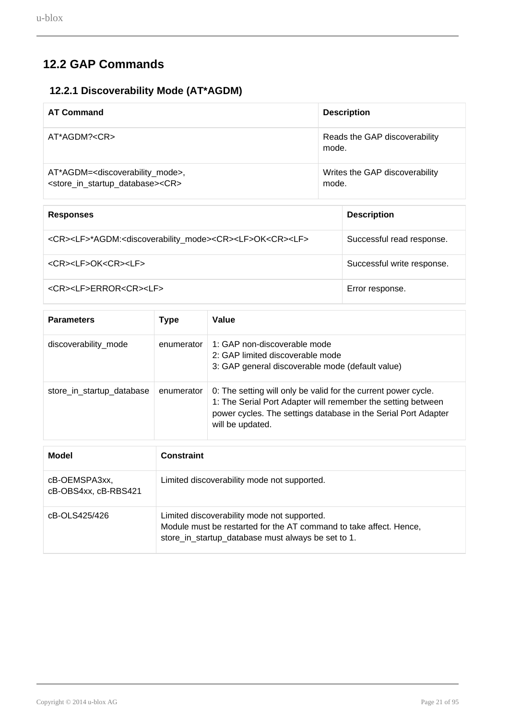# <span id="page-20-0"></span>**12.2 GAP Commands**

## **12.2.1 Discoverability Mode (AT\*AGDM)**

<span id="page-20-1"></span>

| <b>AT Command</b>                                                                                                            | <b>Description</b>                      |
|------------------------------------------------------------------------------------------------------------------------------|-----------------------------------------|
| AT*AGDM? <cr></cr>                                                                                                           | Reads the GAP discoverability<br>mode.  |
| AT*AGDM= <discoverability_mode>,<br/><store_in_startup_database><cr></cr></store_in_startup_database></discoverability_mode> | Writes the GAP discoverability<br>mode. |

| <b>Responses</b>                                                                                            | <b>Description</b>         |
|-------------------------------------------------------------------------------------------------------------|----------------------------|
| <cr><lf>*AGDM:<discoverability_mode><cr><lf>OK<cr><lf></lf></cr></lf></cr></discoverability_mode></lf></cr> | Successful read response.  |
| <cr><lf>OK<cr><lf></lf></cr></lf></cr>                                                                      | Successful write response. |
| <cr><lf>ERROR<cr><lf></lf></cr></lf></cr>                                                                   | Error response.            |

| <b>Parameters</b>         | <b>Type</b> | Value                                                                                                                                                                                                                |
|---------------------------|-------------|----------------------------------------------------------------------------------------------------------------------------------------------------------------------------------------------------------------------|
| discoverability_mode      | enumerator  | 1: GAP non-discoverable mode<br>2: GAP limited discoverable mode<br>3: GAP general discoverable mode (default value)                                                                                                 |
| store_in_startup_database | enumerator  | 0: The setting will only be valid for the current power cycle.<br>1: The Serial Port Adapter will remember the setting between<br>power cycles. The settings database in the Serial Port Adapter<br>will be updated. |

| Model                                 | <b>Constraint</b>                                                                                                                                                       |
|---------------------------------------|-------------------------------------------------------------------------------------------------------------------------------------------------------------------------|
| cB-OEMSPA3xx,<br>cB-OBS4xx, cB-RBS421 | Limited discoverability mode not supported.                                                                                                                             |
| cB-OLS425/426                         | Limited discoverability mode not supported.<br>Module must be restarted for the AT command to take affect. Hence,<br>store_in_startup_database must always be set to 1. |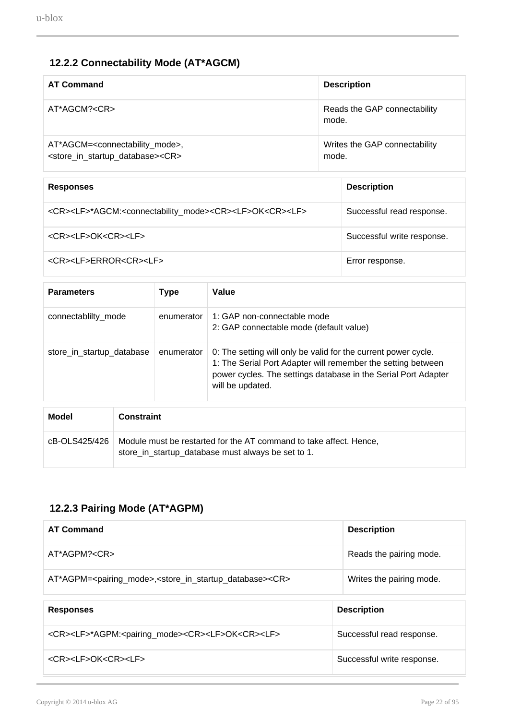# **12.2.2 Connectability Mode (AT\*AGCM)**

<span id="page-21-0"></span>

| <b>AT Command</b>                                                                                                          | <b>Description</b>                     |
|----------------------------------------------------------------------------------------------------------------------------|----------------------------------------|
| AT*AGCM? <cr></cr>                                                                                                         | Reads the GAP connectability<br>mode.  |
| AT*AGCM= <connectability_mode>,<br/><store_in_startup_database><cr></cr></store_in_startup_database></connectability_mode> | Writes the GAP connectability<br>mode. |

| <b>Responses</b>                                                                                          | <b>Description</b>         |
|-----------------------------------------------------------------------------------------------------------|----------------------------|
| <cr><lf>*AGCM:<connectability_mode><cr><lf>OK<cr><lf></lf></cr></lf></cr></connectability_mode></lf></cr> | Successful read response.  |
| <cr><lf>OK<cr><lf></lf></cr></lf></cr>                                                                    | Successful write response. |
| <cr><lf>ERROR<cr><lf></lf></cr></lf></cr>                                                                 | Error response.            |

| <b>Parameters</b>         |         | <b>Type</b> | Value                                                                                                                                                                                                                |
|---------------------------|---------|-------------|----------------------------------------------------------------------------------------------------------------------------------------------------------------------------------------------------------------------|
| connectablilty_mode       |         | enumerator  | 1: GAP non-connectable mode<br>2: GAP connectable mode (default value)                                                                                                                                               |
| store_in_startup_database |         | enumerator  | 0: The setting will only be valid for the current power cycle.<br>1: The Serial Port Adapter will remember the setting between<br>power cycles. The settings database in the Serial Port Adapter<br>will be updated. |
| <b>MA-4-L</b>             | $P = 1$ |             |                                                                                                                                                                                                                      |

| Model         | <b>Constraint</b>                                                                                                        |
|---------------|--------------------------------------------------------------------------------------------------------------------------|
| cB-OLS425/426 | Module must be restarted for the AT command to take affect. Hence,<br>store_in_startup_database must always be set to 1. |

# **12.2.3 Pairing Mode (AT\*AGPM)**

<span id="page-21-1"></span>

| <b>Description</b>         |
|----------------------------|
| Reads the pairing mode.    |
| Writes the pairing mode.   |
|                            |
| <b>Description</b>         |
| Successful read response.  |
| Successful write response. |
|                            |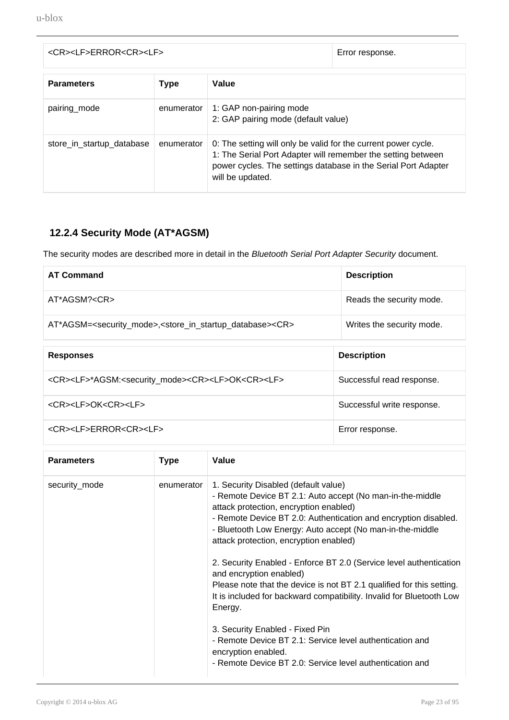| <cr><lf>ERROR<cr><lf></lf></cr></lf></cr> |             |                                                                                                                                                                                                                      | Error response. |
|-------------------------------------------|-------------|----------------------------------------------------------------------------------------------------------------------------------------------------------------------------------------------------------------------|-----------------|
| <b>Parameters</b>                         | <b>Type</b> | Value                                                                                                                                                                                                                |                 |
| pairing_mode                              | enumerator  | 1: GAP non-pairing mode<br>2: GAP pairing mode (default value)                                                                                                                                                       |                 |
| store_in_startup_database                 | enumerator  | 0: The setting will only be valid for the current power cycle.<br>1: The Serial Port Adapter will remember the setting between<br>power cycles. The settings database in the Serial Port Adapter<br>will be updated. |                 |

## **12.2.4 Security Mode (AT\*AGSM)**

<span id="page-22-0"></span>The security modes are described more in detail in the Bluetooth Serial Port Adapter Security document.

| <b>AT Command</b>                                                                                         | <b>Description</b>         |
|-----------------------------------------------------------------------------------------------------------|----------------------------|
| AT*AGSM? <cr></cr>                                                                                        | Reads the security mode.   |
| AT*AGSM= <security_mode>,<store_in_startup_database><cr></cr></store_in_startup_database></security_mode> | Writes the security mode.  |
| <b>Responses</b>                                                                                          | <b>Description</b>         |
|                                                                                                           |                            |
| <cr><lf>*AGSM:<security_mode><cr><lf>OK<cr><lf></lf></cr></lf></cr></security_mode></lf></cr>             | Successful read response.  |
| <cr><lf>OK<cr><lf></lf></cr></lf></cr>                                                                    | Successful write response. |

| <b>Parameters</b> | <b>Type</b> | Value                                                                                                                                                                                                                                                                                                                                                                                                                                                                                                                                                                                                                                                                                                                                                                |
|-------------------|-------------|----------------------------------------------------------------------------------------------------------------------------------------------------------------------------------------------------------------------------------------------------------------------------------------------------------------------------------------------------------------------------------------------------------------------------------------------------------------------------------------------------------------------------------------------------------------------------------------------------------------------------------------------------------------------------------------------------------------------------------------------------------------------|
| security_mode     | enumerator  | 1. Security Disabled (default value)<br>- Remote Device BT 2.1: Auto accept (No man-in-the-middle<br>attack protection, encryption enabled)<br>- Remote Device BT 2.0: Authentication and encryption disabled.<br>- Bluetooth Low Energy: Auto accept (No man-in-the-middle<br>attack protection, encryption enabled)<br>2. Security Enabled - Enforce BT 2.0 (Service level authentication<br>and encryption enabled)<br>Please note that the device is not BT 2.1 qualified for this setting.<br>It is included for backward compatibility. Invalid for Bluetooth Low<br>Energy.<br>3. Security Enabled - Fixed Pin<br>- Remote Device BT 2.1: Service level authentication and<br>encryption enabled.<br>- Remote Device BT 2.0: Service level authentication and |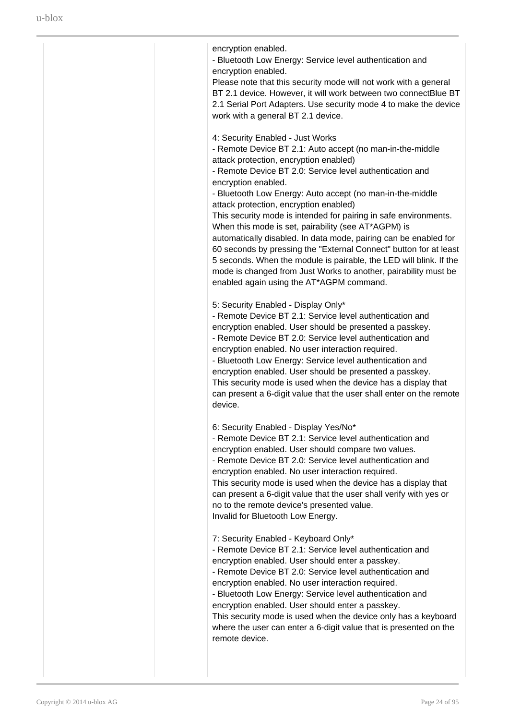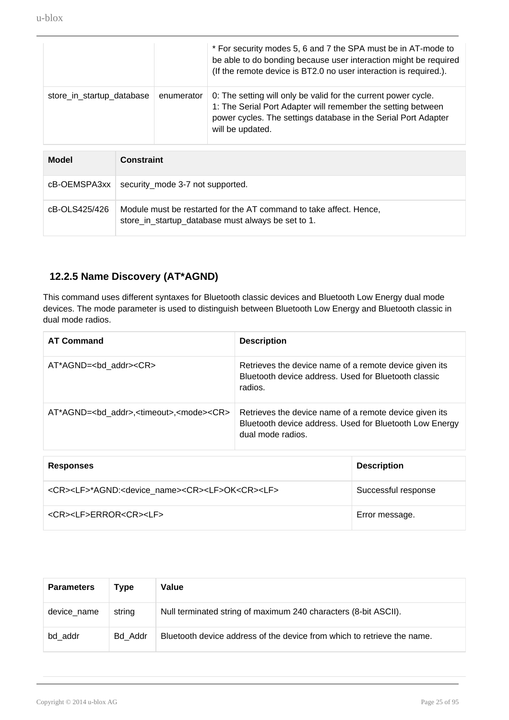|                           |                   |            | * For security modes 5, 6 and 7 the SPA must be in AT-mode to<br>be able to do bonding because user interaction might be required<br>(If the remote device is BT2.0 no user interaction is required.).               |
|---------------------------|-------------------|------------|----------------------------------------------------------------------------------------------------------------------------------------------------------------------------------------------------------------------|
| store_in_startup_database |                   | enumerator | 0: The setting will only be valid for the current power cycle.<br>1: The Serial Port Adapter will remember the setting between<br>power cycles. The settings database in the Serial Port Adapter<br>will be updated. |
| Model                     | <b>Constraint</b> |            |                                                                                                                                                                                                                      |

|               | $c$ B-OEMSPA3xx   security_mode 3-7 not supported.                                                                       |
|---------------|--------------------------------------------------------------------------------------------------------------------------|
| cB-OLS425/426 | Module must be restarted for the AT command to take affect. Hence,<br>store in startup database must always be set to 1. |

### **12.2.5 Name Discovery (AT\*AGND)**

<span id="page-24-0"></span>This command uses different syntaxes for Bluetooth classic devices and Bluetooth Low Energy dual mode devices. The mode parameter is used to distinguish between Bluetooth Low Energy and Bluetooth classic in dual mode radios.

| <b>AT Command</b>                                                     | <b>Description</b>                                                                                                                     |
|-----------------------------------------------------------------------|----------------------------------------------------------------------------------------------------------------------------------------|
| AT*AGND=<br>bd addr> <cr></cr>                                        | Retrieves the device name of a remote device given its<br>Bluetooth device address. Used for Bluetooth classic<br>radios.              |
| AT*AGND= <bd addr="">,<timeout>,<mode><cr></cr></mode></timeout></bd> | Retrieves the device name of a remote device given its<br>Bluetooth device address. Used for Bluetooth Low Energy<br>dual mode radios. |

| <b>Responses</b>                                                                        | <b>Description</b>  |
|-----------------------------------------------------------------------------------------|---------------------|
| <cr><lf>*AGND:<device name=""><cr><lf>OK<cr><lf></lf></cr></lf></cr></device></lf></cr> | Successful response |
| <cr><lf>ERROR<cr><lf></lf></cr></lf></cr>                                               | Error message.      |

| <b>Parameters</b> | Type    | Value                                                                   |
|-------------------|---------|-------------------------------------------------------------------------|
| device name       | string  | Null terminated string of maximum 240 characters (8-bit ASCII).         |
| bd addr           | Bd Addr | Bluetooth device address of the device from which to retrieve the name. |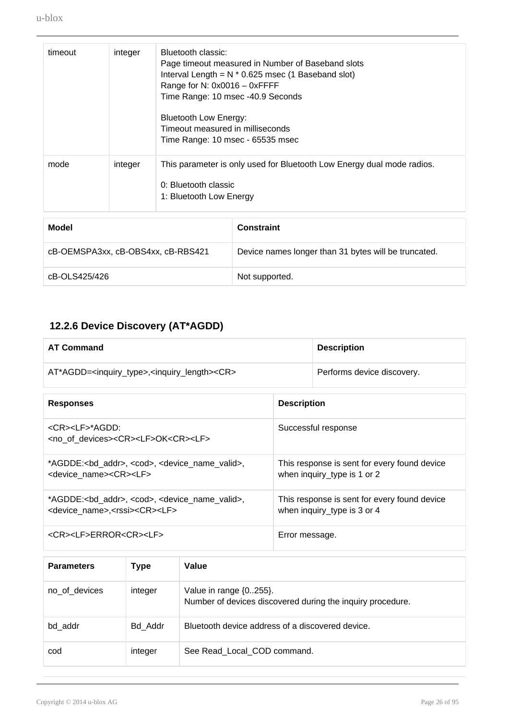| timeout | integer | Bluetooth classic:<br>Page timeout measured in Number of Baseband slots<br>Interval Length = $N * 0.625$ msec (1 Baseband slot)<br>Range for N: 0x0016 - 0xFFFF<br>Time Range: 10 msec -40.9 Seconds<br>Bluetooth Low Energy:<br>Timeout measured in milliseconds<br>Time Range: 10 msec - 65535 msec |
|---------|---------|-------------------------------------------------------------------------------------------------------------------------------------------------------------------------------------------------------------------------------------------------------------------------------------------------------|
| mode    | integer | This parameter is only used for Bluetooth Low Energy dual mode radios.<br>0: Bluetooth classic<br>1: Bluetooth Low Energy                                                                                                                                                                             |
|         |         |                                                                                                                                                                                                                                                                                                       |
|         |         |                                                                                                                                                                                                                                                                                                       |

| Model                              | <b>Constraint</b>                                    |
|------------------------------------|------------------------------------------------------|
| cB-OEMSPA3xx, cB-OBS4xx, cB-RBS421 | Device names longer than 31 bytes will be truncated. |
| cB-OLS425/426                      | Not supported.                                       |

# **12.2.6 Device Discovery (AT\*AGDD)**

<span id="page-25-0"></span>

| <b>AT Command</b>                                                                                                                                |                    | <b>Description</b>                                                          |
|--------------------------------------------------------------------------------------------------------------------------------------------------|--------------------|-----------------------------------------------------------------------------|
| AT*AGDD= <inquiry_type>,<inquiry_length><cr></cr></inquiry_length></inquiry_type>                                                                |                    | Performs device discovery.                                                  |
| <b>Responses</b>                                                                                                                                 | <b>Description</b> |                                                                             |
| <cr><lf>*AGDD:<br/><no devices="" of=""><cr><lf>OK<cr><lf></lf></cr></lf></cr></no></lf></cr>                                                    |                    | Successful response                                                         |
| *AGDDE: <bd_addr>, <cod>, <device_name_valid>,<br/><device name=""><cr><lf></lf></cr></device></device_name_valid></cod></bd_addr>               |                    | This response is sent for every found device<br>when inquiry_type is 1 or 2 |
| *AGDDE: <bd_addr>, <cod>, <device_name_valid>,<br/><device name="">,<rssi><cr><lf></lf></cr></rssi></device></device_name_valid></cod></bd_addr> |                    | This response is sent for every found device<br>when inquiry_type is 3 or 4 |
| <cr><lf>ERROR<cr><lf></lf></cr></lf></cr>                                                                                                        | Error message.     |                                                                             |

| <b>Parameters</b> | Type    | Value                                                                                     |
|-------------------|---------|-------------------------------------------------------------------------------------------|
| no of devices     | integer | Value in range $\{0255\}$ .<br>Number of devices discovered during the inquiry procedure. |
| bd addr           | Bd Addr | Bluetooth device address of a discovered device.                                          |
| cod               | integer | See Read Local COD command.                                                               |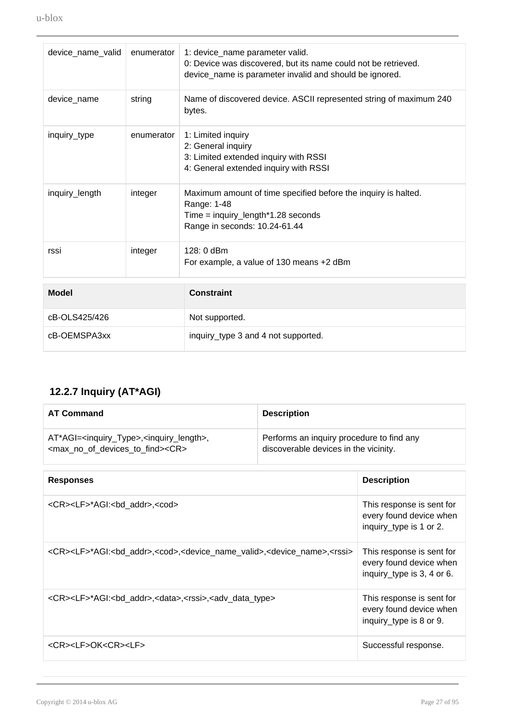| device_name_valid | enumerator | 1: device_name parameter valid.<br>0: Device was discovered, but its name could not be retrieved.<br>device_name is parameter invalid and should be ignored. |
|-------------------|------------|--------------------------------------------------------------------------------------------------------------------------------------------------------------|
| device name       | string     | Name of discovered device. ASCII represented string of maximum 240<br>bytes.                                                                                 |
| inquiry_type      | enumerator | 1: Limited inquiry<br>2: General inquiry<br>3: Limited extended inquiry with RSSI<br>4: General extended inquiry with RSSI                                   |
| inquiry_length    | integer    | Maximum amount of time specified before the inquiry is halted.<br>Range: 1-48<br>Time = inquiry_length*1.28 seconds<br>Range in seconds: 10.24-61.44         |
| rssi              | integer    | $128:0$ dBm<br>For example, a value of 130 means +2 dBm                                                                                                      |
| <b>Model</b>      |            | <b>Constraint</b>                                                                                                                                            |
| cB-OLS425/426     |            | Not supported.                                                                                                                                               |
| cB-OEMSPA3xx      |            | inquiry_type 3 and 4 not supported.                                                                                                                          |

# **12.2.7 Inquiry (AT\*AGI)**

<span id="page-26-0"></span>

| <b>AT Command</b>                                                                                                                                                                                                             | <b>Description</b> |                                                                                    |
|-------------------------------------------------------------------------------------------------------------------------------------------------------------------------------------------------------------------------------|--------------------|------------------------------------------------------------------------------------|
| Performs an inquiry procedure to find any<br>AT*AGI= <inquiry_type>,<inquiry_length>,<br/><max devices="" find="" no="" of="" to=""><cr><br/>discoverable devices in the vicinity.</cr></max></inquiry_length></inquiry_type> |                    |                                                                                    |
| <b>Responses</b>                                                                                                                                                                                                              |                    | <b>Description</b>                                                                 |
| <cr><lf>*AGI:<bd_addr>,<cod></cod></bd_addr></lf></cr>                                                                                                                                                                        |                    | This response is sent for<br>every found device when<br>inquiry_type is 1 or 2.    |
| <cr><lf>*AGI:<bd_addr>,<cod>,<device_name_valid>,<device_name>,<rssi></rssi></device_name></device_name_valid></cod></bd_addr></lf></cr>                                                                                      |                    | This response is sent for<br>every found device when<br>inquiry_type is 3, 4 or 6. |
| <cr><lf>*AGI:<bd_addr>,<data>,<rssi>,<adv_data_type></adv_data_type></rssi></data></bd_addr></lf></cr>                                                                                                                        |                    | This response is sent for<br>every found device when<br>inquiry_type is 8 or 9.    |
| <cr><lf>OK<cr><lf></lf></cr></lf></cr>                                                                                                                                                                                        |                    | Successful response.                                                               |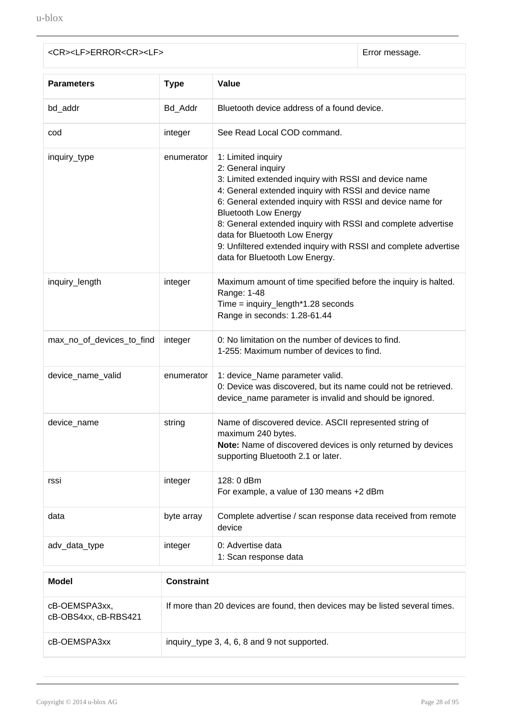| <cr><lf>ERROR<cr><lf></lf></cr></lf></cr> |  |  |
|-------------------------------------------|--|--|
|                                           |  |  |

Error message.

| <b>Parameters</b>                     | <b>Type</b>                                  | Value                                                                                                                                                                                                                                                                                                                                                                                                                                                        |  |
|---------------------------------------|----------------------------------------------|--------------------------------------------------------------------------------------------------------------------------------------------------------------------------------------------------------------------------------------------------------------------------------------------------------------------------------------------------------------------------------------------------------------------------------------------------------------|--|
| bd_addr                               | Bd_Addr                                      | Bluetooth device address of a found device.                                                                                                                                                                                                                                                                                                                                                                                                                  |  |
| cod                                   | integer                                      | See Read Local COD command.                                                                                                                                                                                                                                                                                                                                                                                                                                  |  |
| inquiry_type                          | enumerator                                   | 1: Limited inquiry<br>2: General inquiry<br>3: Limited extended inquiry with RSSI and device name<br>4: General extended inquiry with RSSI and device name<br>6: General extended inquiry with RSSI and device name for<br><b>Bluetooth Low Energy</b><br>8: General extended inquiry with RSSI and complete advertise<br>data for Bluetooth Low Energy<br>9: Unfiltered extended inquiry with RSSI and complete advertise<br>data for Bluetooth Low Energy. |  |
| inquiry_length                        | integer                                      | Maximum amount of time specified before the inquiry is halted.<br>Range: 1-48<br>Time = inquiry_length*1.28 seconds<br>Range in seconds: 1.28-61.44                                                                                                                                                                                                                                                                                                          |  |
| max_no_of_devices_to_find             | integer                                      | 0: No limitation on the number of devices to find.<br>1-255: Maximum number of devices to find.                                                                                                                                                                                                                                                                                                                                                              |  |
| device_name_valid                     | enumerator                                   | 1: device_Name parameter valid.<br>0: Device was discovered, but its name could not be retrieved.<br>device_name parameter is invalid and should be ignored.                                                                                                                                                                                                                                                                                                 |  |
| device_name                           | string                                       | Name of discovered device. ASCII represented string of<br>maximum 240 bytes.<br>Note: Name of discovered devices is only returned by devices<br>supporting Bluetooth 2.1 or later.                                                                                                                                                                                                                                                                           |  |
| rssi                                  | integer                                      | 128: 0 dBm<br>For example, a value of 130 means +2 dBm                                                                                                                                                                                                                                                                                                                                                                                                       |  |
| data                                  | byte array                                   | Complete advertise / scan response data received from remote<br>device                                                                                                                                                                                                                                                                                                                                                                                       |  |
| adv_data_type                         | integer                                      | 0: Advertise data<br>1: Scan response data                                                                                                                                                                                                                                                                                                                                                                                                                   |  |
| <b>Model</b>                          | <b>Constraint</b>                            |                                                                                                                                                                                                                                                                                                                                                                                                                                                              |  |
| cB-OEMSPA3xx,<br>cB-OBS4xx, cB-RBS421 |                                              | If more than 20 devices are found, then devices may be listed several times.                                                                                                                                                                                                                                                                                                                                                                                 |  |
| cB-OEMSPA3xx                          | inquiry_type 3, 4, 6, 8 and 9 not supported. |                                                                                                                                                                                                                                                                                                                                                                                                                                                              |  |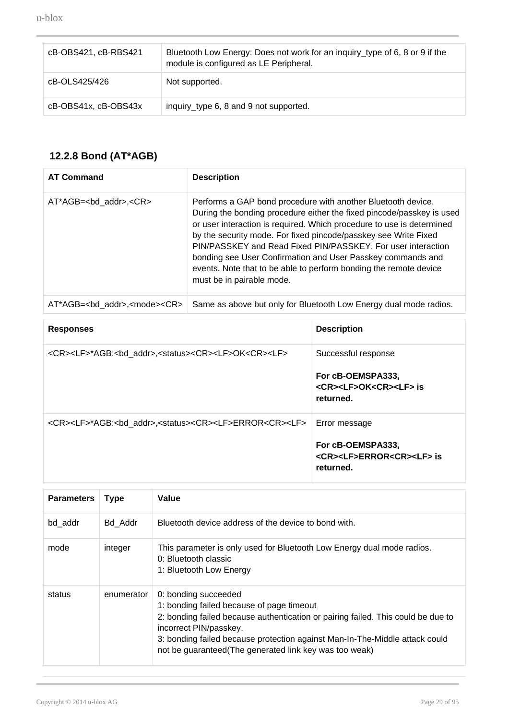| cB-OBS421, cB-RBS421 | Bluetooth Low Energy: Does not work for an inquiry_type of 6, 8 or 9 if the<br>module is configured as LE Peripheral. |
|----------------------|-----------------------------------------------------------------------------------------------------------------------|
| cB-OLS425/426        | Not supported.                                                                                                        |
| cB-OBS41x, cB-OBS43x | inquiry_type 6, 8 and 9 not supported.                                                                                |

## **12.2.8 Bond (AT\*AGB)**

<span id="page-28-0"></span>

| <b>AT Command</b>                                | <b>Description</b>                                                                                                                                                                                                                                                                                                                                                                                                                                                                                                 |
|--------------------------------------------------|--------------------------------------------------------------------------------------------------------------------------------------------------------------------------------------------------------------------------------------------------------------------------------------------------------------------------------------------------------------------------------------------------------------------------------------------------------------------------------------------------------------------|
| $AT^*AGB = < bd$ addr>, $<$ CR>                  | Performs a GAP bond procedure with another Bluetooth device.<br>During the bonding procedure either the fixed pincode/passkey is used<br>or user interaction is required. Which procedure to use is determined<br>by the security mode. For fixed pincode/passkey see Write Fixed<br>PIN/PASSKEY and Read Fixed PIN/PASSKEY. For user interaction<br>bonding see User Confirmation and User Passkey commands and<br>events. Note that to be able to perform bonding the remote device<br>must be in pairable mode. |
| AT*AGB= <bd addr="">,<mode><cr></cr></mode></bd> | Same as above but only for Bluetooth Low Energy dual mode radios.                                                                                                                                                                                                                                                                                                                                                                                                                                                  |

| <b>Responses</b>                                                                                    | <b>Description</b>                                                                                  |
|-----------------------------------------------------------------------------------------------------|-----------------------------------------------------------------------------------------------------|
| <cr><lf>*AGB:<bd_addr>,<status><cr><lf>OK<cr><lf></lf></cr></lf></cr></status></bd_addr></lf></cr>  | Successful response<br>For cB-OEMSPA333,<br><cr><lf>OK<cr><lf> is<br/>returned.</lf></cr></lf></cr> |
| <cr><lf>*AGB:<bd addr="">,<status><cr><lf>ERROR<cr><lf></lf></cr></lf></cr></status></bd></lf></cr> | Error message<br>For cB-OEMSPA333,<br><cr><lf>ERROR<cr><lf> is<br/>returned.</lf></cr></lf></cr>    |

| <b>Parameters</b> | <b>Type</b> | Value                                                                                                                                                                                                                                                                                                                    |
|-------------------|-------------|--------------------------------------------------------------------------------------------------------------------------------------------------------------------------------------------------------------------------------------------------------------------------------------------------------------------------|
| bd addr           | Bd Addr     | Bluetooth device address of the device to bond with.                                                                                                                                                                                                                                                                     |
| mode              | integer     | This parameter is only used for Bluetooth Low Energy dual mode radios.<br>0: Bluetooth classic<br>1: Bluetooth Low Energy                                                                                                                                                                                                |
| status            | enumerator  | 0: bonding succeeded<br>1: bonding failed because of page timeout<br>2: bonding failed because authentication or pairing failed. This could be due to<br>incorrect PIN/passkey.<br>3: bonding failed because protection against Man-In-The-Middle attack could<br>not be guaranteed(The generated link key was too weak) |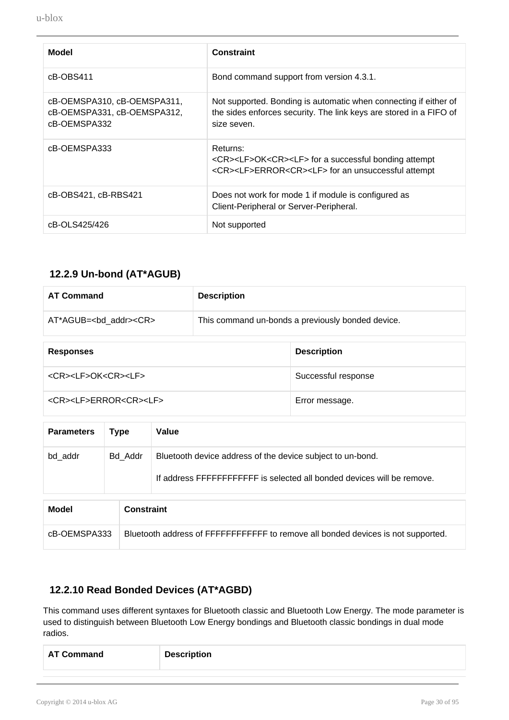| <b>Model</b>                                                               | <b>Constraint</b>                                                                                                                                             |
|----------------------------------------------------------------------------|---------------------------------------------------------------------------------------------------------------------------------------------------------------|
| cB-OBS411                                                                  | Bond command support from version 4.3.1.                                                                                                                      |
| cB-OEMSPA310, cB-OEMSPA311,<br>cB-OEMSPA331, cB-OEMSPA312,<br>cB-OEMSPA332 | Not supported. Bonding is automatic when connecting if either of<br>the sides enforces security. The link keys are stored in a FIFO of<br>size seven.         |
| cB-OEMSPA333                                                               | Returns:<br><cr><lf>OK<cr><lf> for a successful bonding attempt<br/><cr><lf>ERROR<cr><lf> for an unsuccessful attempt</lf></cr></lf></cr></lf></cr></lf></cr> |
| cB-OBS421, cB-RBS421                                                       | Does not work for mode 1 if module is configured as<br>Client-Peripheral or Server-Peripheral.                                                                |
| cB-OLS425/426                                                              | Not supported                                                                                                                                                 |

### **12.2.9 Un-bond (AT\*AGUB)**

<span id="page-29-0"></span>

| <b>AT Command</b>                      | <b>Description</b> |                                                   |
|----------------------------------------|--------------------|---------------------------------------------------|
| AT*AGUB= <bd addr=""><cr></cr></bd>    |                    | This command un-bonds a previously bonded device. |
| <b>Responses</b>                       |                    | <b>Description</b>                                |
| <cr><lf>OK<cr><lf></lf></cr></lf></cr> |                    | Successful response                               |

<CR><LF>ERROR<CR><LF> Error message.

| <b>Parameters</b> | <b>Type</b>       | Value                                                                                                                                 |
|-------------------|-------------------|---------------------------------------------------------------------------------------------------------------------------------------|
| bd addr           | Bd Addr           | Bluetooth device address of the device subject to un-bond.<br>If address FFFFFFFFFFFFF is selected all bonded devices will be remove. |
| <b>Model</b>      | <b>Constraint</b> |                                                                                                                                       |

| cB-OEMSPA333   Bluetooth address of FFFFFFFFFFFF to remove all bonded devices is not supported. |
|-------------------------------------------------------------------------------------------------|
|-------------------------------------------------------------------------------------------------|

# **12.2.10 Read Bonded Devices (AT\*AGBD)**

<span id="page-29-1"></span>This command uses different syntaxes for Bluetooth classic and Bluetooth Low Energy. The mode parameter is used to distinguish between Bluetooth Low Energy bondings and Bluetooth classic bondings in dual mode radios.

| <b>AT Command</b> | <b>Description</b> |
|-------------------|--------------------|
|                   |                    |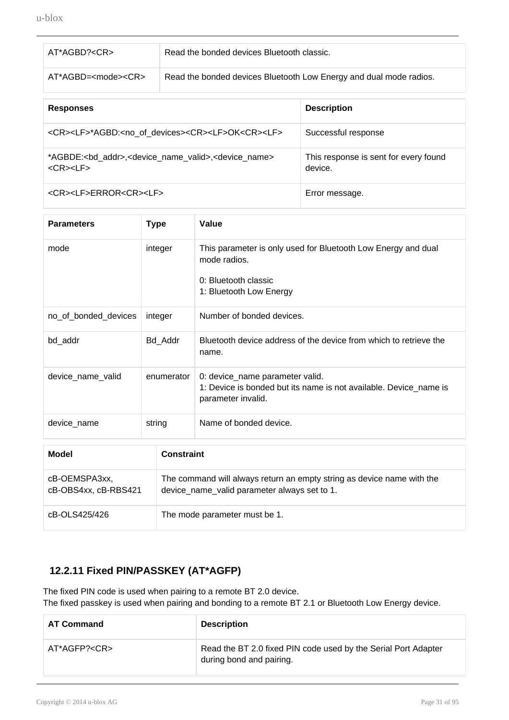| AT*AGBD? <cr></cr>              | Read the bonded devices Bluetooth classic.                         |
|---------------------------------|--------------------------------------------------------------------|
| AT*AGBD= <mode><cr></cr></mode> | Read the bonded devices Bluetooth Low Energy and dual mode radios. |
|                                 |                                                                    |

| <b>Responses</b>                                                                                                                          | <b>Description</b>                               |
|-------------------------------------------------------------------------------------------------------------------------------------------|--------------------------------------------------|
| <cr><lf>*AGBD:<no devices="" of=""><cr><lf>OK<cr><lf></lf></cr></lf></cr></no></lf></cr>                                                  | Successful response                              |
| *AGBDE: <bd addr="">,<device name="" valid="">,<device name=""><br/><math>&lt;</math>CR&gt;<math>&lt;</math>LF&gt;</device></device></bd> | This response is sent for every found<br>device. |
| <cr><lf>ERROR<cr><lf></lf></cr></lf></cr>                                                                                                 | Error message.                                   |

| <b>Parameters</b>    | <b>Type</b> | Value                                                                                                                            |  |
|----------------------|-------------|----------------------------------------------------------------------------------------------------------------------------------|--|
| mode                 | integer     | This parameter is only used for Bluetooth Low Energy and dual<br>mode radios.<br>0: Bluetooth classic<br>1: Bluetooth Low Energy |  |
| no_of_bonded_devices | integer     | Number of bonded devices.                                                                                                        |  |
| bd_addr              | Bd_Addr     | Bluetooth device address of the device from which to retrieve the<br>name.                                                       |  |
| device_name_valid    | enumerator  | 0: device_name parameter valid.<br>1: Device is bonded but its name is not available. Device_name is<br>parameter invalid.       |  |
| device_name          | string      | Name of bonded device.                                                                                                           |  |
| <b>Model</b>         |             | <b>Constraint</b>                                                                                                                |  |
| OD OEMODARVY         |             | The command will always return an empty string as device name with the                                                           |  |

| cB-OEMSPA3xx,        | The command will always return an empty string as device name with the |
|----------------------|------------------------------------------------------------------------|
| cB-OBS4xx, cB-RBS421 | device name valid parameter always set to 1.                           |
| cB-OLS425/426        | The mode parameter must be 1.                                          |

## **12.2.11 Fixed PIN/PASSKEY (AT\*AGFP)**

<span id="page-30-0"></span>The fixed PIN code is used when pairing to a remote BT 2.0 device. The fixed passkey is used when pairing and bonding to a remote BT 2.1 or Bluetooth Low Energy device.

| <b>AT Command</b>  | <b>Description</b>                                                                         |
|--------------------|--------------------------------------------------------------------------------------------|
| AT*AGFP? <cr></cr> | Read the BT 2.0 fixed PIN code used by the Serial Port Adapter<br>during bond and pairing. |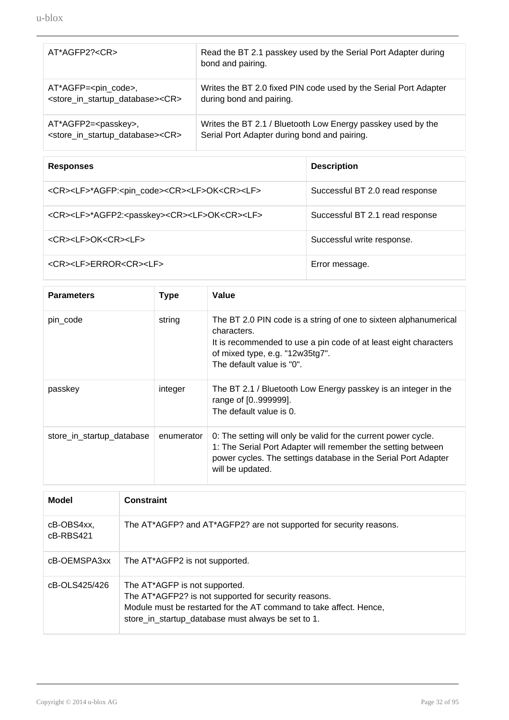u-blox

| AT*AGFP2? <cr></cr>                                              | Read the BT 2.1 passkey used by the Serial Port Adapter during<br>bond and pairing. |
|------------------------------------------------------------------|-------------------------------------------------------------------------------------|
| AT*AGFP= <pin_code>,</pin_code>                                  | Writes the BT 2.0 fixed PIN code used by the Serial Port Adapter                    |
| <store_in_startup_database><cr></cr></store_in_startup_database> | during bond and pairing.                                                            |
| AT*AGFP2= <passkey>,</passkey>                                   | Writes the BT 2.1 / Bluetooth Low Energy passkey used by the                        |
| <store_in_startup_database><cr></cr></store_in_startup_database> | Serial Port Adapter during bond and pairing.                                        |

| <b>Responses</b>                                                                    | <b>Description</b>              |
|-------------------------------------------------------------------------------------|---------------------------------|
| <cr><lf>*AGFP:<pin_code><cr><lf>OK<cr><lf></lf></cr></lf></cr></pin_code></lf></cr> | Successful BT 2.0 read response |
| <cr><lf>*AGFP2:<passkey><cr><lf>OK<cr><lf></lf></cr></lf></cr></passkey></lf></cr>  | Successful BT 2.1 read response |
| <cr><lf>OK<cr><lf></lf></cr></lf></cr>                                              | Successful write response.      |
| <cr><lf>ERROR<cr><lf></lf></cr></lf></cr>                                           | Error message.                  |

| <b>Parameters</b>         | <b>Type</b> | Value                                                                                                                                                                                                                |
|---------------------------|-------------|----------------------------------------------------------------------------------------------------------------------------------------------------------------------------------------------------------------------|
| pin code                  | string      | The BT 2.0 PIN code is a string of one to sixteen alphanumerical<br>characters.<br>It is recommended to use a pin code of at least eight characters<br>of mixed type, e.g. "12w35tg7".<br>The default value is "0".  |
| passkey                   | integer     | The BT 2.1 / Bluetooth Low Energy passkey is an integer in the<br>range of [0999999].<br>The default value is 0.                                                                                                     |
| store_in_startup_database | enumerator  | 0: The setting will only be valid for the current power cycle.<br>1: The Serial Port Adapter will remember the setting between<br>power cycles. The settings database in the Serial Port Adapter<br>will be updated. |

| <b>Model</b>              | <b>Constraint</b>                                                                                                                                                                                                 |
|---------------------------|-------------------------------------------------------------------------------------------------------------------------------------------------------------------------------------------------------------------|
| cB-OBS4xx,<br>$cB-RBS421$ | The AT*AGFP? and AT*AGFP2? are not supported for security reasons.                                                                                                                                                |
| cB-OEMSPA3xx              | The AT*AGFP2 is not supported.                                                                                                                                                                                    |
| cB-OLS425/426             | The AT*AGFP is not supported.<br>The AT*AGFP2? is not supported for security reasons.<br>Module must be restarted for the AT command to take affect. Hence,<br>store_in_startup_database must always be set to 1. |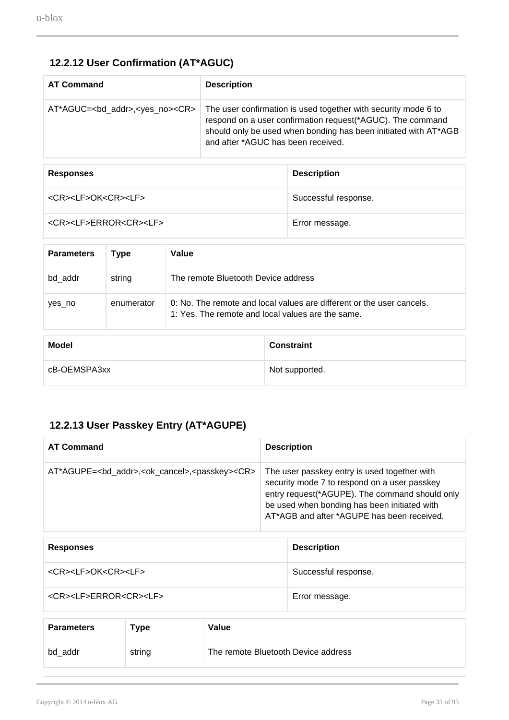# **12.2.12 User Confirmation (AT\*AGUC)**

<span id="page-32-0"></span>

| <b>AT Command</b>                                       | <b>Description</b>                                                                                                                                                                                                                    |
|---------------------------------------------------------|---------------------------------------------------------------------------------------------------------------------------------------------------------------------------------------------------------------------------------------|
| AT*AGUC= <bd_addr>,<yes_no><cr></cr></yes_no></bd_addr> | The user confirmation is used together with security mode 6 to<br>respond on a user confirmation request(*AGUC). The command<br>should only be used when bonding has been initiated with AT*AGB<br>and after *AGUC has been received. |

| <b>Responses</b>                          | <b>Description</b>   |
|-------------------------------------------|----------------------|
| <cr><lf>OK<cr><lf></lf></cr></lf></cr>    | Successful response. |
| <cr><lf>ERROR<cr><lf></lf></cr></lf></cr> | Error message.       |

| <b>Parameters</b> | Type       | Value                                                                                                                      |
|-------------------|------------|----------------------------------------------------------------------------------------------------------------------------|
| bd addr           | string     | The remote Bluetooth Device address                                                                                        |
| yes no            | enumerator | 0: No. The remote and local values are different or the user cancels.<br>1: Yes. The remote and local values are the same. |
|                   |            |                                                                                                                            |

| Model        | <b>Constraint</b> |
|--------------|-------------------|
| cB-OEMSPA3xx | Not supported.    |

# <span id="page-32-1"></span>**12.2.13 User Passkey Entry (AT\*AGUPE)**

| <b>AT Command</b>                                                            | <b>Description</b>                                                                                                                                                                                                                           |
|------------------------------------------------------------------------------|----------------------------------------------------------------------------------------------------------------------------------------------------------------------------------------------------------------------------------------------|
| AT*AGUPE= <bd addr="">,<ok cancel="">,<passkey><cr></cr></passkey></ok></bd> | The user passkey entry is used together with<br>security mode 7 to respond on a user passkey<br>entry request(*AGUPE). The command should only<br>be used when bonding has been initiated with<br>AT*AGB and after *AGUPE has been received. |

| <b>Responses</b>                          | <b>Description</b>   |
|-------------------------------------------|----------------------|
| <cr><lf>OK<cr><lf></lf></cr></lf></cr>    | Successful response. |
| <cr><lf>ERROR<cr><lf></lf></cr></lf></cr> | Error message.       |

| <b>Parameters</b> | $T$ ype | Value                               |
|-------------------|---------|-------------------------------------|
| bd_addr           | string  | The remote Bluetooth Device address |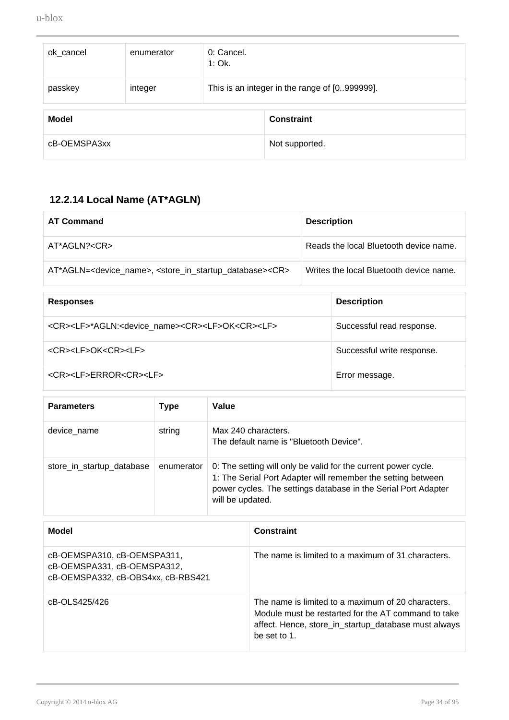| ok_cancel    | enumerator | 0: Cancel.<br>$1:$ Ok.                        |                   |
|--------------|------------|-----------------------------------------------|-------------------|
| passkey      | integer    | This is an integer in the range of [0999999]. |                   |
| <b>Model</b> |            |                                               | <b>Constraint</b> |
| cB-OEMSPA3xx |            |                                               | Not supported.    |

# **12.2.14 Local Name (AT\*AGLN)**

<span id="page-33-0"></span>

| <b>AT Command</b>                                                                                      | <b>Description</b>                      |
|--------------------------------------------------------------------------------------------------------|-----------------------------------------|
| AT*AGLN? <cr></cr>                                                                                     | Reads the local Bluetooth device name.  |
| AT*AGLN= <device_name>, <store_in_startup_database><cr></cr></store_in_startup_database></device_name> | Writes the local Bluetooth device name. |

| <b>Responses</b>                                                                        | <b>Description</b>         |
|-----------------------------------------------------------------------------------------|----------------------------|
| <cr><lf>*AGLN:<device name=""><cr><lf>OK<cr><lf></lf></cr></lf></cr></device></lf></cr> | Successful read response.  |
| <cr><lf>OK<cr><lf></lf></cr></lf></cr>                                                  | Successful write response. |
| <cr><lf>ERROR<cr><lf></lf></cr></lf></cr>                                               | Error message.             |

| <b>Parameters</b>         | Type       | Value                                                                                                                                                                                                                |
|---------------------------|------------|----------------------------------------------------------------------------------------------------------------------------------------------------------------------------------------------------------------------|
| device name               | string     | Max 240 characters.<br>The default name is "Bluetooth Device".                                                                                                                                                       |
| store_in_startup_database | enumerator | 0: The setting will only be valid for the current power cycle.<br>1: The Serial Port Adapter will remember the setting between<br>power cycles. The settings database in the Serial Port Adapter<br>will be updated. |

| Model                                                                                            | <b>Constraint</b>                                                                                                                                                                 |
|--------------------------------------------------------------------------------------------------|-----------------------------------------------------------------------------------------------------------------------------------------------------------------------------------|
| cB-OEMSPA310, cB-OEMSPA311,<br>cB-OEMSPA331, cB-OEMSPA312,<br>cB-OEMSPA332, cB-OBS4xx, cB-RBS421 | The name is limited to a maximum of 31 characters.                                                                                                                                |
| cB-OLS425/426                                                                                    | The name is limited to a maximum of 20 characters.<br>Module must be restarted for the AT command to take<br>affect. Hence, store_in_startup_database must always<br>be set to 1. |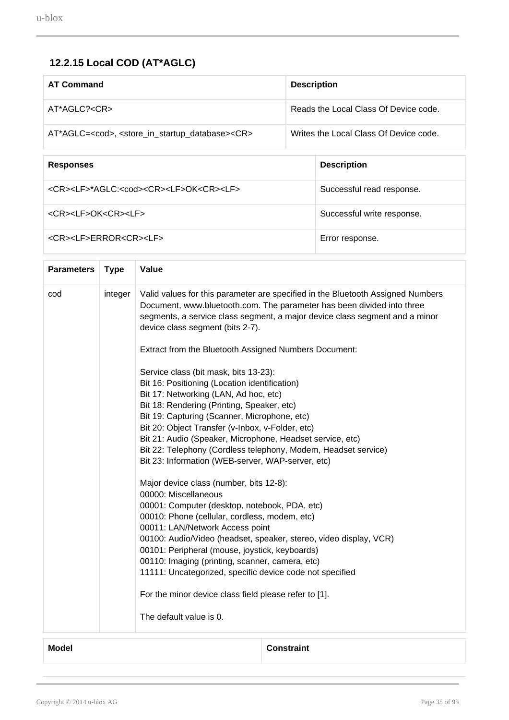# **12.2.15 Local COD (AT\*AGLC)**

<span id="page-34-0"></span>

| <b>AT Command</b>                                                                      |  | <b>Description</b>                     |  |
|----------------------------------------------------------------------------------------|--|----------------------------------------|--|
| $AT^*AGLC? < CR$                                                                       |  | Reads the Local Class Of Device code.  |  |
| AT*AGLC= <cod>, <store_in_startup_database><cr></cr></store_in_startup_database></cod> |  | Writes the Local Class Of Device code. |  |
|                                                                                        |  |                                        |  |
| <b>Responses</b>                                                                       |  | <b>Description</b>                     |  |
| <cr><lf>*AGLC:<cod><cr><lf>OK<cr><lf></lf></cr></lf></cr></cod></lf></cr>              |  | Successful read response.              |  |
| <cr><lf>OK<cr><lf></lf></cr></lf></cr>                                                 |  | Successful write response.             |  |
| <cr><lf>ERROR<cr><lf></lf></cr></lf></cr>                                              |  | Error response.                        |  |

|     | <b>Type</b> | Value                                                                                                                                                                                                                                                                                                                                                                                                                                                                                                                                                                                                                                                                                                                                                                                                                                                                                                                                                                                                                                                                                                                                                                                                                                                                                                                 |
|-----|-------------|-----------------------------------------------------------------------------------------------------------------------------------------------------------------------------------------------------------------------------------------------------------------------------------------------------------------------------------------------------------------------------------------------------------------------------------------------------------------------------------------------------------------------------------------------------------------------------------------------------------------------------------------------------------------------------------------------------------------------------------------------------------------------------------------------------------------------------------------------------------------------------------------------------------------------------------------------------------------------------------------------------------------------------------------------------------------------------------------------------------------------------------------------------------------------------------------------------------------------------------------------------------------------------------------------------------------------|
| cod | integer     | Valid values for this parameter are specified in the Bluetooth Assigned Numbers<br>Document, www.bluetooth.com. The parameter has been divided into three<br>segments, a service class segment, a major device class segment and a minor<br>device class segment (bits 2-7).<br>Extract from the Bluetooth Assigned Numbers Document:<br>Service class (bit mask, bits 13-23):<br>Bit 16: Positioning (Location identification)<br>Bit 17: Networking (LAN, Ad hoc, etc)<br>Bit 18: Rendering (Printing, Speaker, etc)<br>Bit 19: Capturing (Scanner, Microphone, etc)<br>Bit 20: Object Transfer (v-Inbox, v-Folder, etc)<br>Bit 21: Audio (Speaker, Microphone, Headset service, etc)<br>Bit 22: Telephony (Cordless telephony, Modem, Headset service)<br>Bit 23: Information (WEB-server, WAP-server, etc)<br>Major device class (number, bits 12-8):<br>00000: Miscellaneous<br>00001: Computer (desktop, notebook, PDA, etc)<br>00010: Phone (cellular, cordless, modem, etc)<br>00011: LAN/Network Access point<br>00100: Audio/Video (headset, speaker, stereo, video display, VCR)<br>00101: Peripheral (mouse, joystick, keyboards)<br>00110: Imaging (printing, scanner, camera, etc)<br>11111: Uncategorized, specific device code not specified<br>For the minor device class field please refer to [1]. |
|     |             | The default value is 0.                                                                                                                                                                                                                                                                                                                                                                                                                                                                                                                                                                                                                                                                                                                                                                                                                                                                                                                                                                                                                                                                                                                                                                                                                                                                                               |

**Model Constraint**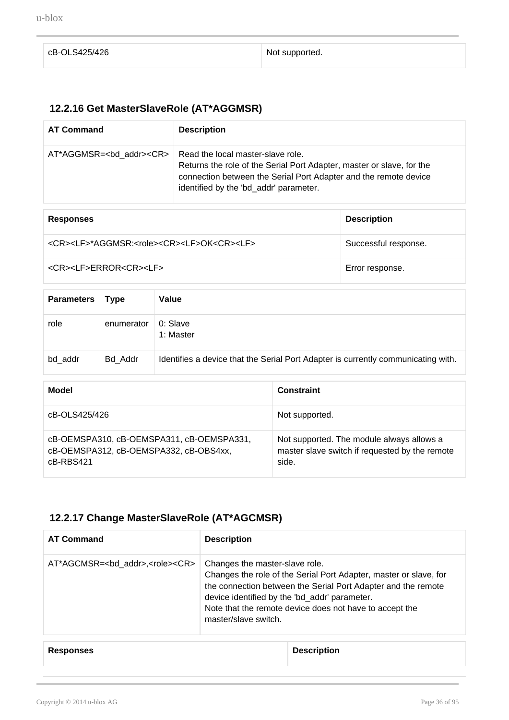| cB-OLS425/426 | Not supported. |
|---------------|----------------|
|               |                |

# **12.2.16 Get MasterSlaveRole (AT\*AGGMSR)**

<span id="page-35-0"></span>

| <b>AT Command</b> | <b>Description</b>                                                                                                                                                                                                                                       |
|-------------------|----------------------------------------------------------------------------------------------------------------------------------------------------------------------------------------------------------------------------------------------------------|
|                   | $AT*AGGMSR=<$ bd addr>< $CR>$   Read the local master-slave role.<br>Returns the role of the Serial Port Adapter, master or slave, for the<br>connection between the Serial Port Adapter and the remote device<br>identified by the 'bd_addr' parameter. |

| <b>Responses</b>                                                              | <b>Description</b>   |
|-------------------------------------------------------------------------------|----------------------|
| <cr><lf>*AGGMSR:<role><cr><lf>OK<cr><lf></lf></cr></lf></cr></role></lf></cr> | Successful response. |
| <cr><lf>ERROR<cr><lf></lf></cr></lf></cr>                                     | Error response.      |

| <b>Parameters</b> | <b>Type</b> | Value                                                                             |
|-------------------|-------------|-----------------------------------------------------------------------------------|
| role              | enumerator  | 0: Slave<br>1: Master                                                             |
| bd_addr           | Bd Addr     | Identifies a device that the Serial Port Adapter is currently communicating with. |

| Model                                                                                            | <b>Constraint</b>                                                                                    |
|--------------------------------------------------------------------------------------------------|------------------------------------------------------------------------------------------------------|
| cB-OLS425/426                                                                                    | Not supported.                                                                                       |
| cB-OEMSPA310, cB-OEMSPA311, cB-OEMSPA331,<br>cB-OEMSPA312, cB-OEMSPA332, cB-OBS4xx,<br>cB-RBS421 | Not supported. The module always allows a<br>master slave switch if requested by the remote<br>side. |

## **12.2.17 Change MasterSlaveRole (AT\*AGCMSR)**

<span id="page-35-1"></span>

| <b>AT Command</b>                                     | <b>Description</b>                                                                                                                                                                                                                                                                                       |
|-------------------------------------------------------|----------------------------------------------------------------------------------------------------------------------------------------------------------------------------------------------------------------------------------------------------------------------------------------------------------|
| AT*AGCMSR= <bd_addr>,<role><cr></cr></role></bd_addr> | Changes the master-slave role.<br>Changes the role of the Serial Port Adapter, master or slave, for<br>the connection between the Serial Port Adapter and the remote<br>device identified by the 'bd_addr' parameter.<br>Note that the remote device does not have to accept the<br>master/slave switch. |
|                                                       |                                                                                                                                                                                                                                                                                                          |

| <b>Responses</b> | <b>Description</b> |
|------------------|--------------------|
|------------------|--------------------|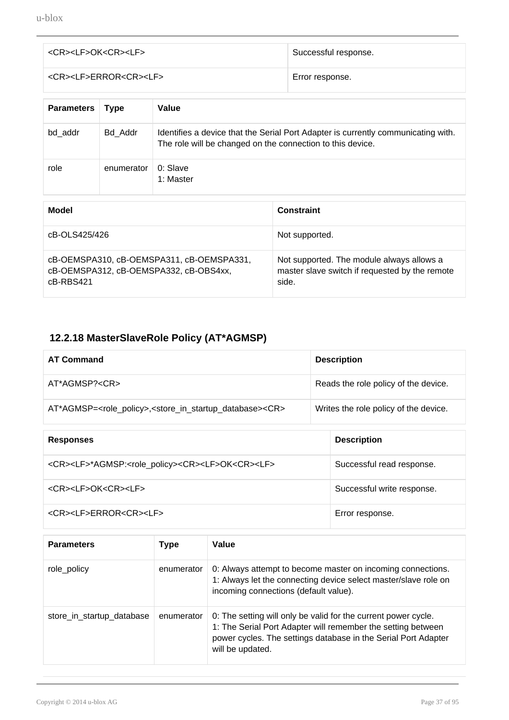| <cr><lf>OK<cr><lf></lf></cr></lf></cr>    | Successful response. |
|-------------------------------------------|----------------------|
| <cr><lf>ERROR<cr><lf></lf></cr></lf></cr> | Error response.      |

| <b>Parameters</b> | <b>Type</b> | Value                                                                                                                                           |
|-------------------|-------------|-------------------------------------------------------------------------------------------------------------------------------------------------|
| bd addr           | Bd Addr     | Identifies a device that the Serial Port Adapter is currently communicating with.<br>The role will be changed on the connection to this device. |
| role              | enumerator  | $0:$ Slave<br>1: Master                                                                                                                         |

| Model                                                                                              | <b>Constraint</b>                                                                                    |
|----------------------------------------------------------------------------------------------------|------------------------------------------------------------------------------------------------------|
| cB-OLS425/426                                                                                      | Not supported.                                                                                       |
| cB-OEMSPA310, cB-OEMSPA311, cB-OEMSPA331,<br>cB-OEMSPA312, cB-OEMSPA332, cB-OBS4xx,<br>$cB-RBS421$ | Not supported. The module always allows a<br>master slave switch if requested by the remote<br>side. |

# **12.2.18 MasterSlaveRole Policy (AT\*AGMSP)**

| <b>AT Command</b>                                                                                      | <b>Description</b>                    |
|--------------------------------------------------------------------------------------------------------|---------------------------------------|
| AT*AGMSP? <cr></cr>                                                                                    | Reads the role policy of the device.  |
| AT*AGMSP= <role_policy>,<store_in_startup_database><cr></cr></store_in_startup_database></role_policy> | Writes the role policy of the device. |

| <b>Responses</b>                                                                           | <b>Description</b>         |
|--------------------------------------------------------------------------------------------|----------------------------|
| <cr><lf>*AGMSP:<role_policy><cr><lf>OK<cr><lf></lf></cr></lf></cr></role_policy></lf></cr> | Successful read response.  |
| <cr><lf>OK<cr><lf></lf></cr></lf></cr>                                                     | Successful write response. |
| <cr><lf>ERROR<cr><lf></lf></cr></lf></cr>                                                  | Error response.            |

| <b>Parameters</b>         | Type       | Value                                                                                                                                                                                                                |
|---------------------------|------------|----------------------------------------------------------------------------------------------------------------------------------------------------------------------------------------------------------------------|
| role_policy               | enumerator | 0: Always attempt to become master on incoming connections.<br>1: Always let the connecting device select master/slave role on<br>incoming connections (default value).                                              |
| store_in_startup_database | enumerator | 0: The setting will only be valid for the current power cycle.<br>1: The Serial Port Adapter will remember the setting between<br>power cycles. The settings database in the Serial Port Adapter<br>will be updated. |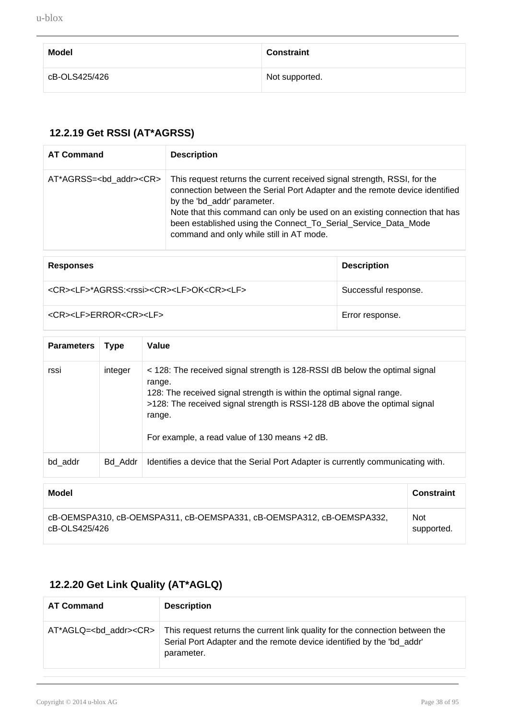| <b>Model</b>  | <b>Constraint</b> |
|---------------|-------------------|
| cB-OLS425/426 | Not supported.    |

### **12.2.19 Get RSSI (AT\*AGRSS)**

| <b>AT Command</b>                      | <b>Description</b>                                                                                                                                                                                                                                                                                                                                                                 |
|----------------------------------------|------------------------------------------------------------------------------------------------------------------------------------------------------------------------------------------------------------------------------------------------------------------------------------------------------------------------------------------------------------------------------------|
| AT*AGRSS= <bd_addr><cr></cr></bd_addr> | This request returns the current received signal strength, RSSI, for the<br>connection between the Serial Port Adapter and the remote device identified<br>by the 'bd_addr' parameter.<br>Note that this command can only be used on an existing connection that has<br>been established using the Connect_To_Serial_Service_Data_Mode<br>command and only while still in AT mode. |
|                                        |                                                                                                                                                                                                                                                                                                                                                                                    |

| <b>Responses</b>                                                             | <b>Description</b>   |
|------------------------------------------------------------------------------|----------------------|
| <cr><lf>*AGRSS:<rssi><cr><lf>OK<cr><lf></lf></cr></lf></cr></rssi></lf></cr> | Successful response. |
| <cr><lf>ERROR<cr><lf></lf></cr></lf></cr>                                    | Error response.      |

| <b>Parameters</b> | <b>Type</b> | Value                                                                                                                                                                                                                                                                                                   |                   |
|-------------------|-------------|---------------------------------------------------------------------------------------------------------------------------------------------------------------------------------------------------------------------------------------------------------------------------------------------------------|-------------------|
| rssi              | integer     | < 128: The received signal strength is 128-RSSI dB below the optimal signal<br>range.<br>128: The received signal strength is within the optimal signal range.<br>>128: The received signal strength is RSSI-128 dB above the optimal signal<br>range.<br>For example, a read value of 130 means +2 dB. |                   |
| bd addr           | Bd Addr     | Identifies a device that the Serial Port Adapter is currently communicating with.                                                                                                                                                                                                                       |                   |
| <b>Model</b>      |             |                                                                                                                                                                                                                                                                                                         | <b>Concircint</b> |

| <b>Model</b>                                                          | <b>Constraint</b> |
|-----------------------------------------------------------------------|-------------------|
| cB-OEMSPA310, cB-OEMSPA311, cB-OEMSPA331, cB-OEMSPA312, cB-OEMSPA332, | <b>Not</b>        |
| cB-OLS425/426                                                         | supported.        |

### **12.2.20 Get Link Quality (AT\*AGLQ)**

| <b>AT Command</b>                   | <b>Description</b>                                                                                                                                                  |
|-------------------------------------|---------------------------------------------------------------------------------------------------------------------------------------------------------------------|
| AT*AGLQ= <bd addr=""><cr></cr></bd> | This request returns the current link quality for the connection between the<br>Serial Port Adapter and the remote device identified by the 'bd addr'<br>parameter. |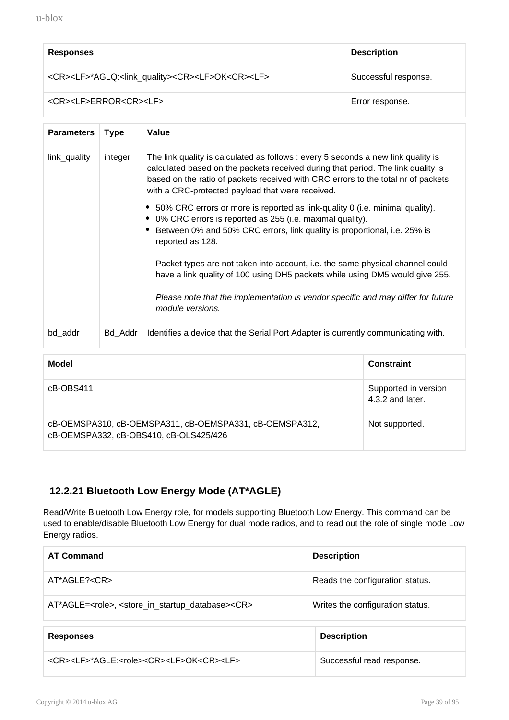| <b>Responses</b>                                                                            | <b>Description</b>   |
|---------------------------------------------------------------------------------------------|----------------------|
| <cr><lf>*AGLQ:<link_quality><cr><lf>OK<cr><lf></lf></cr></lf></cr></link_quality></lf></cr> | Successful response. |
| <cr><lf>ERROR<cr><lf></lf></cr></lf></cr>                                                   | Error response.      |

| <b>Parameters</b> | <b>Type</b> | Value                                                                                                                                                                                                                                                                                                          |
|-------------------|-------------|----------------------------------------------------------------------------------------------------------------------------------------------------------------------------------------------------------------------------------------------------------------------------------------------------------------|
| link_quality      | integer     | The link quality is calculated as follows : every 5 seconds a new link quality is<br>calculated based on the packets received during that period. The link quality is<br>based on the ratio of packets received with CRC errors to the total nr of packets<br>with a CRC-protected payload that were received. |
|                   |             | • 50% CRC errors or more is reported as link-quality 0 (i.e. minimal quality).<br>0% CRC errors is reported as 255 (i.e. maximal quality).<br>Between 0% and 50% CRC errors, link quality is proportional, i.e. 25% is<br>reported as 128.                                                                     |
|                   |             | Packet types are not taken into account, i.e. the same physical channel could<br>have a link quality of 100 using DH5 packets while using DM5 would give 255.                                                                                                                                                  |
|                   |             | Please note that the implementation is vendor specific and may differ for future<br>module versions.                                                                                                                                                                                                           |
| bd_addr           | Bd Addr     | Identifies a device that the Serial Port Adapter is currently communicating with.                                                                                                                                                                                                                              |

| Model                                                                                             | <b>Constraint</b>                        |
|---------------------------------------------------------------------------------------------------|------------------------------------------|
| cB-OBS411                                                                                         | Supported in version<br>4.3.2 and later. |
| cB-OEMSPA310, cB-OEMSPA311, cB-OEMSPA331, cB-OEMSPA312,<br>cB-OEMSPA332, cB-OBS410, cB-OLS425/426 | Not supported.                           |

#### **12.2.21 Bluetooth Low Energy Mode (AT\*AGLE)**

Read/Write Bluetooth Low Energy role, for models supporting Bluetooth Low Energy. This command can be used to enable/disable Bluetooth Low Energy for dual mode radios, and to read out the role of single mode Low Energy radios.

| <b>AT Command</b>                                                                        | <b>Description</b>               |
|------------------------------------------------------------------------------------------|----------------------------------|
| $AT^*AGLE? < CR$                                                                         | Reads the configuration status.  |
| AT*AGLE= <role>, <store_in_startup_database><cr></cr></store_in_startup_database></role> | Writes the configuration status. |
| <b>Responses</b>                                                                         | <b>Description</b>               |
| <cr><lf>*AGLE:<role><cr><lf>OK<cr><lf></lf></cr></lf></cr></role></lf></cr>              | Successful read response.        |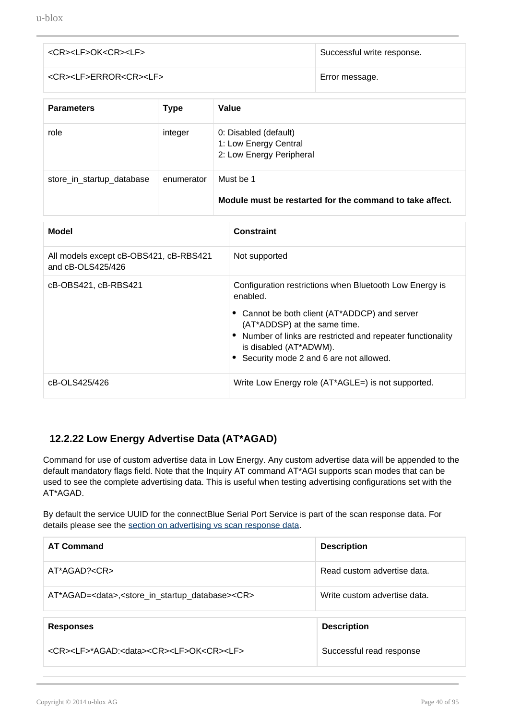| <cr><lf>OK<cr><lf></lf></cr></lf></cr>    | Successful write response. |
|-------------------------------------------|----------------------------|
| <cr><lf>ERROR<cr><lf></lf></cr></lf></cr> | Error message.             |

| <b>Parameters</b>         | <b>Type</b> | Value                                                                      |
|---------------------------|-------------|----------------------------------------------------------------------------|
| role                      | integer     | 0: Disabled (default)<br>1: Low Energy Central<br>2: Low Energy Peripheral |
| store_in_startup_database | enumerator  | Must be 1<br>Module must be restarted for the command to take affect.      |

| <b>Model</b>                                                | <b>Constraint</b>                                                                                                                                                                                                                                                                         |
|-------------------------------------------------------------|-------------------------------------------------------------------------------------------------------------------------------------------------------------------------------------------------------------------------------------------------------------------------------------------|
| All models except cB-OBS421, cB-RBS421<br>and cB-OLS425/426 | Not supported                                                                                                                                                                                                                                                                             |
| cB-OBS421, cB-RBS421                                        | Configuration restrictions when Bluetooth Low Energy is<br>enabled.<br>• Cannot be both client (AT*ADDCP) and server<br>(AT*ADDSP) at the same time.<br>• Number of links are restricted and repeater functionality<br>is disabled (AT*ADWM).<br>• Security mode 2 and 6 are not allowed. |
| cB-OLS425/426                                               | Write Low Energy role (AT*AGLE=) is not supported.                                                                                                                                                                                                                                        |

#### **12.2.22 Low Energy Advertise Data (AT\*AGAD)**

Command for use of custom advertise data in Low Energy. Any custom advertise data will be appended to the default mandatory flags field. Note that the Inquiry AT command AT\*AGI supports scan modes that can be used to see the complete advertising data. This is useful when testing advertising configurations set with the AT\*AGAD.

By default the service UUID for the connectBlue Serial Port Service is part of the scan response data. For details please see the [section on advertising vs scan response data](#page-41-0).

| <b>AT Command</b>                                                                       | <b>Description</b>           |
|-----------------------------------------------------------------------------------------|------------------------------|
| $AT*AGAD? < CR>$                                                                        | Read custom advertise data.  |
| AT*AGAD= <data>,<store_in_startup_database><cr></cr></store_in_startup_database></data> | Write custom advertise data. |
| <b>Responses</b>                                                                        | <b>Description</b>           |
| <cr><lf>*AGAD:<data><cr><lf>OK<cr><lf></lf></cr></lf></cr></data></lf></cr>             | Successful read response     |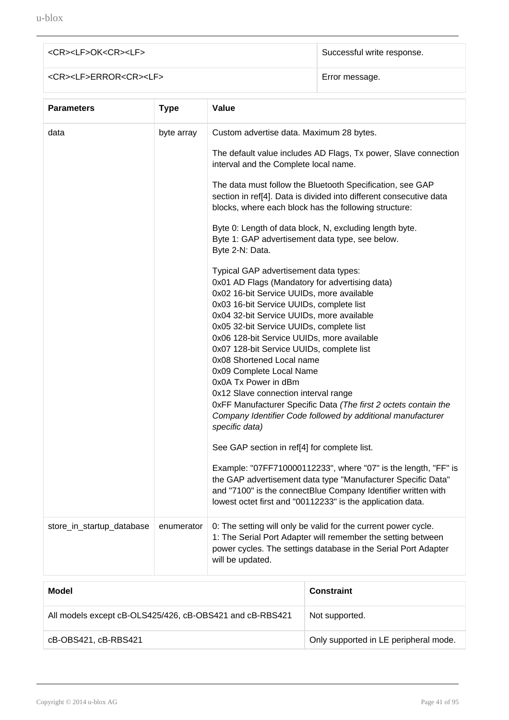# <CR><LF>OK<CR><LF>>>
Successful write response. <CR><LF>ERROR<CR><LF> Error message.

| <b>Parameters</b>         | <b>Type</b> | Value                                                                                                                                                                                                                                                                                                                                                                                                                                                                                                                                                                                                                                                                                                                |
|---------------------------|-------------|----------------------------------------------------------------------------------------------------------------------------------------------------------------------------------------------------------------------------------------------------------------------------------------------------------------------------------------------------------------------------------------------------------------------------------------------------------------------------------------------------------------------------------------------------------------------------------------------------------------------------------------------------------------------------------------------------------------------|
| data                      | byte array  | Custom advertise data. Maximum 28 bytes.<br>The default value includes AD Flags, Tx power, Slave connection<br>interval and the Complete local name.<br>The data must follow the Bluetooth Specification, see GAP<br>section in ref[4]. Data is divided into different consecutive data<br>blocks, where each block has the following structure:<br>Byte 0: Length of data block, N, excluding length byte.<br>Byte 1: GAP advertisement data type, see below.                                                                                                                                                                                                                                                       |
|                           |             | Byte 2-N: Data.<br>Typical GAP advertisement data types:<br>0x01 AD Flags (Mandatory for advertising data)<br>0x02 16-bit Service UUIDs, more available<br>0x03 16-bit Service UUIDs, complete list<br>0x04 32-bit Service UUIDs, more available<br>0x05 32-bit Service UUIDs, complete list<br>0x06 128-bit Service UUIDs, more available<br>0x07 128-bit Service UUIDs, complete list<br>0x08 Shortened Local name<br>0x09 Complete Local Name<br>0x0A Tx Power in dBm<br>0x12 Slave connection interval range<br>OxFF Manufacturer Specific Data (The first 2 octets contain the<br>Company Identifier Code followed by additional manufacturer<br>specific data)<br>See GAP section in ref[4] for complete list. |
|                           |             | Example: "07FF710000112233", where "07" is the length, "FF" is<br>the GAP advertisement data type "Manufacturer Specific Data"<br>and "7100" is the connectBlue Company Identifier written with<br>lowest octet first and "00112233" is the application data.                                                                                                                                                                                                                                                                                                                                                                                                                                                        |
| store_in_startup_database | enumerator  | 0: The setting will only be valid for the current power cycle.<br>1: The Serial Port Adapter will remember the setting between<br>power cycles. The settings database in the Serial Port Adapter<br>will be updated.                                                                                                                                                                                                                                                                                                                                                                                                                                                                                                 |
|                           |             |                                                                                                                                                                                                                                                                                                                                                                                                                                                                                                                                                                                                                                                                                                                      |

| Model                                                    | <b>Constraint</b>                     |
|----------------------------------------------------------|---------------------------------------|
| All models except cB-OLS425/426, cB-OBS421 and cB-RBS421 | Not supported.                        |
| cB-OBS421, cB-RBS421                                     | Only supported in LE peripheral mode. |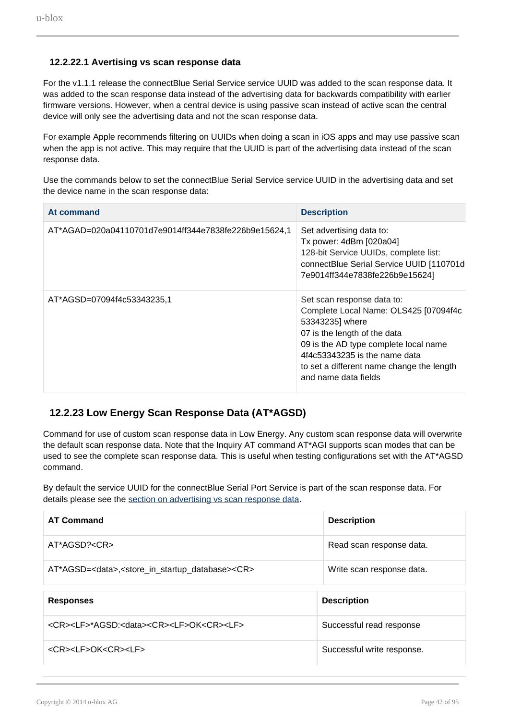#### **12.2.22.1 Avertising vs scan response data**

<span id="page-41-0"></span>For the v1.1.1 release the connectBlue Serial Service service UUID was added to the scan response data. It was added to the scan response data instead of the advertising data for backwards compatibility with earlier firmware versions. However, when a central device is using passive scan instead of active scan the central device will only see the advertising data and not the scan response data.

For example Apple recommends filtering on UUIDs when doing a scan in iOS apps and may use passive scan when the app is not active. This may require that the UUID is part of the advertising data instead of the scan response data.

Use the commands below to set the connectBlue Serial Service service UUID in the advertising data and set the device name in the scan response data:

| At command                                           | <b>Description</b>                                                                                                                                                                                                                                                    |
|------------------------------------------------------|-----------------------------------------------------------------------------------------------------------------------------------------------------------------------------------------------------------------------------------------------------------------------|
| AT*AGAD=020a04110701d7e9014ff344e7838fe226b9e15624,1 | Set advertising data to:<br>Tx power: 4dBm [020a04]<br>128-bit Service UUIDs, complete list:<br>connectBlue Serial Service UUID [110701d<br>7e9014ff344e7838fe226b9e15624]                                                                                            |
| AT*AGSD=07094f4c53343235.1                           | Set scan response data to:<br>Complete Local Name: OLS425 [07094f4c<br>53343235] where<br>07 is the length of the data<br>09 is the AD type complete local name<br>4f4c53343235 is the name data<br>to set a different name change the length<br>and name data fields |

#### **12.2.23 Low Energy Scan Response Data (AT\*AGSD)**

Command for use of custom scan response data in Low Energy. Any custom scan response data will overwrite the default scan response data. Note that the Inquiry AT command AT\*AGI supports scan modes that can be used to see the complete scan response data. This is useful when testing configurations set with the AT\*AGSD command.

By default the service UUID for the connectBlue Serial Port Service is part of the scan response data. For details please see the [section on advertising vs scan response data](#page-41-0).

| <b>AT Command</b>                                                                       | <b>Description</b>        |
|-----------------------------------------------------------------------------------------|---------------------------|
| AT*AGSD? <cr></cr>                                                                      | Read scan response data.  |
| AT*AGSD= <data>,<store_in_startup_database><cr></cr></store_in_startup_database></data> | Write scan response data. |
|                                                                                         |                           |
|                                                                                         |                           |
| <b>Responses</b>                                                                        | <b>Description</b>        |
| <cr><lf>*AGSD:<data><cr><lf>OK<cr><lf></lf></cr></lf></cr></data></lf></cr>             | Successful read response  |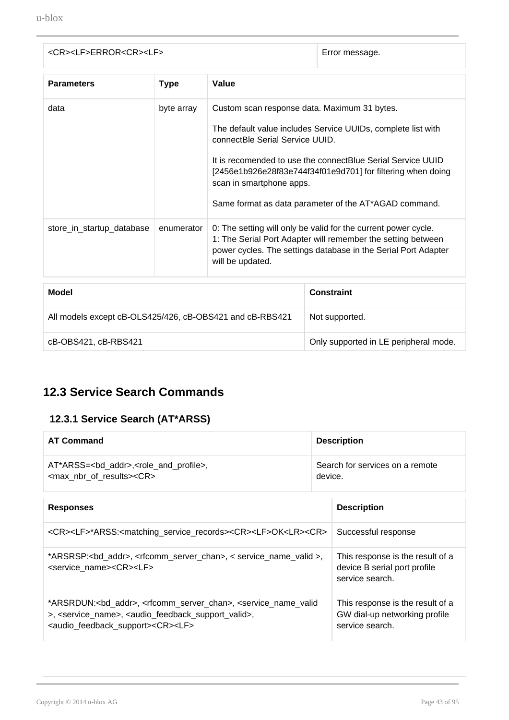| <cr><lf>ERROR<cr><lf></lf></cr></lf></cr> | Error message. |
|-------------------------------------------|----------------|
|                                           |                |

| <b>Parameters</b>         | <b>Type</b>                                  | Value                                                                                                                                                                                                                |  |
|---------------------------|----------------------------------------------|----------------------------------------------------------------------------------------------------------------------------------------------------------------------------------------------------------------------|--|
| data<br>byte array        | Custom scan response data. Maximum 31 bytes. |                                                                                                                                                                                                                      |  |
|                           |                                              | The default value includes Service UUIDs, complete list with<br>connectBle Serial Service UUID.                                                                                                                      |  |
|                           |                                              | It is recomended to use the connectBlue Serial Service UUID<br>[2456e1b926e28f83e744f34f01e9d701] for filtering when doing<br>scan in smartphone apps.                                                               |  |
|                           |                                              | Same format as data parameter of the AT*AGAD command.                                                                                                                                                                |  |
| store_in_startup_database | enumerator                                   | 0: The setting will only be valid for the current power cycle.<br>1: The Serial Port Adapter will remember the setting between<br>power cycles. The settings database in the Serial Port Adapter<br>will be updated. |  |

| Model                                                    | <b>Constraint</b>                     |
|----------------------------------------------------------|---------------------------------------|
| All models except cB-OLS425/426, cB-OBS421 and cB-RBS421 | Not supported.                        |
| cB-OBS421, cB-RBS421                                     | Only supported in LE peripheral mode. |

# **12.3 Service Search Commands**

#### **12.3.1 Service Search (AT\*ARSS)**

| <b>AT Command</b>                                                   | <b>Description</b>              |
|---------------------------------------------------------------------|---------------------------------|
| AT*ARSS= <bd_addr>,<role_and_profile>,</role_and_profile></bd_addr> | Search for services on a remote |
| <max nbr="" of="" results=""><cr></cr></max>                        | device.                         |

| <b>Responses</b>                                                                                                                                                                                                                                                                                     | <b>Description</b>                                                                   |
|------------------------------------------------------------------------------------------------------------------------------------------------------------------------------------------------------------------------------------------------------------------------------------------------------|--------------------------------------------------------------------------------------|
| <cr><lf>*ARSS:<matching_service_records><cr><lf>OK<lr><cr></cr></lr></lf></cr></matching_service_records></lf></cr>                                                                                                                                                                                  | Successful response                                                                  |
| *ARSRSP: <bd_addr>, <rfcomm_server_chan>, &lt; service_name_valid &gt;,<br/><service name=""><cr><lf></lf></cr></service></rfcomm_server_chan></bd_addr>                                                                                                                                             | This response is the result of a<br>device B serial port profile<br>service search.  |
| *ARSRDUN: <bd_addr>, <rfcomm_server_chan>, <service_name_valid<br>&gt;, <service_name>, <audio_feedback_support_valid>,<br/><audio_feedback_support><cr><lf></lf></cr></audio_feedback_support></audio_feedback_support_valid></service_name></service_name_valid<br></rfcomm_server_chan></bd_addr> | This response is the result of a<br>GW dial-up networking profile<br>service search. |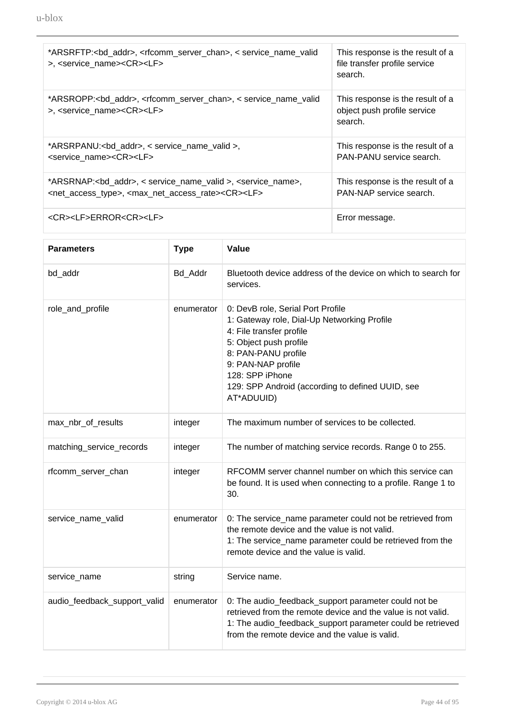| *ARSRFTP: <bd_addr>, <rfcomm_server_chan>, &lt; service_name_valid<br/>&gt;, <service name=""><cr><lf></lf></cr></service></rfcomm_server_chan></bd_addr>                                          | This response is the result of a<br>file transfer profile service<br>search. |
|----------------------------------------------------------------------------------------------------------------------------------------------------------------------------------------------------|------------------------------------------------------------------------------|
| *ARSROPP: <bd_addr>, <rfcomm_server_chan>, &lt; service_name_valid<br/>&gt;, <service_name><cr><lf></lf></cr></service_name></rfcomm_server_chan></bd_addr>                                        | This response is the result of a<br>object push profile service<br>search.   |
| *ARSRPANU: <bd_addr>, &lt; service_name_valid &gt;,<br/><service name=""><cr><lf></lf></cr></service></bd_addr>                                                                                    | This response is the result of a<br>PAN-PANU service search.                 |
| *ARSRNAP: <bd_addr>, &lt; service_name_valid &gt;, <service_name>,<br/><net_access_type>, <max_net_access_rate><cr><lf></lf></cr></max_net_access_rate></net_access_type></service_name></bd_addr> | This response is the result of a<br>PAN-NAP service search.                  |
| <cr><lf>ERROR<cr><lf></lf></cr></lf></cr>                                                                                                                                                          | Error message.                                                               |

| <b>Parameters</b>            | <b>Type</b> | Value                                                                                                                                                                                                                                                                    |
|------------------------------|-------------|--------------------------------------------------------------------------------------------------------------------------------------------------------------------------------------------------------------------------------------------------------------------------|
| bd_addr                      | Bd_Addr     | Bluetooth device address of the device on which to search for<br>services.                                                                                                                                                                                               |
| role_and_profile             | enumerator  | 0: DevB role, Serial Port Profile<br>1: Gateway role, Dial-Up Networking Profile<br>4: File transfer profile<br>5: Object push profile<br>8: PAN-PANU profile<br>9: PAN-NAP profile<br>128: SPP iPhone<br>129: SPP Android (according to defined UUID, see<br>AT*ADUUID) |
| max_nbr_of_results           | integer     | The maximum number of services to be collected.                                                                                                                                                                                                                          |
| matching_service_records     | integer     | The number of matching service records. Range 0 to 255.                                                                                                                                                                                                                  |
| rfcomm_server_chan           | integer     | RFCOMM server channel number on which this service can<br>be found. It is used when connecting to a profile. Range 1 to<br>30.                                                                                                                                           |
| service_name_valid           | enumerator  | 0: The service_name parameter could not be retrieved from<br>the remote device and the value is not valid.<br>1: The service_name parameter could be retrieved from the<br>remote device and the value is valid.                                                         |
| service_name                 | string      | Service name.                                                                                                                                                                                                                                                            |
| audio_feedback_support_valid | enumerator  | 0: The audio_feedback_support parameter could not be<br>retrieved from the remote device and the value is not valid.<br>1: The audio_feedback_support parameter could be retrieved<br>from the remote device and the value is valid.                                     |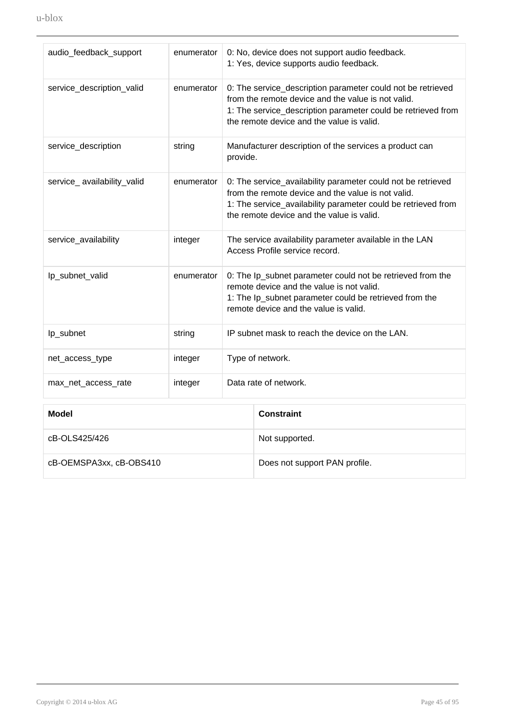| audio_feedback_support     | enumerator |                                                                                                                                                                                                            | 0: No, device does not support audio feedback.<br>1: Yes, device supports audio feedback.                                                                                                                                        |
|----------------------------|------------|------------------------------------------------------------------------------------------------------------------------------------------------------------------------------------------------------------|----------------------------------------------------------------------------------------------------------------------------------------------------------------------------------------------------------------------------------|
| service_description_valid  | enumerator |                                                                                                                                                                                                            | 0: The service_description parameter could not be retrieved<br>from the remote device and the value is not valid.<br>1: The service_description parameter could be retrieved from<br>the remote device and the value is valid.   |
| service_description        | string     | provide.                                                                                                                                                                                                   | Manufacturer description of the services a product can                                                                                                                                                                           |
| service_availability_valid | enumerator |                                                                                                                                                                                                            | 0: The service_availability parameter could not be retrieved<br>from the remote device and the value is not valid.<br>1: The service_availability parameter could be retrieved from<br>the remote device and the value is valid. |
| service_availability       | integer    |                                                                                                                                                                                                            | The service availability parameter available in the LAN<br>Access Profile service record.                                                                                                                                        |
| lp_subnet_valid            | enumerator | 0: The Ip_subnet parameter could not be retrieved from the<br>remote device and the value is not valid.<br>1: The Ip_subnet parameter could be retrieved from the<br>remote device and the value is valid. |                                                                                                                                                                                                                                  |
| Ip_subnet                  | string     | IP subnet mask to reach the device on the LAN.                                                                                                                                                             |                                                                                                                                                                                                                                  |
| net_access_type            | integer    | Type of network.                                                                                                                                                                                           |                                                                                                                                                                                                                                  |
| max_net_access_rate        | integer    | Data rate of network.                                                                                                                                                                                      |                                                                                                                                                                                                                                  |
| <b>Model</b>               |            |                                                                                                                                                                                                            | <b>Constraint</b>                                                                                                                                                                                                                |
| cB-OLS425/426              |            | Not supported.                                                                                                                                                                                             |                                                                                                                                                                                                                                  |

cB-OEMSPA3xx, cB-OBS410 Does not support PAN profile.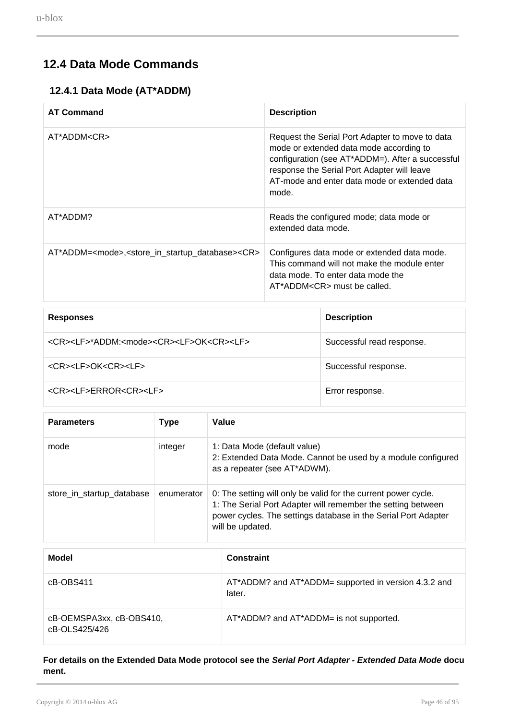### **12.4 Data Mode Commands**

#### **12.4.1 Data Mode (AT\*ADDM)**

| <b>AT Command</b>                                                                       | <b>Description</b>                                                                                                                                                                                                                                     |
|-----------------------------------------------------------------------------------------|--------------------------------------------------------------------------------------------------------------------------------------------------------------------------------------------------------------------------------------------------------|
| AT*ADDM <cr></cr>                                                                       | Request the Serial Port Adapter to move to data<br>mode or extended data mode according to<br>configuration (see AT*ADDM=). After a successful<br>response the Serial Port Adapter will leave<br>AT-mode and enter data mode or extended data<br>mode. |
| AT*ADDM?                                                                                | Reads the configured mode; data mode or<br>extended data mode.                                                                                                                                                                                         |
| AT*ADDM= <mode>,<store_in_startup_database><cr></cr></store_in_startup_database></mode> | Configures data mode or extended data mode.<br>This command will not make the module enter<br>data mode. To enter data mode the<br>$AT^*ADDM < CR$ must be called.                                                                                     |

| <b>Responses</b>                                                            | <b>Description</b>        |
|-----------------------------------------------------------------------------|---------------------------|
| <cr><lf>*ADDM:<mode><cr><lf>OK<cr><lf></lf></cr></lf></cr></mode></lf></cr> | Successful read response. |
| <cr><lf>OK<cr><lf></lf></cr></lf></cr>                                      | Successful response.      |
| <cr><lf>ERROR<cr><lf></lf></cr></lf></cr>                                   | Error response.           |

| <b>Parameters</b>         | Type       | Value                                                                                                                                                                                                                |
|---------------------------|------------|----------------------------------------------------------------------------------------------------------------------------------------------------------------------------------------------------------------------|
| mode                      | integer    | 1: Data Mode (default value)<br>2: Extended Data Mode. Cannot be used by a module configured<br>as a repeater (see AT*ADWM).                                                                                         |
| store_in_startup_database | enumerator | 0: The setting will only be valid for the current power cycle.<br>1: The Serial Port Adapter will remember the setting between<br>power cycles. The settings database in the Serial Port Adapter<br>will be updated. |

| Model                                     | <b>Constraint</b>                                              |
|-------------------------------------------|----------------------------------------------------------------|
| cB-OBS411                                 | AT*ADDM? and AT*ADDM= supported in version 4.3.2 and<br>later. |
| cB-OEMSPA3xx, cB-OBS410,<br>cB-OLS425/426 | AT*ADDM? and AT*ADDM= is not supported.                        |

**For details on the Extended Data Mode protocol see the Serial Port Adapter - Extended Data Mode docu ment.**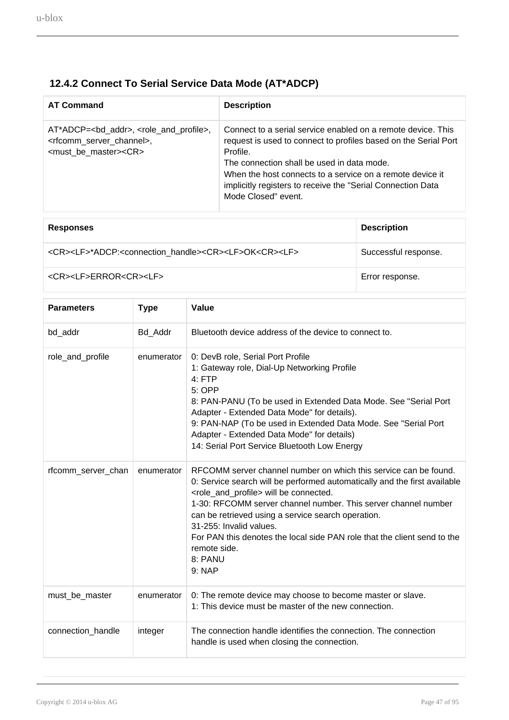### **12.4.2 Connect To Serial Service Data Mode (AT\*ADCP)**

| <b>AT Command</b>                                                                                                                                               | <b>Description</b>                                                                                                                                                                                                                                                                                                                           |
|-----------------------------------------------------------------------------------------------------------------------------------------------------------------|----------------------------------------------------------------------------------------------------------------------------------------------------------------------------------------------------------------------------------------------------------------------------------------------------------------------------------------------|
| AT*ADCP= <bd_addr>, <role_and_profile>,<br/><rfcomm channel="" server="">,<br/><must_be_master><cr></cr></must_be_master></rfcomm></role_and_profile></bd_addr> | Connect to a serial service enabled on a remote device. This<br>request is used to connect to profiles based on the Serial Port<br>Profile.<br>The connection shall be used in data mode.<br>When the host connects to a service on a remote device it<br>implicitly registers to receive the "Serial Connection Data<br>Mode Closed" event. |

| <b>Responses</b>                                                                                  | <b>Description</b>   |
|---------------------------------------------------------------------------------------------------|----------------------|
| <cr><lf>*ADCP:<connection handle=""><cr><lf>OK<cr><lf></lf></cr></lf></cr></connection></lf></cr> | Successful response. |
| <cr><lf>ERROR<cr><lf></lf></cr></lf></cr>                                                         | Error response.      |

| <b>Parameters</b>  | <b>Type</b> | Value                                                                                                                                                                                                                                                                                                                                                                                                                                                                                |
|--------------------|-------------|--------------------------------------------------------------------------------------------------------------------------------------------------------------------------------------------------------------------------------------------------------------------------------------------------------------------------------------------------------------------------------------------------------------------------------------------------------------------------------------|
| bd_addr            | Bd_Addr     | Bluetooth device address of the device to connect to.                                                                                                                                                                                                                                                                                                                                                                                                                                |
| role_and_profile   | enumerator  | 0: DevB role, Serial Port Profile<br>1: Gateway role, Dial-Up Networking Profile<br>$4:$ FTP<br>5: OPP<br>8: PAN-PANU (To be used in Extended Data Mode. See "Serial Port<br>Adapter - Extended Data Mode" for details).<br>9: PAN-NAP (To be used in Extended Data Mode. See "Serial Port<br>Adapter - Extended Data Mode" for details)<br>14: Serial Port Service Bluetooth Low Energy                                                                                             |
| rfcomm_server_chan | enumerator  | RFCOMM server channel number on which this service can be found.<br>0: Service search will be performed automatically and the first available<br><role_and_profile> will be connected.<br/>1-30: RFCOMM server channel number. This server channel number<br/>can be retrieved using a service search operation.<br/>31-255: Invalid values.<br/>For PAN this denotes the local side PAN role that the client send to the<br/>remote side.<br/>8: PANU<br/>9: NAP</role_and_profile> |
| must_be_master     | enumerator  | 0: The remote device may choose to become master or slave.<br>1: This device must be master of the new connection.                                                                                                                                                                                                                                                                                                                                                                   |
| connection_handle  | integer     | The connection handle identifies the connection. The connection<br>handle is used when closing the connection.                                                                                                                                                                                                                                                                                                                                                                       |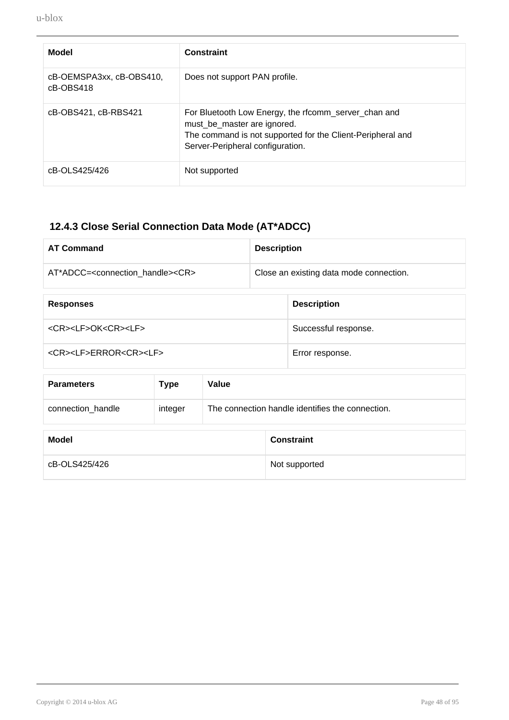| Model                                    | <b>Constraint</b>                                                                                                                                                                     |
|------------------------------------------|---------------------------------------------------------------------------------------------------------------------------------------------------------------------------------------|
| cB-OEMSPA3xx, cB-OBS410,<br>$cB$ -OBS418 | Does not support PAN profile.                                                                                                                                                         |
| cB-OBS421, cB-RBS421                     | For Bluetooth Low Energy, the rfcomm_server_chan and<br>must_be_master are ignored.<br>The command is not supported for the Client-Peripheral and<br>Server-Peripheral configuration. |
| cB-OLS425/426                            | Not supported                                                                                                                                                                         |

# **12.4.3 Close Serial Connection Data Mode (AT\*ADCC)**

| <b>AT Command</b>                                     | <b>Description</b>                      |
|-------------------------------------------------------|-----------------------------------------|
| AT*ADCC= <connection handle=""><cr></cr></connection> | Close an existing data mode connection. |
|                                                       |                                         |

| <b>Responses</b>                          | <b>Description</b>   |
|-------------------------------------------|----------------------|
| <cr><lf>OK<cr><lf></lf></cr></lf></cr>    | Successful response. |
| <cr><lf>ERROR<cr><lf></lf></cr></lf></cr> | Error response.      |

| <b>Parameters</b> | Type    | Value                                            |
|-------------------|---------|--------------------------------------------------|
| connection handle | integer | The connection handle identifies the connection. |

| Model         | <b>Constraint</b> |
|---------------|-------------------|
| cB-OLS425/426 | Not supported     |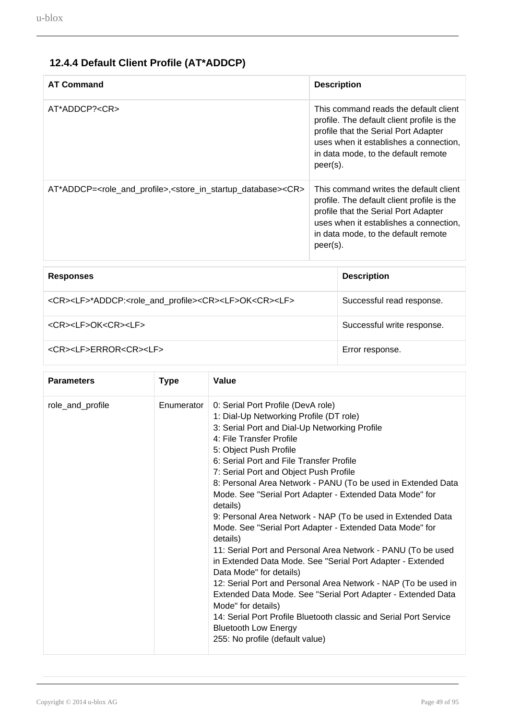### **12.4.4 Default Client Profile (AT\*ADDCP)**

| <b>AT Command</b>                                                                                                | <b>Description</b>                                                                                                                                                                                                        |
|------------------------------------------------------------------------------------------------------------------|---------------------------------------------------------------------------------------------------------------------------------------------------------------------------------------------------------------------------|
| $AT*ADDCP? < CR$                                                                                                 | This command reads the default client<br>profile. The default client profile is the<br>profile that the Serial Port Adapter<br>uses when it establishes a connection,<br>in data mode, to the default remote<br>peer(s).  |
| AT*ADDCP= <role_and_profile>,<store_in_startup_database><cr></cr></store_in_startup_database></role_and_profile> | This command writes the default client<br>profile. The default client profile is the<br>profile that the Serial Port Adapter<br>uses when it establishes a connection,<br>in data mode, to the default remote<br>peer(s). |
|                                                                                                                  |                                                                                                                                                                                                                           |
|                                                                                                                  |                                                                                                                                                                                                                           |

| <b>Responses</b>                                                                                     | <b>Description</b>         |
|------------------------------------------------------------------------------------------------------|----------------------------|
| <cr><lf>*ADDCP:<role_and_profile><cr><lf>OK<cr><lf></lf></cr></lf></cr></role_and_profile></lf></cr> | Successful read response.  |
| <cr><lf>OK<cr><lf></lf></cr></lf></cr>                                                               | Successful write response. |
| <cr><lf>ERROR<cr><lf></lf></cr></lf></cr>                                                            | Error response.            |

| <b>Parameters</b> | <b>Type</b> | Value                                                                                                                                                                                                                                                                                                                                                                                                                                                                                                                                                                                                                                                                                                                                                                                                                                                                                                                                                                                                             |
|-------------------|-------------|-------------------------------------------------------------------------------------------------------------------------------------------------------------------------------------------------------------------------------------------------------------------------------------------------------------------------------------------------------------------------------------------------------------------------------------------------------------------------------------------------------------------------------------------------------------------------------------------------------------------------------------------------------------------------------------------------------------------------------------------------------------------------------------------------------------------------------------------------------------------------------------------------------------------------------------------------------------------------------------------------------------------|
| role_and_profile  | Enumerator  | 0: Serial Port Profile (DevA role)<br>1: Dial-Up Networking Profile (DT role)<br>3: Serial Port and Dial-Up Networking Profile<br>4: File Transfer Profile<br>5: Object Push Profile<br>6: Serial Port and File Transfer Profile<br>7: Serial Port and Object Push Profile<br>8: Personal Area Network - PANU (To be used in Extended Data<br>Mode. See "Serial Port Adapter - Extended Data Mode" for<br>details)<br>9: Personal Area Network - NAP (To be used in Extended Data<br>Mode. See "Serial Port Adapter - Extended Data Mode" for<br>details)<br>11: Serial Port and Personal Area Network - PANU (To be used<br>in Extended Data Mode. See "Serial Port Adapter - Extended<br>Data Mode" for details)<br>12: Serial Port and Personal Area Network - NAP (To be used in<br>Extended Data Mode. See "Serial Port Adapter - Extended Data<br>Mode" for details)<br>14: Serial Port Profile Bluetooth classic and Serial Port Service<br><b>Bluetooth Low Energy</b><br>255: No profile (default value) |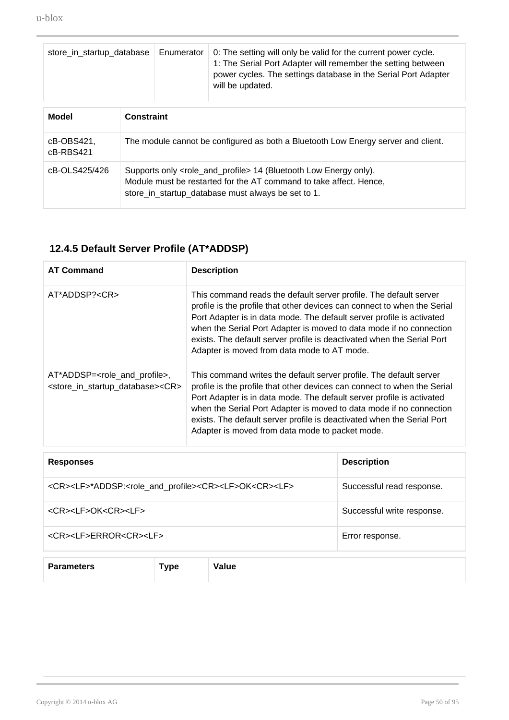| store_in_startup_database |                                                                                                                                                                                                                   | Enumerator | 0: The setting will only be valid for the current power cycle.<br>1: The Serial Port Adapter will remember the setting between<br>power cycles. The settings database in the Serial Port Adapter<br>will be updated. |
|---------------------------|-------------------------------------------------------------------------------------------------------------------------------------------------------------------------------------------------------------------|------------|----------------------------------------------------------------------------------------------------------------------------------------------------------------------------------------------------------------------|
| Model                     | <b>Constraint</b>                                                                                                                                                                                                 |            |                                                                                                                                                                                                                      |
| cB-OBS421,<br>cB-RBS421   | The module cannot be configured as both a Bluetooth Low Energy server and client.                                                                                                                                 |            |                                                                                                                                                                                                                      |
| cB-OLS425/426             | Supports only <role_and_profile> 14 (Bluetooth Low Energy only).<br/>Module must be restarted for the AT command to take affect. Hence,<br/>store_in_startup_database must always be set to 1.</role_and_profile> |            |                                                                                                                                                                                                                      |

### **12.4.5 Default Server Profile (AT\*ADDSP)**

| <b>AT Command</b>                                                                 | <b>Description</b>                                                                                                                                                                                                                                                                                                                                                                                                          |
|-----------------------------------------------------------------------------------|-----------------------------------------------------------------------------------------------------------------------------------------------------------------------------------------------------------------------------------------------------------------------------------------------------------------------------------------------------------------------------------------------------------------------------|
| AT*ADDSP? <cr></cr>                                                               | This command reads the default server profile. The default server<br>profile is the profile that other devices can connect to when the Serial<br>Port Adapter is in data mode. The default server profile is activated<br>when the Serial Port Adapter is moved to data mode if no connection<br>exists. The default server profile is deactivated when the Serial Port<br>Adapter is moved from data mode to AT mode.      |
| $AT*ADDSP=$ ,<br><store_in_startup_database><cr></cr></store_in_startup_database> | This command writes the default server profile. The default server<br>profile is the profile that other devices can connect to when the Serial<br>Port Adapter is in data mode. The default server profile is activated<br>when the Serial Port Adapter is moved to data mode if no connection<br>exists. The default server profile is deactivated when the Serial Port<br>Adapter is moved from data mode to packet mode. |

| <b>Responses</b>                                                                                     | <b>Description</b>         |
|------------------------------------------------------------------------------------------------------|----------------------------|
| <cr><lf>*ADDSP:<role_and_profile><cr><lf>OK<cr><lf></lf></cr></lf></cr></role_and_profile></lf></cr> | Successful read response.  |
| <cr><lf>OK<cr><lf></lf></cr></lf></cr>                                                               | Successful write response. |
| <cr><lf>ERROR<cr><lf></lf></cr></lf></cr>                                                            | Error response.            |
|                                                                                                      |                            |

| <b>Parameters</b> | ---- | Value |
|-------------------|------|-------|
|                   |      |       |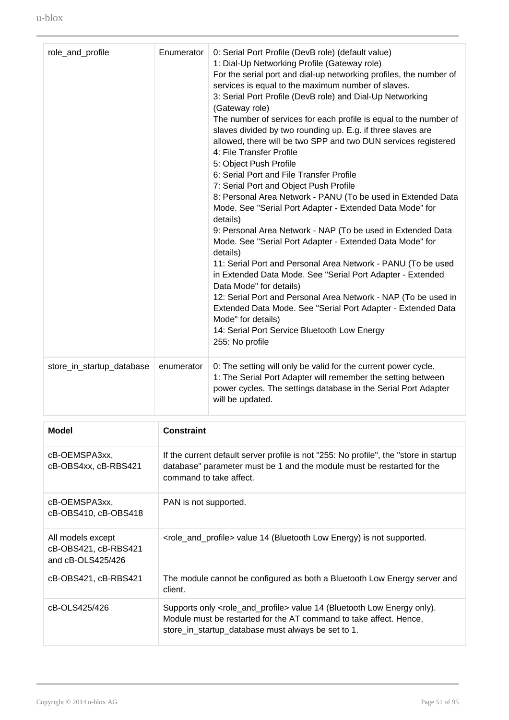| role_and_profile          | Enumerator | 0: Serial Port Profile (DevB role) (default value)<br>1: Dial-Up Networking Profile (Gateway role)<br>For the serial port and dial-up networking profiles, the number of<br>services is equal to the maximum number of slaves.<br>3: Serial Port Profile (DevB role) and Dial-Up Networking<br>(Gateway role)<br>The number of services for each profile is equal to the number of<br>slaves divided by two rounding up. E.g. if three slaves are<br>allowed, there will be two SPP and two DUN services registered<br>4: File Transfer Profile<br>5: Object Push Profile<br>6: Serial Port and File Transfer Profile<br>7: Serial Port and Object Push Profile<br>8: Personal Area Network - PANU (To be used in Extended Data<br>Mode. See "Serial Port Adapter - Extended Data Mode" for<br>details)<br>9: Personal Area Network - NAP (To be used in Extended Data<br>Mode. See "Serial Port Adapter - Extended Data Mode" for<br>details)<br>11: Serial Port and Personal Area Network - PANU (To be used<br>in Extended Data Mode. See "Serial Port Adapter - Extended<br>Data Mode" for details)<br>12: Serial Port and Personal Area Network - NAP (To be used in<br>Extended Data Mode. See "Serial Port Adapter - Extended Data<br>Mode" for details)<br>14: Serial Port Service Bluetooth Low Energy<br>255: No profile |
|---------------------------|------------|------------------------------------------------------------------------------------------------------------------------------------------------------------------------------------------------------------------------------------------------------------------------------------------------------------------------------------------------------------------------------------------------------------------------------------------------------------------------------------------------------------------------------------------------------------------------------------------------------------------------------------------------------------------------------------------------------------------------------------------------------------------------------------------------------------------------------------------------------------------------------------------------------------------------------------------------------------------------------------------------------------------------------------------------------------------------------------------------------------------------------------------------------------------------------------------------------------------------------------------------------------------------------------------------------------------------------------|
| store_in_startup_database | enumerator | 0: The setting will only be valid for the current power cycle.<br>1: The Serial Port Adapter will remember the setting between<br>power cycles. The settings database in the Serial Port Adapter<br>will be updated.                                                                                                                                                                                                                                                                                                                                                                                                                                                                                                                                                                                                                                                                                                                                                                                                                                                                                                                                                                                                                                                                                                               |
| Model                     | Constraint |                                                                                                                                                                                                                                                                                                                                                                                                                                                                                                                                                                                                                                                                                                                                                                                                                                                                                                                                                                                                                                                                                                                                                                                                                                                                                                                                    |

| Model                                                          | <b>Constraint</b>                                                                                                                                                                                                       |
|----------------------------------------------------------------|-------------------------------------------------------------------------------------------------------------------------------------------------------------------------------------------------------------------------|
| cB-OEMSPA3xx,<br>cB-OBS4xx, cB-RBS421                          | If the current default server profile is not "255: No profile", the "store in startup<br>database" parameter must be 1 and the module must be restarted for the<br>command to take affect.                              |
| cB-OEMSPA3xx,<br>cB-OBS410, cB-OBS418                          | PAN is not supported.                                                                                                                                                                                                   |
| All models except<br>cB-OBS421, cB-RBS421<br>and cB-OLS425/426 | <role_and_profile> value 14 (Bluetooth Low Energy) is not supported.</role_and_profile>                                                                                                                                 |
| cB-OBS421, cB-RBS421                                           | The module cannot be configured as both a Bluetooth Low Energy server and<br>client.                                                                                                                                    |
| cB-OLS425/426                                                  | Supports only <role_and_profile> value 14 (Bluetooth Low Energy only).<br/>Module must be restarted for the AT command to take affect. Hence,<br/>store_in_startup_database must always be set to 1.</role_and_profile> |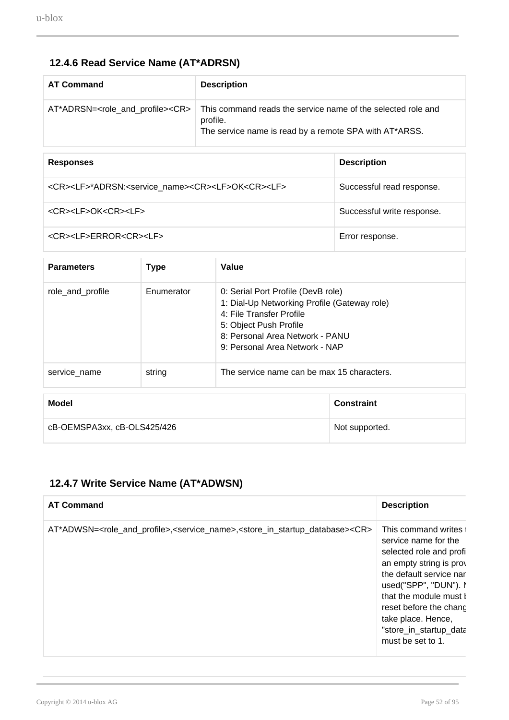### **12.4.6 Read Service Name (AT\*ADRSN)**

| <b>AT Command</b> | <b>Description</b>                                                                                                                                                                            |
|-------------------|-----------------------------------------------------------------------------------------------------------------------------------------------------------------------------------------------|
|                   | AT*ADRSN= <role_and_profile><cr> This command reads the service name of the selected role and<br/>profile.<br/>The service name is read by a remote SPA with AT*ARSS.</cr></role_and_profile> |

| <b>Responses</b>                                                                           | <b>Description</b>         |
|--------------------------------------------------------------------------------------------|----------------------------|
| <cr><lf>*ADRSN:<service name=""><cr><lf>OK<cr><lf></lf></cr></lf></cr></service></lf></cr> | Successful read response.  |
| <cr><lf>OK<cr><lf></lf></cr></lf></cr>                                                     | Successful write response. |
| <cr><lf>ERROR<cr><lf></lf></cr></lf></cr>                                                  | Error response.            |

| <b>Type</b> | Value                                                                                                                                                                                                         |                   |
|-------------|---------------------------------------------------------------------------------------------------------------------------------------------------------------------------------------------------------------|-------------------|
| Enumerator  | 0: Serial Port Profile (DevB role)<br>1: Dial-Up Networking Profile (Gateway role)<br>4: File Transfer Profile<br>5: Object Push Profile<br>8: Personal Area Network - PANU<br>9: Personal Area Network - NAP |                   |
| string      | The service name can be max 15 characters.                                                                                                                                                                    |                   |
|             |                                                                                                                                                                                                               | <b>Constraint</b> |
|             |                                                                                                                                                                                                               | Not supported.    |
|             | cB-OEMSPA3xx, cB-OLS425/426                                                                                                                                                                                   |                   |

### **12.4.7 Write Service Name (AT\*ADWSN)**

| <b>AT Command</b>                                                                                                                              | <b>Description</b>                                                                                                                                                                                                                                                               |
|------------------------------------------------------------------------------------------------------------------------------------------------|----------------------------------------------------------------------------------------------------------------------------------------------------------------------------------------------------------------------------------------------------------------------------------|
| AT*ADWSN= <role_and_profile>,<service_name>,<store_in_startup_database><cr></cr></store_in_startup_database></service_name></role_and_profile> | This command writes t<br>service name for the<br>selected role and profi<br>an empty string is prov<br>the default service nar<br>used("SPP", "DUN"). I<br>that the module must b<br>reset before the chang<br>take place. Hence,<br>"store_in_startup_data<br>must be set to 1. |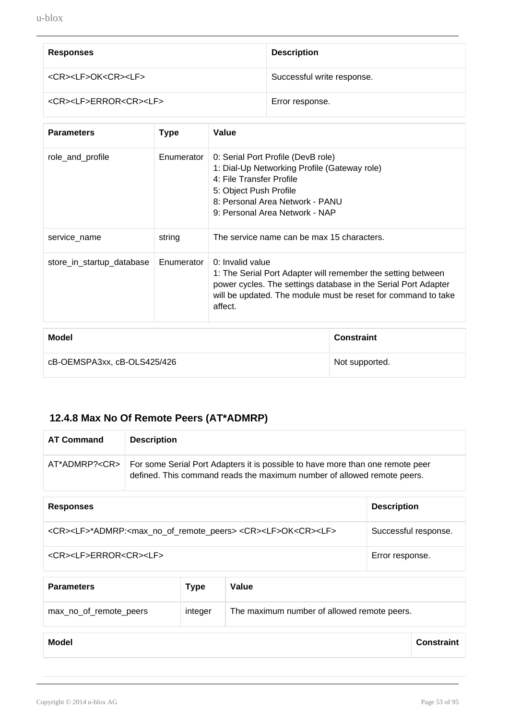| <b>Responses</b>                          | <b>Description</b>         |
|-------------------------------------------|----------------------------|
| <cr><lf>OK<cr><lf></lf></cr></lf></cr>    | Successful write response. |
| <cr><lf>ERROR<cr><lf></lf></cr></lf></cr> | Error response.            |

| <b>Parameters</b>         | Type       | Value                                                                                                                                                                                                                          |
|---------------------------|------------|--------------------------------------------------------------------------------------------------------------------------------------------------------------------------------------------------------------------------------|
| role_and_profile          | Enumerator | 0: Serial Port Profile (DevB role)<br>1: Dial-Up Networking Profile (Gateway role)<br>4: File Transfer Profile<br>5: Object Push Profile<br>8: Personal Area Network - PANU<br>9: Personal Area Network - NAP                  |
| service name              | string     | The service name can be max 15 characters.                                                                                                                                                                                     |
| store_in_startup_database | Enumerator | 0: Invalid value<br>1: The Serial Port Adapter will remember the setting between<br>power cycles. The settings database in the Serial Port Adapter<br>will be updated. The module must be reset for command to take<br>affect. |

| Model                       | <b>Constraint</b> |
|-----------------------------|-------------------|
| cB-OEMSPA3xx, cB-OLS425/426 | Not supported.    |

### **12.4.8 Max No Of Remote Peers (AT\*ADMRP)**

| <b>AT Command</b>                                                                                                 | <b>Description</b>                                                                                                                                        |                      |
|-------------------------------------------------------------------------------------------------------------------|-----------------------------------------------------------------------------------------------------------------------------------------------------------|----------------------|
| AT*ADMRP? <cr></cr>                                                                                               | For some Serial Port Adapters it is possible to have more than one remote peer<br>defined. This command reads the maximum number of allowed remote peers. |                      |
|                                                                                                                   |                                                                                                                                                           |                      |
| <b>Responses</b>                                                                                                  |                                                                                                                                                           | <b>Description</b>   |
| <cr><lf>*ADMRP:<max_no_of_remote_peers> <cr><lf>OK<cr><lf></lf></cr></lf></cr></max_no_of_remote_peers></lf></cr> |                                                                                                                                                           | Successful response. |
| <cr><lf>ERROR<cr><lf></lf></cr></lf></cr>                                                                         |                                                                                                                                                           | Error response.      |

| <b>Parameters</b>      | <b>Type</b> | Value                                       |
|------------------------|-------------|---------------------------------------------|
| max_no_of_remote_peers | integer     | The maximum number of allowed remote peers. |

| <b>Model</b> | <b>Constraint</b> |
|--------------|-------------------|
|              |                   |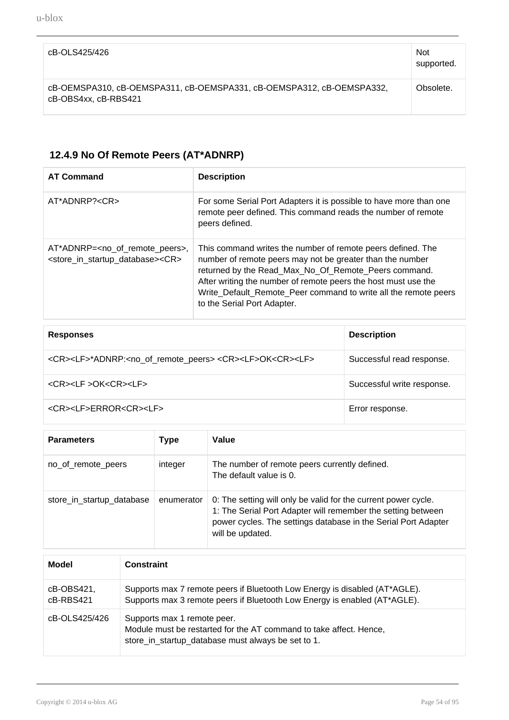| cB-OLS425/426                                                                                 | <b>Not</b><br>supported. |
|-----------------------------------------------------------------------------------------------|--------------------------|
| cB-OEMSPA310, cB-OEMSPA311, cB-OEMSPA331, cB-OEMSPA312, cB-OEMSPA332,<br>cB-OBS4xx, cB-RBS421 | Obsolete.                |

### **12.4.9 No Of Remote Peers (AT\*ADNRP)**

| <b>AT Command</b>                                                                                                         | <b>Description</b>                                                                                                                                                                                                                                                                                                                                   |
|---------------------------------------------------------------------------------------------------------------------------|------------------------------------------------------------------------------------------------------------------------------------------------------------------------------------------------------------------------------------------------------------------------------------------------------------------------------------------------------|
| AT*ADNRP? <cr></cr>                                                                                                       | For some Serial Port Adapters it is possible to have more than one<br>remote peer defined. This command reads the number of remote<br>peers defined.                                                                                                                                                                                                 |
| AT*ADNRP= <no_of_remote_peers>,<br/><store_in_startup_database><cr></cr></store_in_startup_database></no_of_remote_peers> | This command writes the number of remote peers defined. The<br>number of remote peers may not be greater than the number<br>returned by the Read_Max_No_Of_Remote_Peers command.<br>After writing the number of remote peers the host must use the<br>Write_Default_Remote_Peer command to write all the remote peers<br>to the Serial Port Adapter. |

| <b>Responses</b>                                                                                          | <b>Description</b>         |
|-----------------------------------------------------------------------------------------------------------|----------------------------|
| <cr><lf>*ADNRP:<no_of_remote_peers> <cr><lf>OK<cr><lf></lf></cr></lf></cr></no_of_remote_peers></lf></cr> | Successful read response.  |
| <cr><lf>OK<cr><lf></lf></cr></lf></cr>                                                                    | Successful write response. |
| <cr><lf>ERROR<cr><lf></lf></cr></lf></cr>                                                                 | Error response.            |

| <b>Parameters</b>         | Type       | Value                                                                                                                                                                                                                |
|---------------------------|------------|----------------------------------------------------------------------------------------------------------------------------------------------------------------------------------------------------------------------|
| no_of_remote_peers        | integer    | The number of remote peers currently defined.<br>The default value is 0.                                                                                                                                             |
| store_in_startup_database | enumerator | 0: The setting will only be valid for the current power cycle.<br>1: The Serial Port Adapter will remember the setting between<br>power cycles. The settings database in the Serial Port Adapter<br>will be updated. |

| Model                   | <b>Constraint</b>                                                                                                                                       |
|-------------------------|---------------------------------------------------------------------------------------------------------------------------------------------------------|
| cB-OBS421,<br>cB-RBS421 | Supports max 7 remote peers if Bluetooth Low Energy is disabled (AT*AGLE).<br>Supports max 3 remote peers if Bluetooth Low Energy is enabled (AT*AGLE). |
| cB-OLS425/426           | Supports max 1 remote peer.<br>Module must be restarted for the AT command to take affect. Hence,<br>store_in_startup_database must always be set to 1. |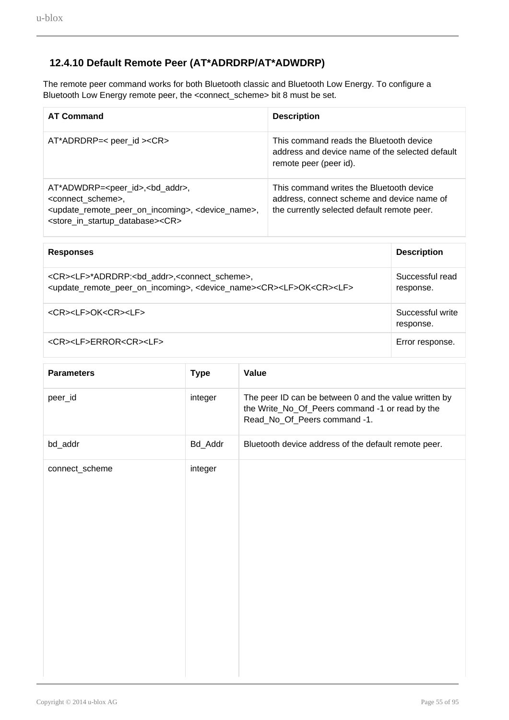#### **12.4.10 Default Remote Peer (AT\*ADRDRP/AT\*ADWDRP)**

The remote peer command works for both Bluetooth classic and Bluetooth Low Energy. To configure a Bluetooth Low Energy remote peer, the <connect\_scheme> bit 8 must be set.

| <b>AT Command</b>                                                                                                                                                                                                                                                    | <b>Description</b>                                                                                                                    |
|----------------------------------------------------------------------------------------------------------------------------------------------------------------------------------------------------------------------------------------------------------------------|---------------------------------------------------------------------------------------------------------------------------------------|
| $AT*ADRDRP=<$ peer_id $><$ CR $>$                                                                                                                                                                                                                                    | This command reads the Bluetooth device<br>address and device name of the selected default<br>remote peer (peer id).                  |
| AT*ADWDRP= <peer_id>,<br/>&gt;bd_addr&gt;,<br/><connect scheme="">,<br/><update_remote_peer_on_incoming>, <device_name>,<br><store_in_startup_database><cr></cr></store_in_startup_database></br></device_name></update_remote_peer_on_incoming></connect></peer_id> | This command writes the Bluetooth device<br>address, connect scheme and device name of<br>the currently selected default remote peer. |

| <b>Responses</b>                                                                                                                                                                                                          | <b>Description</b>            |
|---------------------------------------------------------------------------------------------------------------------------------------------------------------------------------------------------------------------------|-------------------------------|
| <cr><lf>*ADRDRP:<bd_addr>,<connect_scheme>,<br/><update_remote_peer_on_incoming>, <device_name><cr><lf>OK<cr><lf></lf></cr></lf></cr></device_name></update_remote_peer_on_incoming></connect_scheme></bd_addr></lf></cr> | Successful read<br>response.  |
| <cr><lf>OK<cr><lf></lf></cr></lf></cr>                                                                                                                                                                                    | Successful write<br>response. |
| <cr><lf>ERROR<cr><lf></lf></cr></lf></cr>                                                                                                                                                                                 | Error response.               |

| <b>Parameters</b> | <b>Type</b> | Value                                                                                                                                    |
|-------------------|-------------|------------------------------------------------------------------------------------------------------------------------------------------|
| peer_id           | integer     | The peer ID can be between 0 and the value written by<br>the Write_No_Of_Peers command -1 or read by the<br>Read_No_Of_Peers command -1. |
| bd_addr           | Bd_Addr     | Bluetooth device address of the default remote peer.                                                                                     |
| connect_scheme    | integer     |                                                                                                                                          |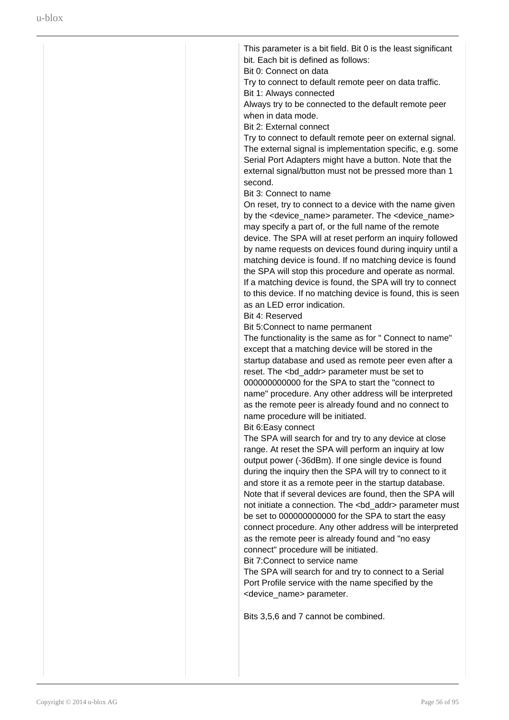| This parameter is a bit field. Bit 0 is the least significant<br>bit. Each bit is defined as follows:                                                                                                                                                                                                                                                                                                                                                                                                                                                                                                                                                                                                                                                                                                                                                   |
|---------------------------------------------------------------------------------------------------------------------------------------------------------------------------------------------------------------------------------------------------------------------------------------------------------------------------------------------------------------------------------------------------------------------------------------------------------------------------------------------------------------------------------------------------------------------------------------------------------------------------------------------------------------------------------------------------------------------------------------------------------------------------------------------------------------------------------------------------------|
| Bit 0: Connect on data                                                                                                                                                                                                                                                                                                                                                                                                                                                                                                                                                                                                                                                                                                                                                                                                                                  |
| Try to connect to default remote peer on data traffic.                                                                                                                                                                                                                                                                                                                                                                                                                                                                                                                                                                                                                                                                                                                                                                                                  |
| Bit 1: Always connected<br>Always try to be connected to the default remote peer                                                                                                                                                                                                                                                                                                                                                                                                                                                                                                                                                                                                                                                                                                                                                                        |
| when in data mode.                                                                                                                                                                                                                                                                                                                                                                                                                                                                                                                                                                                                                                                                                                                                                                                                                                      |
| Bit 2: External connect                                                                                                                                                                                                                                                                                                                                                                                                                                                                                                                                                                                                                                                                                                                                                                                                                                 |
| Try to connect to default remote peer on external signal.<br>The external signal is implementation specific, e.g. some<br>Serial Port Adapters might have a button. Note that the<br>external signal/button must not be pressed more than 1<br>second.                                                                                                                                                                                                                                                                                                                                                                                                                                                                                                                                                                                                  |
| Bit 3: Connect to name                                                                                                                                                                                                                                                                                                                                                                                                                                                                                                                                                                                                                                                                                                                                                                                                                                  |
| On reset, try to connect to a device with the name given                                                                                                                                                                                                                                                                                                                                                                                                                                                                                                                                                                                                                                                                                                                                                                                                |
| by the <device_name> parameter. The <device_name><br/>may specify a part of, or the full name of the remote<br/>device. The SPA will at reset perform an inquiry followed<br/>by name requests on devices found during inquiry until a<br/>matching device is found. If no matching device is found<br/>the SPA will stop this procedure and operate as normal.<br/>If a matching device is found, the SPA will try to connect<br/>to this device. If no matching device is found, this is seen<br/>as an LED error indication.</device_name></device_name>                                                                                                                                                                                                                                                                                             |
| Bit 4: Reserved                                                                                                                                                                                                                                                                                                                                                                                                                                                                                                                                                                                                                                                                                                                                                                                                                                         |
| Bit 5: Connect to name permanent                                                                                                                                                                                                                                                                                                                                                                                                                                                                                                                                                                                                                                                                                                                                                                                                                        |
| The functionality is the same as for " Connect to name"<br>except that a matching device will be stored in the<br>startup database and used as remote peer even after a<br>reset. The <bd_addr> parameter must be set to<br/>000000000000 for the SPA to start the "connect to<br/>name" procedure. Any other address will be interpreted<br/>as the remote peer is already found and no connect to<br/>name procedure will be initiated.<br/>Bit 6: Easy connect</bd_addr>                                                                                                                                                                                                                                                                                                                                                                             |
| The SPA will search for and try to any device at close<br>range. At reset the SPA will perform an inquiry at low<br>output power (-36dBm). If one single device is found<br>during the inquiry then the SPA will try to connect to it<br>and store it as a remote peer in the startup database.<br>Note that if several devices are found, then the SPA will<br>not initiate a connection. The <bd_addr> parameter must<br/>be set to 000000000000 for the SPA to start the easy<br/>connect procedure. Any other address will be interpreted<br/>as the remote peer is already found and "no easy<br/>connect" procedure will be initiated.<br/>Bit 7: Connect to service name<br/>The SPA will search for and try to connect to a Serial<br/>Port Profile service with the name specified by the<br/><device_name> parameter.</device_name></bd_addr> |
| Bits 3,5,6 and 7 cannot be combined.                                                                                                                                                                                                                                                                                                                                                                                                                                                                                                                                                                                                                                                                                                                                                                                                                    |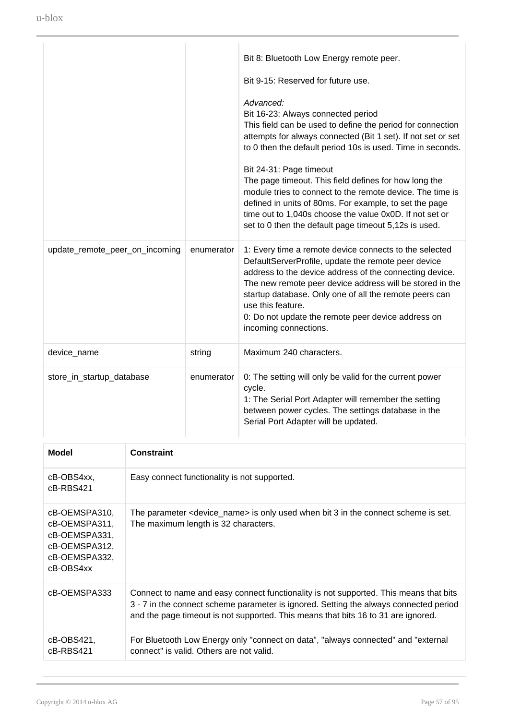|                                |            | Bit 8: Bluetooth Low Energy remote peer.                                                                                                                                                                                                                                                                                                                                                           |
|--------------------------------|------------|----------------------------------------------------------------------------------------------------------------------------------------------------------------------------------------------------------------------------------------------------------------------------------------------------------------------------------------------------------------------------------------------------|
|                                |            | Bit 9-15: Reserved for future use.                                                                                                                                                                                                                                                                                                                                                                 |
|                                |            | Advanced:<br>Bit 16-23: Always connected period<br>This field can be used to define the period for connection<br>attempts for always connected (Bit 1 set). If not set or set<br>to 0 then the default period 10s is used. Time in seconds.                                                                                                                                                        |
|                                |            | Bit 24-31: Page timeout<br>The page timeout. This field defines for how long the<br>module tries to connect to the remote device. The time is<br>defined in units of 80ms. For example, to set the page<br>time out to 1,040s choose the value 0x0D. If not set or<br>set to 0 then the default page timeout 5,12s is used.                                                                        |
| update_remote_peer_on_incoming | enumerator | 1: Every time a remote device connects to the selected<br>DefaultServerProfile, update the remote peer device<br>address to the device address of the connecting device.<br>The new remote peer device address will be stored in the<br>startup database. Only one of all the remote peers can<br>use this feature.<br>0: Do not update the remote peer device address on<br>incoming connections. |
| device_name                    | string     | Maximum 240 characters.                                                                                                                                                                                                                                                                                                                                                                            |
| store_in_startup_database      | enumerator | 0: The setting will only be valid for the current power<br>cycle.<br>1: The Serial Port Adapter will remember the setting<br>between power cycles. The settings database in the<br>Serial Port Adapter will be updated.                                                                                                                                                                            |

| Model                                                                                          | <b>Constraint</b>                                                                                                                                                                                                                                                   |
|------------------------------------------------------------------------------------------------|---------------------------------------------------------------------------------------------------------------------------------------------------------------------------------------------------------------------------------------------------------------------|
| cB-OBS4xx,<br>cB-RBS421                                                                        | Easy connect functionality is not supported.                                                                                                                                                                                                                        |
| cB-OEMSPA310,<br>cB-OEMSPA311,<br>cB-OEMSPA331,<br>cB-OEMSPA312,<br>cB-OEMSPA332,<br>cB-OBS4xx | The parameter <device_name> is only used when bit 3 in the connect scheme is set.<br/>The maximum length is 32 characters.</device_name>                                                                                                                            |
| cB-OEMSPA333                                                                                   | Connect to name and easy connect functionality is not supported. This means that bits<br>3 - 7 in the connect scheme parameter is ignored. Setting the always connected period<br>and the page timeout is not supported. This means that bits 16 to 31 are ignored. |
| cB-OBS421,<br>cB-RBS421                                                                        | For Bluetooth Low Energy only "connect on data", "always connected" and "external<br>connect" is valid. Others are not valid.                                                                                                                                       |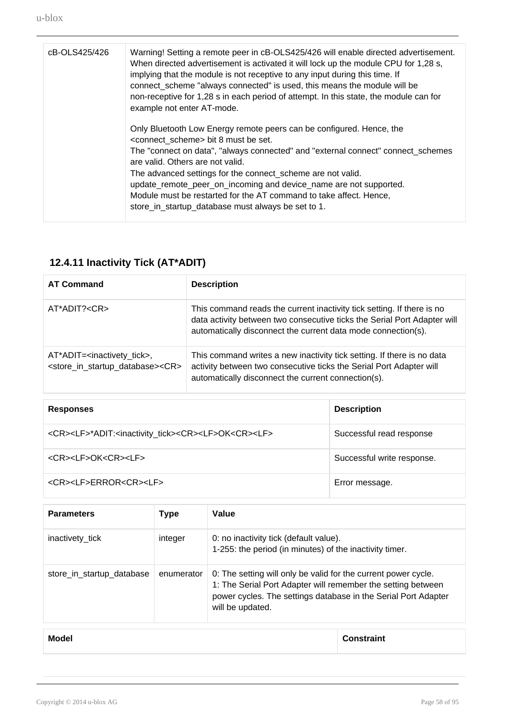| cB-OLS425/426 | Warning! Setting a remote peer in cB-OLS425/426 will enable directed advertisement.<br>When directed advertisement is activated it will lock up the module CPU for 1,28 s,<br>implying that the module is not receptive to any input during this time. If<br>connect_scheme "always connected" is used, this means the module will be<br>non-receptive for 1,28 s in each period of attempt. In this state, the module can for<br>example not enter AT-mode.                                                               |
|---------------|----------------------------------------------------------------------------------------------------------------------------------------------------------------------------------------------------------------------------------------------------------------------------------------------------------------------------------------------------------------------------------------------------------------------------------------------------------------------------------------------------------------------------|
|               | Only Bluetooth Low Energy remote peers can be configured. Hence, the<br><connect_scheme> bit 8 must be set.<br/>The "connect on data", "always connected" and "external connect" connect_schemes<br/>are valid. Others are not valid.<br/>The advanced settings for the connect_scheme are not valid.<br/>update_remote_peer_on_incoming and device_name are not supported.<br/>Module must be restarted for the AT command to take affect. Hence,<br/>store_in_startup_database must always be set to 1.</connect_scheme> |

# **12.4.11 Inactivity Tick (AT\*ADIT)**

| <b>AT Command</b>                                                                                                  | <b>Description</b>                                                                                                                                                                                                  |
|--------------------------------------------------------------------------------------------------------------------|---------------------------------------------------------------------------------------------------------------------------------------------------------------------------------------------------------------------|
| AT*ADIT? <cr></cr>                                                                                                 | This command reads the current inactivity tick setting. If there is no<br>data activity between two consecutive ticks the Serial Port Adapter will<br>automatically disconnect the current data mode connection(s). |
| AT*ADIT= <inactivety_tick>,<br/><store_in_startup_database><cr></cr></store_in_startup_database></inactivety_tick> | This command writes a new inactivity tick setting. If there is no data<br>activity between two consecutive ticks the Serial Port Adapter will<br>automatically disconnect the current connection(s).                |

| <b>Responses</b>                                                                                  | <b>Description</b>         |
|---------------------------------------------------------------------------------------------------|----------------------------|
| <cr><lf>*ADIT:<inactivity_tick><cr><lf>OK<cr><lf></lf></cr></lf></cr></inactivity_tick></lf></cr> | Successful read response   |
| <cr><lf>OK<cr><lf></lf></cr></lf></cr>                                                            | Successful write response. |
| <cr><lf>ERROR<cr><lf></lf></cr></lf></cr>                                                         | Error message.             |

| <b>Parameters</b>         | Type       | Value                                                                                                                                                                                                                |
|---------------------------|------------|----------------------------------------------------------------------------------------------------------------------------------------------------------------------------------------------------------------------|
| inactivety_tick           | integer    | 0: no inactivity tick (default value).<br>1-255: the period (in minutes) of the inactivity timer.                                                                                                                    |
| store_in_startup_database | enumerator | 0: The setting will only be valid for the current power cycle.<br>1: The Serial Port Adapter will remember the setting between<br>power cycles. The settings database in the Serial Port Adapter<br>will be updated. |

**Model Constraint**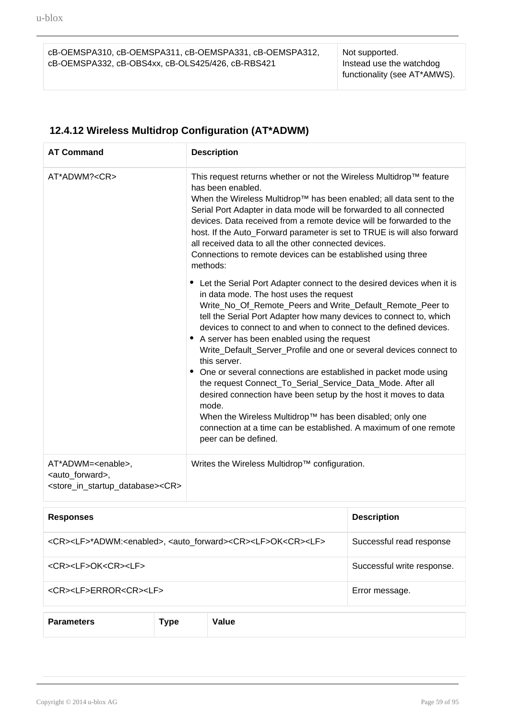cB-OEMSPA310, cB-OEMSPA311, cB-OEMSPA331, cB-OEMSPA312, cB-OEMSPA332, cB-OBS4xx, cB-OLS425/426, cB-RBS421

Not supported. Instead use the watchdog functionality (see AT\*AMWS).

### **12.4.12 Wireless Multidrop Configuration (AT\*ADWM)**

| <b>AT Command</b>                                                                                                                   | <b>Description</b>                                                                                                                                                                                                                                                                                                                                                                                                                                                                                                                                                                                                                                                                                                                                                                                                                       |
|-------------------------------------------------------------------------------------------------------------------------------------|------------------------------------------------------------------------------------------------------------------------------------------------------------------------------------------------------------------------------------------------------------------------------------------------------------------------------------------------------------------------------------------------------------------------------------------------------------------------------------------------------------------------------------------------------------------------------------------------------------------------------------------------------------------------------------------------------------------------------------------------------------------------------------------------------------------------------------------|
| AT*ADWM? <cr></cr>                                                                                                                  | This request returns whether or not the Wireless Multidrop™ feature<br>has been enabled.<br>When the Wireless Multidrop™ has been enabled; all data sent to the<br>Serial Port Adapter in data mode will be forwarded to all connected<br>devices. Data received from a remote device will be forwarded to the<br>host. If the Auto_Forward parameter is set to TRUE is will also forward<br>all received data to all the other connected devices.<br>Connections to remote devices can be established using three<br>methods:                                                                                                                                                                                                                                                                                                           |
|                                                                                                                                     | • Let the Serial Port Adapter connect to the desired devices when it is<br>in data mode. The host uses the request<br>Write_No_Of_Remote_Peers and Write_Default_Remote_Peer to<br>tell the Serial Port Adapter how many devices to connect to, which<br>devices to connect to and when to connect to the defined devices.<br>• A server has been enabled using the request<br>Write_Default_Server_Profile and one or several devices connect to<br>this server.<br>• One or several connections are established in packet mode using<br>the request Connect_To_Serial_Service_Data_Mode. After all<br>desired connection have been setup by the host it moves to data<br>mode.<br>When the Wireless Multidrop™ has been disabled; only one<br>connection at a time can be established. A maximum of one remote<br>peer can be defined. |
| AT*ADWM= <enable>,<br/><auto_forward>,<br/><store_in_startup_database><cr></cr></store_in_startup_database></auto_forward></enable> | Writes the Wireless Multidrop™ configuration.                                                                                                                                                                                                                                                                                                                                                                                                                                                                                                                                                                                                                                                                                                                                                                                            |

| <b>Responses</b>                                                                                                 | <b>Description</b>         |
|------------------------------------------------------------------------------------------------------------------|----------------------------|
| <cr><lf>*ADWM:<enabled>, <auto_forward><cr><lf>OK<cr><lf></lf></cr></lf></cr></auto_forward></enabled></lf></cr> | Successful read response   |
| <cr><lf>OK<cr><lf></lf></cr></lf></cr>                                                                           | Successful write response. |
| <cr><lf>ERROR<cr><lf></lf></cr></lf></cr>                                                                        | Error message.             |
|                                                                                                                  |                            |

**Parameters Type Value**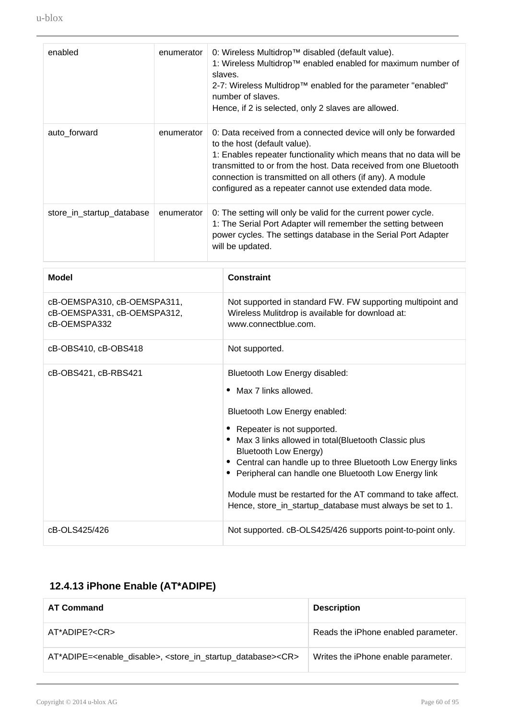| enabled                   | enumerator | 0: Wireless Multidrop™ disabled (default value).<br>1: Wireless Multidrop™ enabled enabled for maximum number of<br>slaves.<br>2-7: Wireless Multidrop™ enabled for the parameter "enabled"<br>number of slaves.<br>Hence, if 2 is selected, only 2 slaves are allowed.                                                                                             |
|---------------------------|------------|---------------------------------------------------------------------------------------------------------------------------------------------------------------------------------------------------------------------------------------------------------------------------------------------------------------------------------------------------------------------|
| auto_forward              | enumerator | 0: Data received from a connected device will only be forwarded<br>to the host (default value).<br>1: Enables repeater functionality which means that no data will be<br>transmitted to or from the host. Data received from one Bluetooth<br>connection is transmitted on all others (if any). A module<br>configured as a repeater cannot use extended data mode. |
| store_in_startup_database | enumerator | 0: The setting will only be valid for the current power cycle.<br>1: The Serial Port Adapter will remember the setting between<br>power cycles. The settings database in the Serial Port Adapter<br>will be updated.                                                                                                                                                |

| <b>Model</b>                                                               | <b>Constraint</b>                                                                                                                                                                                                                                                                                                                                                                                                                                         |
|----------------------------------------------------------------------------|-----------------------------------------------------------------------------------------------------------------------------------------------------------------------------------------------------------------------------------------------------------------------------------------------------------------------------------------------------------------------------------------------------------------------------------------------------------|
| cB-OEMSPA310, cB-OEMSPA311,<br>cB-OEMSPA331, cB-OEMSPA312,<br>cB-OEMSPA332 | Not supported in standard FW. FW supporting multipoint and<br>Wireless Mulitdrop is available for download at:<br>www.connectblue.com.                                                                                                                                                                                                                                                                                                                    |
| cB-OBS410, cB-OBS418                                                       | Not supported.                                                                                                                                                                                                                                                                                                                                                                                                                                            |
| cB-OBS421, cB-RBS421                                                       | Bluetooth Low Energy disabled:<br>Max 7 links allowed.<br>Bluetooth Low Energy enabled:<br>Repeater is not supported.<br>Max 3 links allowed in total(Bluetooth Classic plus<br>Bluetooth Low Energy)<br>• Central can handle up to three Bluetooth Low Energy links<br>• Peripheral can handle one Bluetooth Low Energy link<br>Module must be restarted for the AT command to take affect.<br>Hence, store_in_startup_database must always be set to 1. |
| cB-OLS425/426                                                              | Not supported. cB-OLS425/426 supports point-to-point only.                                                                                                                                                                                                                                                                                                                                                                                                |

### **12.4.13 iPhone Enable (AT\*ADIPE)**

| <b>AT Command</b>                                                                                             | <b>Description</b>                  |
|---------------------------------------------------------------------------------------------------------------|-------------------------------------|
| AT*ADIPE? <cr></cr>                                                                                           | Reads the iPhone enabled parameter. |
| AT*ADIPE= <enable_disable>, <store_in_startup_database><cr></cr></store_in_startup_database></enable_disable> | Writes the iPhone enable parameter. |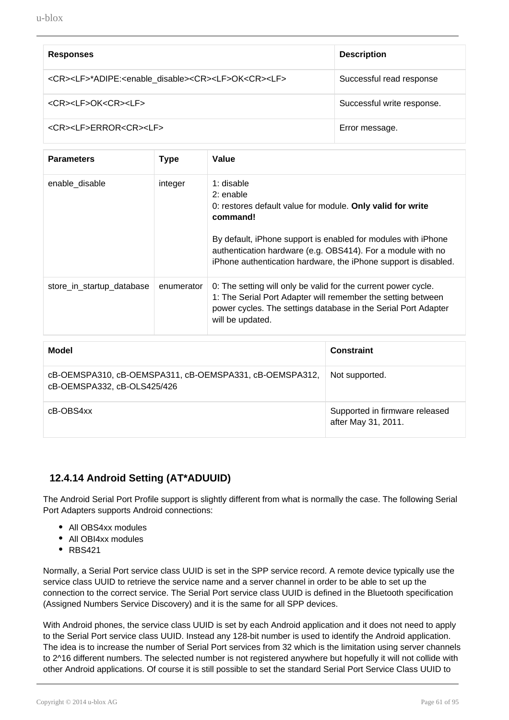| <b>Responses</b>                                                                            | <b>Description</b>         |
|---------------------------------------------------------------------------------------------|----------------------------|
| <cr><lf>*ADIPE:<enable disable=""><cr><lf>OK<cr><lf></lf></cr></lf></cr></enable></lf></cr> | Successful read response   |
| <cr><lf>OK<cr><lf></lf></cr></lf></cr>                                                      | Successful write response. |
| <cr><lf>ERROR<cr><lf></lf></cr></lf></cr>                                                   | Error message.             |

| <b>Parameters</b>         | <b>Type</b> | Value                                                                                                                                                                                                                                                                                                  |
|---------------------------|-------------|--------------------------------------------------------------------------------------------------------------------------------------------------------------------------------------------------------------------------------------------------------------------------------------------------------|
| enable disable            | integer     | 1: disable<br>$2:$ enable<br>0: restores default value for module. Only valid for write<br>command!<br>By default, iPhone support is enabled for modules with iPhone<br>authentication hardware (e.g. OBS414). For a module with no<br>iPhone authentication hardware, the iPhone support is disabled. |
| store_in_startup_database | enumerator  | 0: The setting will only be valid for the current power cycle.<br>1: The Serial Port Adapter will remember the setting between<br>power cycles. The settings database in the Serial Port Adapter<br>will be updated.                                                                                   |

| Model                                                                                  | <b>Constraint</b>                                     |
|----------------------------------------------------------------------------------------|-------------------------------------------------------|
| cB-OEMSPA310, cB-OEMSPA311, cB-OEMSPA331, cB-OEMSPA312,<br>cB-OEMSPA332, cB-OLS425/426 | Not supported.                                        |
| cB-OBS4xx                                                                              | Supported in firmware released<br>after May 31, 2011. |

#### **12.4.14 Android Setting (AT\*ADUUID)**

The Android Serial Port Profile support is slightly different from what is normally the case. The following Serial Port Adapters supports Android connections:

- All OBS4xx modules
- All OBI4xx modules
- $\cdot$  RBS421

Normally, a Serial Port service class UUID is set in the SPP service record. A remote device typically use the service class UUID to retrieve the service name and a server channel in order to be able to set up the connection to the correct service. The Serial Port service class UUID is defined in the Bluetooth specification (Assigned Numbers Service Discovery) and it is the same for all SPP devices.

With Android phones, the service class UUID is set by each Android application and it does not need to apply to the Serial Port service class UUID. Instead any 128-bit number is used to identify the Android application. The idea is to increase the number of Serial Port services from 32 which is the limitation using server channels to 2^16 different numbers. The selected number is not registered anywhere but hopefully it will not collide with other Android applications. Of course it is still possible to set the standard Serial Port Service Class UUID to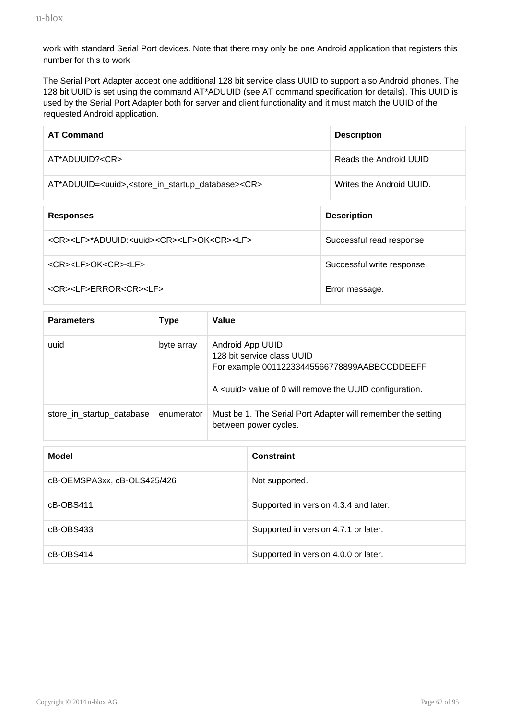work with standard Serial Port devices. Note that there may only be one Android application that registers this number for this to work

The Serial Port Adapter accept one additional 128 bit service class UUID to support also Android phones. The 128 bit UUID is set using the command AT\*ADUUID (see AT command specification for details). This UUID is used by the Serial Port Adapter both for server and client functionality and it must match the UUID of the requested Android application.

| <b>AT Command</b>                                                                         | <b>Description</b>         |
|-------------------------------------------------------------------------------------------|----------------------------|
| $AT^*ADULID? < CR$                                                                        | Reads the Android UUID     |
| AT*ADUUID= <uuid>,<store_in_startup_database><cr></cr></store_in_startup_database></uuid> | Writes the Android UUID.   |
| <b>Responses</b>                                                                          | <b>Description</b>         |
| <cr><lf>*ADUUID:<uuid><cr><lf>OK<cr><lf></lf></cr></lf></cr></uuid></lf></cr>             | Successful read response   |
| <cr><lf>OK<cr><lf></lf></cr></lf></cr>                                                    | Successful write response. |
| <cr><lf>ERROR<cr><lf></lf></cr></lf></cr>                                                 | Error message.             |

| <b>Parameters</b>         | <b>Type</b> | Value                                                                                                                                                            |
|---------------------------|-------------|------------------------------------------------------------------------------------------------------------------------------------------------------------------|
| uuid                      | byte array  | Android App UUID<br>128 bit service class UUID<br>For example 00112233445566778899AABBCCDDEEFF<br>A <uuid> value of 0 will remove the UUID configuration.</uuid> |
| store_in_startup_database | enumerator  | Must be 1. The Serial Port Adapter will remember the setting<br>between power cycles.                                                                            |

| Model                       | <b>Constraint</b>                     |
|-----------------------------|---------------------------------------|
| cB-OEMSPA3xx, cB-OLS425/426 | Not supported.                        |
| cB-OBS411                   | Supported in version 4.3.4 and later. |
| cB-OBS433                   | Supported in version 4.7.1 or later.  |
| cB-OBS414                   | Supported in version 4.0.0 or later.  |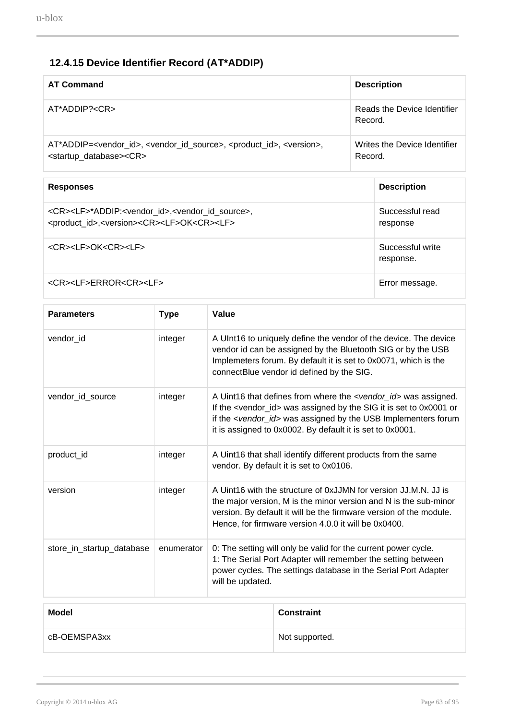### **12.4.15 Device Identifier Record (AT\*ADDIP)**

| <b>AT Command</b>                                                                                                                                                            | <b>Description</b>                      |
|------------------------------------------------------------------------------------------------------------------------------------------------------------------------------|-----------------------------------------|
| $AT^*ADDIP? < CR$                                                                                                                                                            | Reads the Device Identifier<br>Record.  |
| AT*ADDIP= <vendor_id>, <vendor_id_source>, <product_id>, <version>,<br/><startup_database><cr></cr></startup_database></version></product_id></vendor_id_source></vendor_id> | Writes the Device Identifier<br>Record. |

| <b>Responses</b>                                                                                                                                                            | <b>Description</b>            |
|-----------------------------------------------------------------------------------------------------------------------------------------------------------------------------|-------------------------------|
| <cr><lf>*ADDIP:<vendor id="">,<vendor id="" source="">,<br/><product_id>,<version><cr><lf>OK<cr><lf></lf></cr></lf></cr></version></product_id></vendor></vendor></lf></cr> | Successful read<br>response   |
| <cr><lf>OK<cr><lf></lf></cr></lf></cr>                                                                                                                                      | Successful write<br>response. |
| <cr><lf>ERROR<cr><lf></lf></cr></lf></cr>                                                                                                                                   | Error message.                |

| <b>Parameters</b>         | <b>Type</b> | Value                                                                                                                                                                                                                                                                                                    |  |
|---------------------------|-------------|----------------------------------------------------------------------------------------------------------------------------------------------------------------------------------------------------------------------------------------------------------------------------------------------------------|--|
| vendor_id                 | integer     | A UInt16 to uniquely define the vendor of the device. The device<br>vendor id can be assigned by the Bluetooth SIG or by the USB<br>Implemeters forum. By default it is set to 0x0071, which is the<br>connectBlue vendor id defined by the SIG.                                                         |  |
| vendor_id_source          | integer     | A Uint16 that defines from where the <vendor_id> was assigned.<br/>If the <vendor_id> was assigned by the SIG it is set to 0x0001 or<br/>if the <vendor_id> was assigned by the USB Implementers forum<br/>it is assigned to 0x0002. By default it is set to 0x0001.</vendor_id></vendor_id></vendor_id> |  |
| product_id                | integer     | A Uint16 that shall identify different products from the same<br>vendor. By default it is set to 0x0106.                                                                                                                                                                                                 |  |
| version                   | integer     | A Uint16 with the structure of 0xJJMN for version JJ.M.N. JJ is<br>the major version, M is the minor version and N is the sub-minor<br>version. By default it will be the firmware version of the module.<br>Hence, for firmware version 4.0.0 it will be 0x0400.                                        |  |
| store_in_startup_database | enumerator  | 0: The setting will only be valid for the current power cycle.<br>1: The Serial Port Adapter will remember the setting between<br>power cycles. The settings database in the Serial Port Adapter<br>will be updated.                                                                                     |  |
| <b>Modol</b>              |             | $C$ onctroint                                                                                                                                                                                                                                                                                            |  |

| <b>Model</b> | <b>Constraint</b> |
|--------------|-------------------|
| cB-OEMSPA3xx | Not supported.    |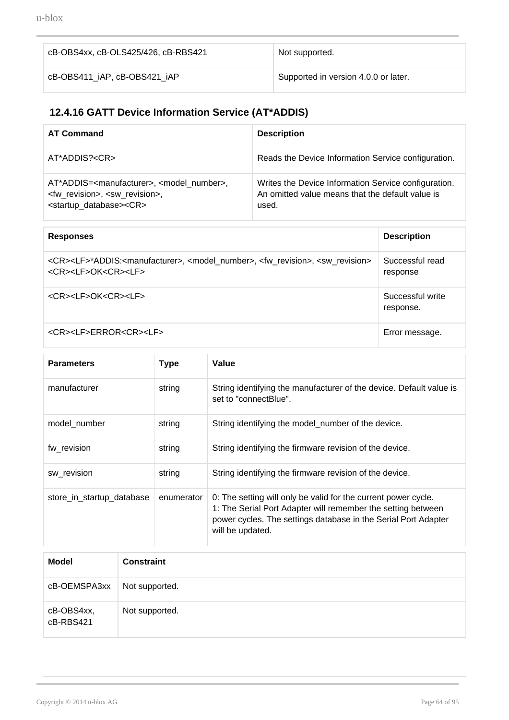| cB-OBS4xx, cB-OLS425/426, cB-RBS421 | Not supported.                       |
|-------------------------------------|--------------------------------------|
| cB-OBS411 iAP, cB-OBS421 iAP        | Supported in version 4.0.0 or later. |

### **12.4.16 GATT Device Information Service (AT\*ADDIS)**

| <b>AT Command</b>                                                                                                                                                        | <b>Description</b>                                                                                                |
|--------------------------------------------------------------------------------------------------------------------------------------------------------------------------|-------------------------------------------------------------------------------------------------------------------|
| AT*ADDIS? <cr></cr>                                                                                                                                                      | Reads the Device Information Service configuration.                                                               |
| AT*ADDIS= <manufacturer>, <model number="">,<br/><fw revision="">, <sw revision="">,<br/><startup_database><cr></cr></startup_database></sw></fw></model></manufacturer> | Writes the Device Information Service configuration.<br>An omitted value means that the default value is<br>used. |

| <b>Responses</b>                                                                                                                                                           | <b>Description</b>            |
|----------------------------------------------------------------------------------------------------------------------------------------------------------------------------|-------------------------------|
| <cr><lf>*ADDIS:<manufacturer>, <model number="">, <fw revision="">, <sw revision=""><br/><cr><lf>OK<cr><lf></lf></cr></lf></cr></sw></fw></model></manufacturer></lf></cr> | Successful read<br>response   |
| <cr><lf>OK<cr><lf></lf></cr></lf></cr>                                                                                                                                     | Successful write<br>response. |
| <cr><lf>ERROR<cr><lf></lf></cr></lf></cr>                                                                                                                                  | Error message.                |

| <b>Parameters</b>         | <b>Type</b> | Value                                                                                                                                                                                                                |
|---------------------------|-------------|----------------------------------------------------------------------------------------------------------------------------------------------------------------------------------------------------------------------|
| manufacturer              | string      | String identifying the manufacturer of the device. Default value is<br>set to "connectBlue".                                                                                                                         |
| model number              | string      | String identifying the model_number of the device.                                                                                                                                                                   |
| fw revision               | string      | String identifying the firmware revision of the device.                                                                                                                                                              |
| sw revision               | string      | String identifying the firmware revision of the device.                                                                                                                                                              |
| store_in_startup_database | enumerator  | 0: The setting will only be valid for the current power cycle.<br>1: The Serial Port Adapter will remember the setting between<br>power cycles. The settings database in the Serial Port Adapter<br>will be updated. |

| <b>Model</b>            | <b>Constraint</b> |
|-------------------------|-------------------|
| cB-OEMSPA3xx            | Not supported.    |
| cB-OBS4xx,<br>cB-RBS421 | Not supported.    |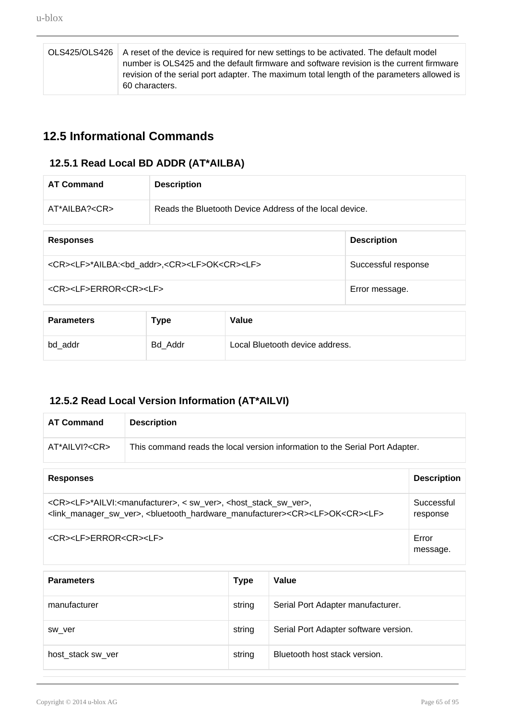| OLS425/OLS426   A reset of the device is required for new settings to be activated. The default model |
|-------------------------------------------------------------------------------------------------------|
| number is OLS425 and the default firmware and software revision is the current firmware               |
| revision of the serial port adapter. The maximum total length of the parameters allowed is            |
| 60 characters.                                                                                        |

### **12.5 Informational Commands**

#### **12.5.1 Read Local BD ADDR (AT\*AILBA)**

| <b>AT Command</b>                                                                   | <b>Description</b> |                     |
|-------------------------------------------------------------------------------------|--------------------|---------------------|
| $AT^*AILBA? < CR$<br>Reads the Bluetooth Device Address of the local device.        |                    |                     |
| <b>Responses</b>                                                                    |                    | <b>Description</b>  |
| <cr><lf>*AILBA:<bd_addr>,<cr><lf>OK<cr><lf></lf></cr></lf></cr></bd_addr></lf></cr> |                    | Successful response |
| <cr><lf>ERROR<cr><lf></lf></cr></lf></cr>                                           |                    | Error message.      |

| <b>Parameters</b> | <b>Type</b> | Value                           |
|-------------------|-------------|---------------------------------|
| bd_addr           | Bd Addr     | Local Bluetooth device address. |

### **12.5.2 Read Local Version Information (AT\*AILVI)**

| <b>AT Command</b>                                                                                                                                                                                                                                                            | <b>Description</b> |                        |  |
|------------------------------------------------------------------------------------------------------------------------------------------------------------------------------------------------------------------------------------------------------------------------------|--------------------|------------------------|--|
| $AT^*AILVI? < CR$<br>This command reads the local version information to the Serial Port Adapter.                                                                                                                                                                            |                    |                        |  |
| <b>Responses</b>                                                                                                                                                                                                                                                             |                    | <b>Description</b>     |  |
| <cr><lf>*AILVI:<manufacturer>, &lt; sw_ver&gt;, <host_stack_sw_ver>,<br/><link_manager_sw_ver>, <bluetooth_hardware_manufacturer><cr><lf>OK<cr><lf></lf></cr></lf></cr></bluetooth_hardware_manufacturer></link_manager_sw_ver></host_stack_sw_ver></manufacturer></lf></cr> |                    | Successful<br>response |  |
| <cr><lf>ERROR<cr><lf></lf></cr></lf></cr>                                                                                                                                                                                                                                    |                    | Error<br>message.      |  |

| <b>Parameters</b> | <b>Type</b> | Value                                 |
|-------------------|-------------|---------------------------------------|
| manufacturer      | string      | Serial Port Adapter manufacturer.     |
| sw ver            | string      | Serial Port Adapter software version. |
| host stack sw ver | string      | Bluetooth host stack version.         |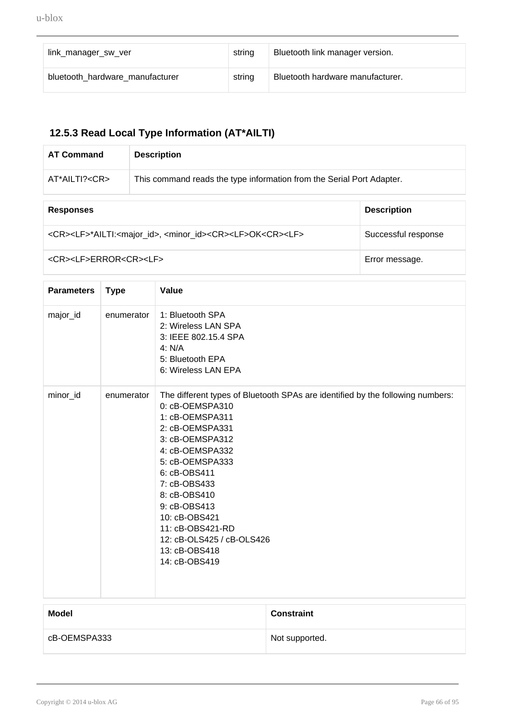| link manager sw ver             | string | Bluetooth link manager version.  |
|---------------------------------|--------|----------------------------------|
| bluetooth hardware manufacturer | string | Bluetooth hardware manufacturer. |

# **12.5.3 Read Local Type Information (AT\*AILTI)**

| <b>AT Command</b>   | <b>Description</b>                                                    |
|---------------------|-----------------------------------------------------------------------|
| AT*AILTI? <cr></cr> | This command reads the type information from the Serial Port Adapter. |
|                     |                                                                       |

| <b>Responses</b>                                                                                            | <b>Description</b>  |
|-------------------------------------------------------------------------------------------------------------|---------------------|
| <cr><lf>*AILTI:<major_id>, <minor_id><cr><lf>OK<cr><lf></lf></cr></lf></cr></minor_id></major_id></lf></cr> | Successful response |
| <cr><lf>ERROR<cr><lf></lf></cr></lf></cr>                                                                   | Error message.      |

| <b>Parameters</b> | <b>Type</b> | Value                                                                                                                                                                                                                                                                                                                                                                |
|-------------------|-------------|----------------------------------------------------------------------------------------------------------------------------------------------------------------------------------------------------------------------------------------------------------------------------------------------------------------------------------------------------------------------|
| major_id          | enumerator  | 1: Bluetooth SPA<br>2: Wireless LAN SPA<br>3: IEEE 802.15.4 SPA<br>4: N/A<br>5: Bluetooth EPA<br>6: Wireless LAN EPA                                                                                                                                                                                                                                                 |
| minor_id          | enumerator  | The different types of Bluetooth SPAs are identified by the following numbers:<br>0: cB-OEMSPA310<br>1: cB-OEMSPA311<br>2: cB-OEMSPA331<br>3: cB-OEMSPA312<br>4: cB-OEMSPA332<br>5: cB-OEMSPA333<br>6: cB-OBS411<br>7: cB-OBS433<br>8: cB-OBS410<br>9: cB-OBS413<br>10: cB-OBS421<br>11: cB-OBS421-RD<br>12: cB-OLS425 / cB-OLS426<br>13: cB-OBS418<br>14: cB-OBS419 |

| <b>Model</b> | <b>Constraint</b> |
|--------------|-------------------|
| cB-OEMSPA333 | Not supported.    |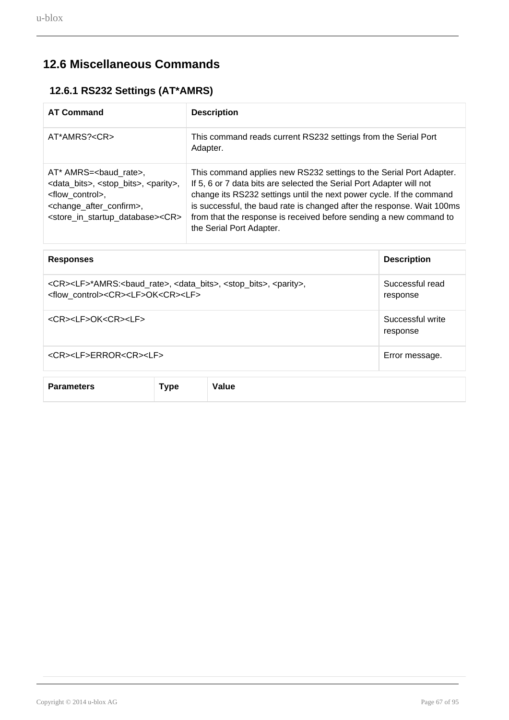# **12.6 Miscellaneous Commands**

#### **12.6.1 RS232 Settings (AT\*AMRS)**

| <b>AT Command</b>                                                                                                                                                                                                                                          | <b>Description</b>                                                                                                                                                                                                                                                                                                                                                                              |
|------------------------------------------------------------------------------------------------------------------------------------------------------------------------------------------------------------------------------------------------------------|-------------------------------------------------------------------------------------------------------------------------------------------------------------------------------------------------------------------------------------------------------------------------------------------------------------------------------------------------------------------------------------------------|
| AT*AMRS? <cr></cr>                                                                                                                                                                                                                                         | This command reads current RS232 settings from the Serial Port<br>Adapter.                                                                                                                                                                                                                                                                                                                      |
| AT* AMRS=<br>baud rate>,<br><data_bits>, <stop_bits>, <parity>,<br/><flow control="">,<br><change_after_confirm>,<br/><store_in_startup_database><cr></cr></store_in_startup_database></change_after_confirm></br></flow></parity></stop_bits></data_bits> | This command applies new RS232 settings to the Serial Port Adapter.<br>If 5, 6 or 7 data bits are selected the Serial Port Adapter will not<br>change its RS232 settings until the next power cycle. If the command<br>is successful, the baud rate is changed after the response. Wait 100ms<br>from that the response is received before sending a new command to<br>the Serial Port Adapter. |

| <b>Responses</b>                                                                                                                                                                    |             |       | <b>Description</b>           |
|-------------------------------------------------------------------------------------------------------------------------------------------------------------------------------------|-------------|-------|------------------------------|
| <cr><lf>*AMRS:<br/>baud_rate&gt;, <data_bits>, <stop_bits>, <parity>,<br/><flow control=""><cr><lf>OK<cr><lf></lf></cr></lf></cr></flow></parity></stop_bits></data_bits></lf></cr> |             |       | Successful read<br>response  |
| <cr><lf>OK<cr><lf></lf></cr></lf></cr>                                                                                                                                              |             |       | Successful write<br>response |
| <cr><lf>ERROR<cr><lf></lf></cr></lf></cr>                                                                                                                                           |             |       | Error message.               |
| <b>Parameters</b>                                                                                                                                                                   | <b>Type</b> | Value |                              |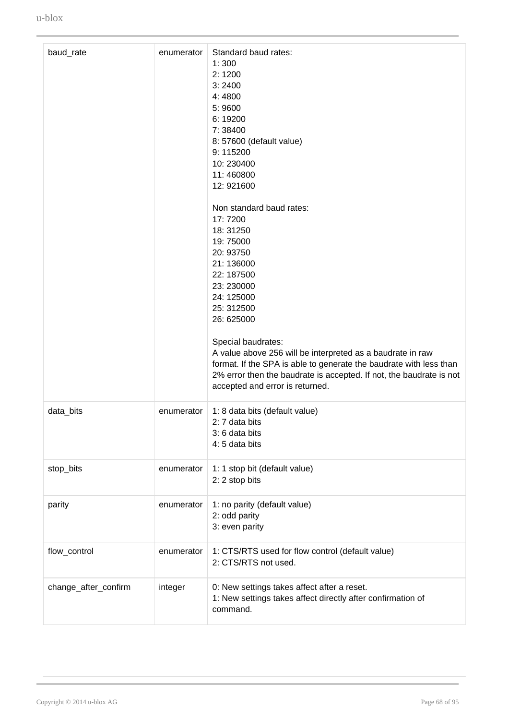| baud_rate            | enumerator | Standard baud rates:<br>1:300<br>2:1200<br>3:2400<br>4:4800<br>5:9600<br>6:19200<br>7:38400<br>8: 57600 (default value)<br>9:115200<br>10:230400<br>11:460800<br>12: 921600<br>Non standard baud rates:<br>17:7200<br>18:31250<br>19:75000<br>20: 93750<br>21:136000<br>22: 187500<br>23: 230000<br>24: 125000<br>25: 312500<br>26: 625000<br>Special baudrates:<br>A value above 256 will be interpreted as a baudrate in raw<br>format. If the SPA is able to generate the baudrate with less than<br>2% error then the baudrate is accepted. If not, the baudrate is not<br>accepted and error is returned. |
|----------------------|------------|----------------------------------------------------------------------------------------------------------------------------------------------------------------------------------------------------------------------------------------------------------------------------------------------------------------------------------------------------------------------------------------------------------------------------------------------------------------------------------------------------------------------------------------------------------------------------------------------------------------|
| data_bits            | enumerator | 1: 8 data bits (default value)<br>2: 7 data bits<br>3: 6 data bits<br>4: 5 data bits                                                                                                                                                                                                                                                                                                                                                                                                                                                                                                                           |
| stop_bits            | enumerator | 1: 1 stop bit (default value)<br>2: 2 stop bits                                                                                                                                                                                                                                                                                                                                                                                                                                                                                                                                                                |
| parity               | enumerator | 1: no parity (default value)<br>2: odd parity<br>3: even parity                                                                                                                                                                                                                                                                                                                                                                                                                                                                                                                                                |
| flow_control         | enumerator | 1: CTS/RTS used for flow control (default value)<br>2: CTS/RTS not used.                                                                                                                                                                                                                                                                                                                                                                                                                                                                                                                                       |
| change_after_confirm | integer    | 0: New settings takes affect after a reset.<br>1: New settings takes affect directly after confirmation of<br>command.                                                                                                                                                                                                                                                                                                                                                                                                                                                                                         |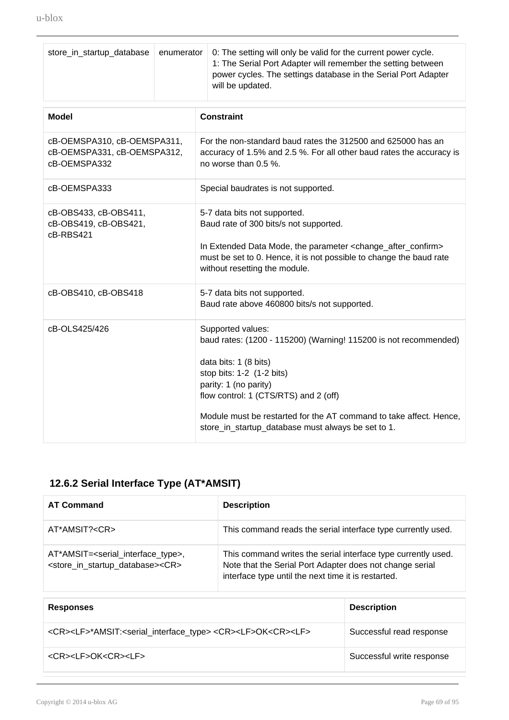| store_in_startup_database                                                  | enumerator | 0: The setting will only be valid for the current power cycle.<br>1: The Serial Port Adapter will remember the setting between<br>power cycles. The settings database in the Serial Port Adapter<br>will be updated.                                                                                                                      |  |
|----------------------------------------------------------------------------|------------|-------------------------------------------------------------------------------------------------------------------------------------------------------------------------------------------------------------------------------------------------------------------------------------------------------------------------------------------|--|
| <b>Model</b>                                                               |            | <b>Constraint</b>                                                                                                                                                                                                                                                                                                                         |  |
| cB-OEMSPA310, cB-OEMSPA311,<br>cB-OEMSPA331, cB-OEMSPA312,<br>cB-OEMSPA332 |            | For the non-standard baud rates the 312500 and 625000 has an<br>accuracy of 1.5% and 2.5 %. For all other baud rates the accuracy is<br>no worse than 0.5 %.                                                                                                                                                                              |  |
| cB-OEMSPA333                                                               |            | Special baudrates is not supported.                                                                                                                                                                                                                                                                                                       |  |
| cB-OBS433, cB-OBS411,<br>cB-OBS419, cB-OBS421,<br>cB-RBS421                |            | 5-7 data bits not supported.<br>Baud rate of 300 bits/s not supported.<br>In Extended Data Mode, the parameter <change_after_confirm><br/>must be set to 0. Hence, it is not possible to change the baud rate<br/>without resetting the module.</change_after_confirm>                                                                    |  |
| cB-OBS410, cB-OBS418                                                       |            | 5-7 data bits not supported.<br>Baud rate above 460800 bits/s not supported.                                                                                                                                                                                                                                                              |  |
| cB-OLS425/426                                                              |            | Supported values:<br>baud rates: (1200 - 115200) (Warning! 115200 is not recommended)<br>data bits: 1 (8 bits)<br>stop bits: 1-2 (1-2 bits)<br>parity: 1 (no parity)<br>flow control: 1 (CTS/RTS) and 2 (off)<br>Module must be restarted for the AT command to take affect. Hence,<br>store_in_startup_database must always be set to 1. |  |

### **12.6.2 Serial Interface Type (AT\*AMSIT)**

| <b>AT Command</b>                                                                                                               | <b>Description</b>                                                                                                                                                               |
|---------------------------------------------------------------------------------------------------------------------------------|----------------------------------------------------------------------------------------------------------------------------------------------------------------------------------|
| AT*AMSIT? <cr></cr>                                                                                                             | This command reads the serial interface type currently used.                                                                                                                     |
| AT*AMSIT= <serial_interface_type>,<br/><store_in_startup_database><cr></cr></store_in_startup_database></serial_interface_type> | This command writes the serial interface type currently used.<br>Note that the Serial Port Adapter does not change serial<br>interface type until the next time it is restarted. |

| <b>Responses</b>                                                                                                | <b>Description</b>        |
|-----------------------------------------------------------------------------------------------------------------|---------------------------|
| <cr><lf>*AMSIT:<serial_interface_type> <cr><lf>OK<cr><lf></lf></cr></lf></cr></serial_interface_type></lf></cr> | Successful read response  |
| <cr><lf>OK<cr><lf></lf></cr></lf></cr>                                                                          | Successful write response |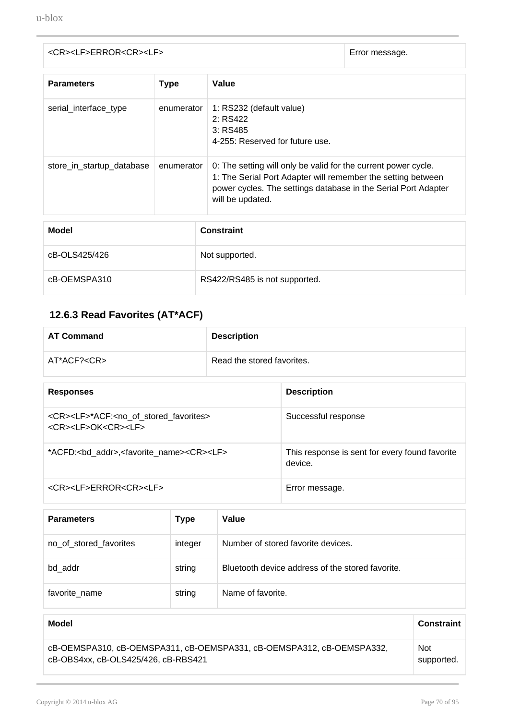| <cr><lf>ERROR<cr><lf></lf></cr></lf></cr> | Error message. |
|-------------------------------------------|----------------|

| <b>Parameters</b>         | <b>Type</b> | Value                                                                                                                                                                                                                |  |
|---------------------------|-------------|----------------------------------------------------------------------------------------------------------------------------------------------------------------------------------------------------------------------|--|
| serial_interface_type     | enumerator  | 1: RS232 (default value)<br>2: RS422<br>3:RS485<br>4-255: Reserved for future use.                                                                                                                                   |  |
| store_in_startup_database | enumerator  | 0: The setting will only be valid for the current power cycle.<br>1: The Serial Port Adapter will remember the setting between<br>power cycles. The settings database in the Serial Port Adapter<br>will be updated. |  |
| <b>Model</b>              |             | <b>Constraint</b>                                                                                                                                                                                                    |  |
| cB-OLS425/426             |             | Not supported.                                                                                                                                                                                                       |  |
| cB-OEMSPA310              |             | RS422/RS485 is not supported.                                                                                                                                                                                        |  |

### **12.6.3 Read Favorites (AT\*ACF)**

| <b>AT Command</b> | <b>Description</b>         |
|-------------------|----------------------------|
| AT*ACF? <cr></cr> | Read the stored favorites. |

| <b>Responses</b>                                                                                                    | <b>Description</b>                                        |
|---------------------------------------------------------------------------------------------------------------------|-----------------------------------------------------------|
| <cr><lf>*ACF:<no_of_stored_favorites><br/><cr><lf>OK<cr><lf></lf></cr></lf></cr></no_of_stored_favorites></lf></cr> | Successful response                                       |
| *ACFD: <bd_addr>,<favorite_name><cr><lf></lf></cr></favorite_name></bd_addr>                                        | This response is sent for every found favorite<br>device. |
| <cr><lf>ERROR<cr><lf></lf></cr></lf></cr>                                                                           | Error message.                                            |

| <b>Parameters</b>      | Type    | Value                                            |
|------------------------|---------|--------------------------------------------------|
| no of stored favorites | integer | Number of stored favorite devices.               |
| bd addr                | string  | Bluetooth device address of the stored favorite. |
| favorite name          | string  | Name of favorite.                                |

| Model                                                                 | <b>Constraint</b> |
|-----------------------------------------------------------------------|-------------------|
| cB-OEMSPA310, cB-OEMSPA311, cB-OEMSPA331, cB-OEMSPA312, cB-OEMSPA332, | <b>Not</b>        |
| cB-OBS4xx, cB-OLS425/426, cB-RBS421                                   | supported.        |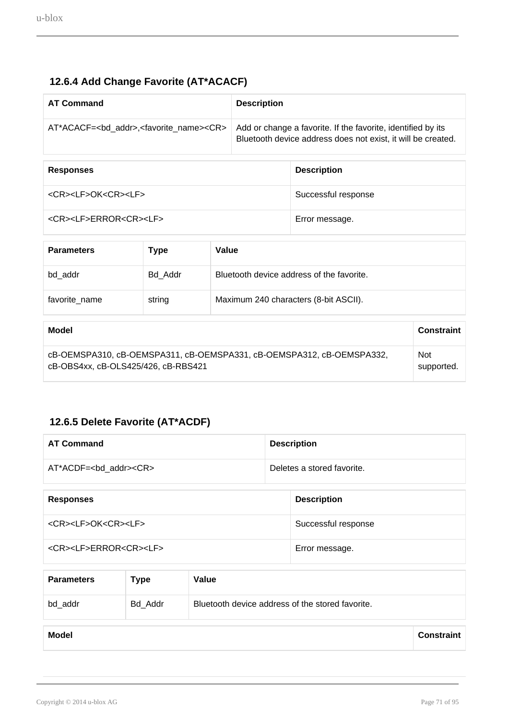#### **12.6.4 Add Change Favorite (AT\*ACACF)**

| <b>AT Command</b>                                                      | <b>Description</b>                                                                                                           |
|------------------------------------------------------------------------|------------------------------------------------------------------------------------------------------------------------------|
| AT*ACACF= <bd_addr>,<favorite_name><cr></cr></favorite_name></bd_addr> | Add or change a favorite. If the favorite, identified by its<br>Bluetooth device address does not exist, it will be created. |
| <b>Responses</b>                                                       | <b>Description</b>                                                                                                           |

<CR><LF>OK<CR><LF>><<br/>
Successful response

<CR><LF>ERROR<CR><LF> Error message.

| <b>Parameters</b> | Type    | Value                                     |
|-------------------|---------|-------------------------------------------|
| bd addr           | Bd Addr | Bluetooth device address of the favorite. |
| favorite_name     | string  | Maximum 240 characters (8-bit ASCII).     |

| Model                                                                 | Constraint |
|-----------------------------------------------------------------------|------------|
| cB-OEMSPA310, cB-OEMSPA311, cB-OEMSPA331, cB-OEMSPA312, cB-OEMSPA332, | <b>Not</b> |
| cB-OBS4xx, cB-OLS425/426, cB-RBS421                                   | supported. |

#### **12.6.5 Delete Favorite (AT\*ACDF)**

| <b>AT Command</b>                         | <b>Description</b>         |
|-------------------------------------------|----------------------------|
| AT*ACDF= <bd addr=""><cr></cr></bd>       | Deletes a stored favorite. |
|                                           |                            |
| <b>Responses</b>                          | <b>Description</b>         |
| <cr><lf>OK<cr><lf></lf></cr></lf></cr>    | Successful response        |
| <cr><lf>ERROR<cr><lf></lf></cr></lf></cr> | Error message.             |

| <b>Parameters</b> | <b>Type</b> | Value                                            |
|-------------------|-------------|--------------------------------------------------|
| bd_addr           | Bd Addr     | Bluetooth device address of the stored favorite. |

**Model Constraint**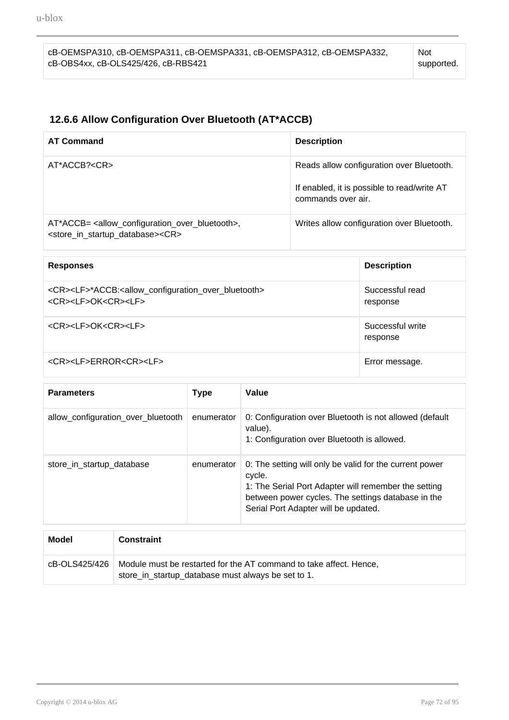#### **12.6.6 Allow Configuration Over Bluetooth (AT\*ACCB)**

| <b>AT Command</b>                                                                                                                                        | <b>Description</b>                                                                                             |
|----------------------------------------------------------------------------------------------------------------------------------------------------------|----------------------------------------------------------------------------------------------------------------|
| AT*ACCB? <cr></cr>                                                                                                                                       | Reads allow configuration over Bluetooth.<br>If enabled, it is possible to read/write AT<br>commands over air. |
| AT*ACCB= <allow_configuration_over_bluetooth>,<br/><store_in_startup_database><cr></cr></store_in_startup_database></allow_configuration_over_bluetooth> | Writes allow configuration over Bluetooth.                                                                     |

| <b>Responses</b>                                                                                                                             | <b>Description</b>           |
|----------------------------------------------------------------------------------------------------------------------------------------------|------------------------------|
| <cr><lf>*ACCB:<allow_configuration_over_bluetooth><br/><cr><lf>OK<cr><lf></lf></cr></lf></cr></allow_configuration_over_bluetooth></lf></cr> | Successful read<br>response  |
| <cr><lf>OK<cr><lf></lf></cr></lf></cr>                                                                                                       | Successful write<br>response |
| <cr><lf>ERROR<cr><lf></lf></cr></lf></cr>                                                                                                    | Error message.               |

| <b>Parameters</b>                  | <b>Type</b> | Value                                                                                                                                                                                                                   |
|------------------------------------|-------------|-------------------------------------------------------------------------------------------------------------------------------------------------------------------------------------------------------------------------|
| allow_configuration_over_bluetooth | enumerator  | 0: Configuration over Bluetooth is not allowed (default<br>value).<br>1: Configuration over Bluetooth is allowed.                                                                                                       |
| store_in_startup_database          | enumerator  | 0: The setting will only be valid for the current power<br>cycle.<br>1: The Serial Port Adapter will remember the setting<br>between power cycles. The settings database in the<br>Serial Port Adapter will be updated. |

| Model           | <b>Constraint</b>                                                                                                        |
|-----------------|--------------------------------------------------------------------------------------------------------------------------|
| cB-OLS425/426 L | Module must be restarted for the AT command to take affect. Hence,<br>store_in_startup_database must always be set to 1. |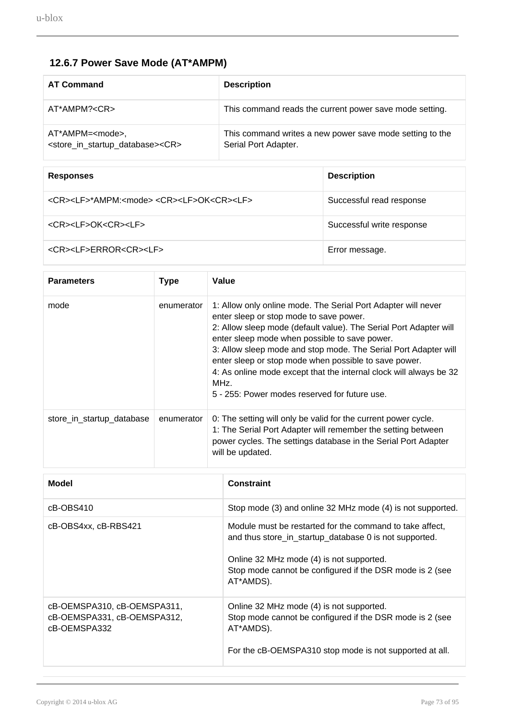# **12.6.7 Power Save Mode (AT\*AMPM)**

| <b>AT Command</b>                                                                            | <b>Description</b>                                                               |
|----------------------------------------------------------------------------------------------|----------------------------------------------------------------------------------|
| AT*AMPM? <cr></cr>                                                                           | This command reads the current power save mode setting.                          |
| AT*AMPM= <mode>,<br/><store_in_startup_database><cr></cr></store_in_startup_database></mode> | This command writes a new power save mode setting to the<br>Serial Port Adapter. |

| <b>Responses</b>                                                             | <b>Description</b>        |
|------------------------------------------------------------------------------|---------------------------|
| <cr><lf>*AMPM:<mode> <cr><lf>OK<cr><lf></lf></cr></lf></cr></mode></lf></cr> | Successful read response  |
| <cr><lf>OK<cr><lf></lf></cr></lf></cr>                                       | Successful write response |
| <cr><lf>ERROR<cr><lf></lf></cr></lf></cr>                                    | Error message.            |

| <b>Parameters</b>         | <b>Type</b> | Value                                                                                                                                                                                                                                                                                                                                                                                                                                                                                     |
|---------------------------|-------------|-------------------------------------------------------------------------------------------------------------------------------------------------------------------------------------------------------------------------------------------------------------------------------------------------------------------------------------------------------------------------------------------------------------------------------------------------------------------------------------------|
| mode                      | enumerator  | 1: Allow only online mode. The Serial Port Adapter will never<br>enter sleep or stop mode to save power.<br>2: Allow sleep mode (default value). The Serial Port Adapter will<br>enter sleep mode when possible to save power.<br>3: Allow sleep mode and stop mode. The Serial Port Adapter will<br>enter sleep or stop mode when possible to save power.<br>4: As online mode except that the internal clock will always be 32<br>MHz.<br>5 - 255: Power modes reserved for future use. |
| store_in_startup_database | enumerator  | 0: The setting will only be valid for the current power cycle.<br>1: The Serial Port Adapter will remember the setting between<br>power cycles. The settings database in the Serial Port Adapter<br>will be updated.                                                                                                                                                                                                                                                                      |

| Model                                                                      | <b>Constraint</b>                                                                                                                                                                                                                       |
|----------------------------------------------------------------------------|-----------------------------------------------------------------------------------------------------------------------------------------------------------------------------------------------------------------------------------------|
| cB-OBS410                                                                  | Stop mode (3) and online 32 MHz mode (4) is not supported.                                                                                                                                                                              |
| cB-OBS4xx, cB-RBS421                                                       | Module must be restarted for the command to take affect,<br>and thus store_in_startup_database 0 is not supported.<br>Online 32 MHz mode (4) is not supported.<br>Stop mode cannot be configured if the DSR mode is 2 (see<br>AT*AMDS). |
| cB-OEMSPA310, cB-OEMSPA311,<br>cB-OEMSPA331, cB-OEMSPA312,<br>cB-OEMSPA332 | Online 32 MHz mode (4) is not supported.<br>Stop mode cannot be configured if the DSR mode is 2 (see<br>AT*AMDS).<br>For the cB-OEMSPA310 stop mode is not supported at all.                                                            |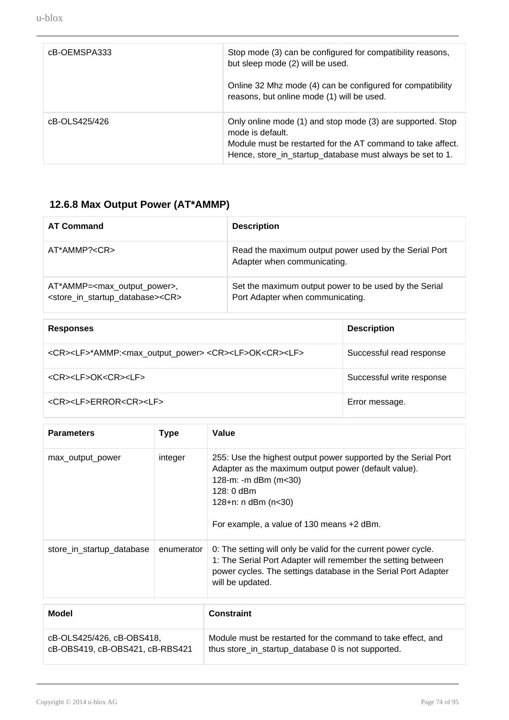| cB-OEMSPA333  | Stop mode (3) can be configured for compatibility reasons,<br>but sleep mode (2) will be used.                                                                                                             |
|---------------|------------------------------------------------------------------------------------------------------------------------------------------------------------------------------------------------------------|
|               | Online 32 Mhz mode (4) can be configured for compatibility<br>reasons, but online mode (1) will be used.                                                                                                   |
| cB-OLS425/426 | Only online mode (1) and stop mode (3) are supported. Stop<br>mode is default.<br>Module must be restarted for the AT command to take affect.<br>Hence, store_in_startup_database must always be set to 1. |

# **12.6.8 Max Output Power (AT\*AMMP)**

| <b>AT Command</b>                                                                                                    | <b>Description</b>                                                                        |
|----------------------------------------------------------------------------------------------------------------------|-------------------------------------------------------------------------------------------|
| AT*AMMP? <cr></cr>                                                                                                   | Read the maximum output power used by the Serial Port<br>Adapter when communicating.      |
| AT*AMMP= <max_output_power>,<br/><store_in_startup_database><cr></cr></store_in_startup_database></max_output_power> | Set the maximum output power to be used by the Serial<br>Port Adapter when communicating. |

| <b>Responses</b>                                                                                     | <b>Description</b>        |
|------------------------------------------------------------------------------------------------------|---------------------------|
| <cr><lf>*AMMP:<max_output_power> <cr><lf>OK<cr><lf></lf></cr></lf></cr></max_output_power></lf></cr> | Successful read response  |
| <cr><lf>OK<cr><lf></lf></cr></lf></cr>                                                               | Successful write response |
| <cr><lf>ERROR<cr><lf></lf></cr></lf></cr>                                                            | Error message.            |

| <b>Parameters</b>                                            | Type       | Value                                                                                                                                                                                                                                  |
|--------------------------------------------------------------|------------|----------------------------------------------------------------------------------------------------------------------------------------------------------------------------------------------------------------------------------------|
| max_output_power                                             | integer    | 255: Use the highest output power supported by the Serial Port<br>Adapter as the maximum output power (default value).<br>128-m: -m dBm (m<30)<br>$128:0$ dBm<br>$128 + n$ : n dBm (n<30)<br>For example, a value of 130 means +2 dBm. |
| store_in_startup_database                                    | enumerator | 0: The setting will only be valid for the current power cycle.<br>1: The Serial Port Adapter will remember the setting between<br>power cycles. The settings database in the Serial Port Adapter<br>will be updated.                   |
| <b>Model</b>                                                 |            | <b>Constraint</b>                                                                                                                                                                                                                      |
| cB-OLS425/426, cB-OBS418,<br>cB-OBS419, cB-OBS421, cB-RBS421 |            | Module must be restarted for the command to take effect, and<br>thus store_in_startup_database 0 is not supported.                                                                                                                     |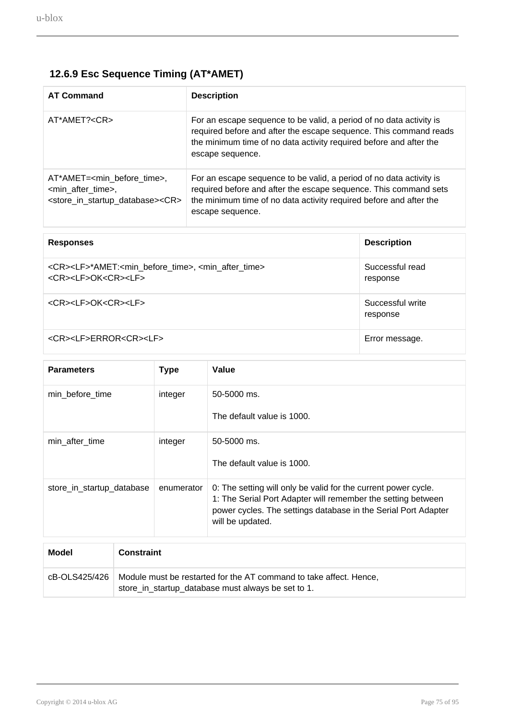# **12.6.9 Esc Sequence Timing (AT\*AMET)**

| <b>AT Command</b>                                                                                                                                   | <b>Description</b>                                                                                                                                                                                                                 |
|-----------------------------------------------------------------------------------------------------------------------------------------------------|------------------------------------------------------------------------------------------------------------------------------------------------------------------------------------------------------------------------------------|
| AT*AMET? <cr></cr>                                                                                                                                  | For an escape sequence to be valid, a period of no data activity is<br>required before and after the escape sequence. This command reads<br>the minimum time of no data activity required before and after the<br>escape sequence. |
| AT*AMET= <min before="" time="">,<br/><min_after_time>,<br/><store_in_startup_database><cr></cr></store_in_startup_database></min_after_time></min> | For an escape sequence to be valid, a period of no data activity is<br>required before and after the escape sequence. This command sets<br>the minimum time of no data activity required before and after the<br>escape sequence.  |

| <b>Responses</b>                                                                                                                          | <b>Description</b>           |
|-------------------------------------------------------------------------------------------------------------------------------------------|------------------------------|
| <cr><lf>*AMET:<min_before_time>, <min_after_time><br/><cr><lf>OK<cr><lf></lf></cr></lf></cr></min_after_time></min_before_time></lf></cr> | Successful read<br>response  |
| <cr><lf>OK<cr><lf></lf></cr></lf></cr>                                                                                                    | Successful write<br>response |
| <cr><lf>ERROR<cr><lf></lf></cr></lf></cr>                                                                                                 | Error message.               |

| <b>Parameters</b>          | <b>Type</b> | Value                                                                                                                                                                                                                |
|----------------------------|-------------|----------------------------------------------------------------------------------------------------------------------------------------------------------------------------------------------------------------------|
| min_before_time            | integer     | 50-5000 ms.<br>The default value is 1000.                                                                                                                                                                            |
| min after time             | integer     | 50-5000 ms.<br>The default value is 1000.                                                                                                                                                                            |
| store_in_startup_database  | enumerator  | 0: The setting will only be valid for the current power cycle.<br>1: The Serial Port Adapter will remember the setting between<br>power cycles. The settings database in the Serial Port Adapter<br>will be updated. |
|                            |             |                                                                                                                                                                                                                      |
| <b>Model</b><br>Constraint |             |                                                                                                                                                                                                                      |

| <b>Model</b> | Constraint                                                                                                                               |
|--------------|------------------------------------------------------------------------------------------------------------------------------------------|
|              | cB-OLS425/426   Module must be restarted for the AT command to take affect. Hence,<br>store_in_startup_database must always be set to 1. |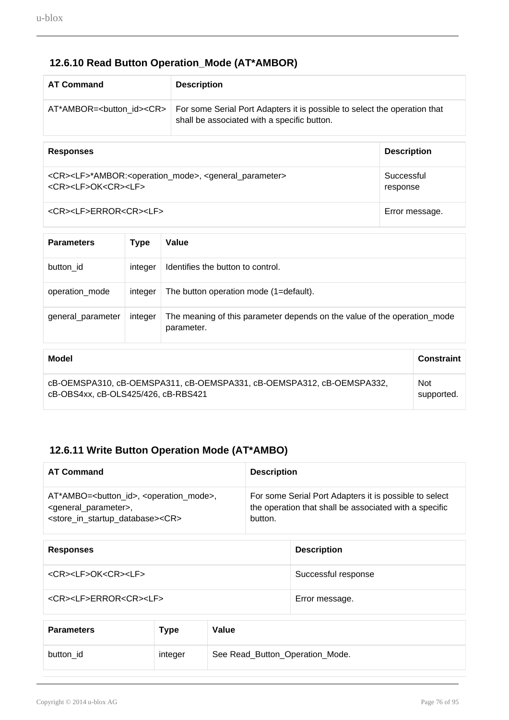### **12.6.10 Read Button Operation\_Mode (AT\*AMBOR)**

| <b>AT Command</b>                 | <b>Description</b>                                                                                                       |
|-----------------------------------|--------------------------------------------------------------------------------------------------------------------------|
| AT*AMBOR=<br>button id> <cr></cr> | For some Serial Port Adapters it is possible to select the operation that<br>shall be associated with a specific button. |

| <b>Responses</b>                                                                                                                               | <b>Description</b>     |
|------------------------------------------------------------------------------------------------------------------------------------------------|------------------------|
| <cr><lf>*AMBOR:<operation_mode>, <general_parameter><br/><cr><lf>OK<cr><lf></lf></cr></lf></cr></general_parameter></operation_mode></lf></cr> | Successful<br>response |
| <cr><lf>ERROR<cr><lf></lf></cr></lf></cr>                                                                                                      | Error message.         |

| <b>Parameters</b>                                                                                            | <b>Type</b> | Value                                                                                  |                   |  |
|--------------------------------------------------------------------------------------------------------------|-------------|----------------------------------------------------------------------------------------|-------------------|--|
| button id                                                                                                    | integer     | Identifies the button to control.                                                      |                   |  |
| operation mode                                                                                               | integer     | The button operation mode (1=default).                                                 |                   |  |
| general_parameter                                                                                            | integer     | The meaning of this parameter depends on the value of the operation_mode<br>parameter. |                   |  |
| Model                                                                                                        |             |                                                                                        | <b>Constraint</b> |  |
| cB-OEMSPA310, cB-OEMSPA311, cB-OEMSPA331, cB-OEMSPA312, cB-OEMSPA332,<br>cB-OBS4xx, cB-OLS425/426, cB-RBS421 |             | <b>Not</b><br>supported.                                                               |                   |  |

### **12.6.11 Write Button Operation Mode (AT\*AMBO)**

| <b>AT Command</b>                                                | <b>Description</b>                                     |
|------------------------------------------------------------------|--------------------------------------------------------|
| AT*AMBO=<br>button_id>, <operation_mode>,</operation_mode>       | For some Serial Port Adapters it is possible to select |
| <general_parameter>,</general_parameter>                         | the operation that shall be associated with a specific |
| <store_in_startup_database><cr></cr></store_in_startup_database> | button.                                                |

| <b>Responses</b>                          | <b>Description</b>  |
|-------------------------------------------|---------------------|
| <cr><lf>OK<cr><lf></lf></cr></lf></cr>    | Successful response |
| <cr><lf>ERROR<cr><lf></lf></cr></lf></cr> | Error message.      |

| <b>Parameters</b> | Type    | Value                           |
|-------------------|---------|---------------------------------|
| button id         | integer | See Read_Button_Operation_Mode. |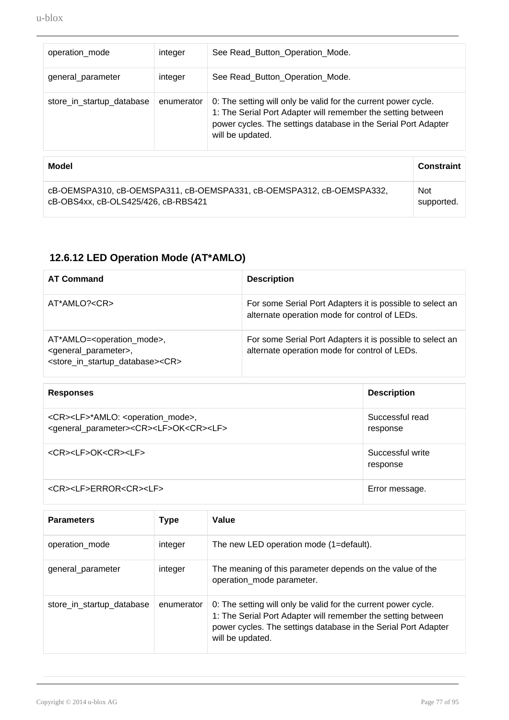| operation_mode            | integer    | See Read_Button_Operation_Mode.                                                                                                                                                                                      |
|---------------------------|------------|----------------------------------------------------------------------------------------------------------------------------------------------------------------------------------------------------------------------|
| general_parameter         | integer    | See Read_Button_Operation_Mode.                                                                                                                                                                                      |
| store_in_startup_database | enumerator | 0: The setting will only be valid for the current power cycle.<br>1: The Serial Port Adapter will remember the setting between<br>power cycles. The settings database in the Serial Port Adapter<br>will be updated. |

| Model                                                                 | <b>Constraint</b> |
|-----------------------------------------------------------------------|-------------------|
| cB-OEMSPA310, cB-OEMSPA311, cB-OEMSPA331, cB-OEMSPA312, cB-OEMSPA332, | <b>Not</b>        |
| cB-OBS4xx, cB-OLS425/426, cB-RBS421                                   | supported.        |

## **12.6.12 LED Operation Mode (AT\*AMLO)**

| <b>AT Command</b>                                                                                                                                             | <b>Description</b>                                                                                         |
|---------------------------------------------------------------------------------------------------------------------------------------------------------------|------------------------------------------------------------------------------------------------------------|
| AT*AMLO? <cr></cr>                                                                                                                                            | For some Serial Port Adapters it is possible to select an<br>alternate operation mode for control of LEDs. |
| AT*AMLO= <operation_mode>,<br/><general_parameter>,<br/><store_in_startup_database><cr></cr></store_in_startup_database></general_parameter></operation_mode> | For some Serial Port Adapters it is possible to select an<br>alternate operation mode for control of LEDs. |

| <b>Responses</b>                                                                                                                              | <b>Description</b>           |
|-----------------------------------------------------------------------------------------------------------------------------------------------|------------------------------|
| <cr><lf>*AMLO: <operation_mode>,<br/><general_parameter><cr><lf>OK<cr><lf></lf></cr></lf></cr></general_parameter></operation_mode></lf></cr> | Successful read<br>response  |
| <cr><lf>OK<cr><lf></lf></cr></lf></cr>                                                                                                        | Successful write<br>response |
| <cr><lf>ERROR<cr><lf></lf></cr></lf></cr>                                                                                                     | Error message.               |

| <b>Parameters</b>         | Type       | Value                                                                                                                                                                                                                |
|---------------------------|------------|----------------------------------------------------------------------------------------------------------------------------------------------------------------------------------------------------------------------|
| operation_mode            | integer    | The new LED operation mode (1=default).                                                                                                                                                                              |
| general_parameter         | integer    | The meaning of this parameter depends on the value of the<br>operation_mode parameter.                                                                                                                               |
| store_in_startup_database | enumerator | 0: The setting will only be valid for the current power cycle.<br>1: The Serial Port Adapter will remember the setting between<br>power cycles. The settings database in the Serial Port Adapter<br>will be updated. |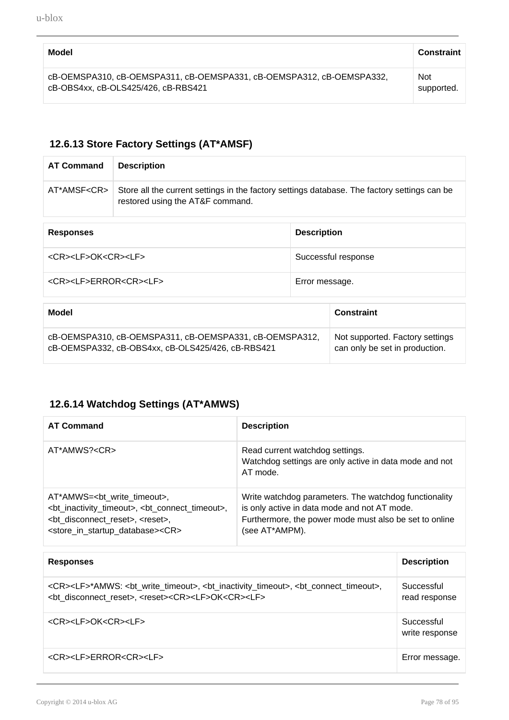| Model                                                                 | <b>Constraint</b> |
|-----------------------------------------------------------------------|-------------------|
| cB-OEMSPA310, cB-OEMSPA311, cB-OEMSPA331, cB-OEMSPA312, cB-OEMSPA332, | <b>Not</b>        |
| cB-OBS4xx, cB-OLS425/426, cB-RBS421                                   | supported.        |

#### **12.6.13 Store Factory Settings (AT\*AMSF)**

| <b>AT Command</b>                                                                                            | <b>Description</b>                                                                                                               |                                                                   |                   |  |
|--------------------------------------------------------------------------------------------------------------|----------------------------------------------------------------------------------------------------------------------------------|-------------------------------------------------------------------|-------------------|--|
| AT*AMSF <cr></cr>                                                                                            | Store all the current settings in the factory settings database. The factory settings can be<br>restored using the AT&F command. |                                                                   |                   |  |
| <b>Responses</b>                                                                                             |                                                                                                                                  | <b>Description</b>                                                |                   |  |
| <cr><lf>OK<cr><lf></lf></cr></lf></cr>                                                                       |                                                                                                                                  | Successful response                                               |                   |  |
| <cr><lf>ERROR<cr><lf></lf></cr></lf></cr>                                                                    |                                                                                                                                  | Error message.                                                    |                   |  |
| Model                                                                                                        |                                                                                                                                  |                                                                   | <b>Constraint</b> |  |
| cB-OEMSPA310, cB-OEMSPA311, cB-OEMSPA331, cB-OEMSPA312,<br>cB-OEMSPA332, cB-OBS4xx, cB-OLS425/426, cB-RBS421 |                                                                                                                                  | Not supported. Factory settings<br>can only be set in production. |                   |  |

## **12.6.14 Watchdog Settings (AT\*AMWS)**

| <b>AT Command</b>                                                                                                                                                                                                                                   | <b>Description</b>                                                                                                                                                                |
|-----------------------------------------------------------------------------------------------------------------------------------------------------------------------------------------------------------------------------------------------------|-----------------------------------------------------------------------------------------------------------------------------------------------------------------------------------|
| AT*AMWS? <cr></cr>                                                                                                                                                                                                                                  | Read current watchdog settings.<br>Watchdog settings are only active in data mode and not<br>AT mode.                                                                             |
| AT*AMWS=<br>,<br><bt_inactivity_timeout>, <bt_connect_timeout>,<br/><bt_disconnect_reset>, <reset>,<br/><store_in_startup_database><cr></cr></store_in_startup_database></reset></bt_disconnect_reset></bt_connect_timeout></bt_inactivity_timeout> | Write watchdog parameters. The watchdog functionality<br>is only active in data mode and not AT mode.<br>Furthermore, the power mode must also be set to online<br>(see AT*AMPM). |

| <b>Responses</b>                                                                                                                                                                                                                                        | <b>Description</b>           |
|---------------------------------------------------------------------------------------------------------------------------------------------------------------------------------------------------------------------------------------------------------|------------------------------|
| <cr><lf>*AMWS: <bt_write_timeout>, <bt_inactivity_timeout>, <bt_connect_timeout>,<br/><bt disconnect="" reset="">, <reset><cr><lf>OK<cr><lf></lf></cr></lf></cr></reset></bt></bt_connect_timeout></bt_inactivity_timeout></bt_write_timeout></lf></cr> | Successful<br>read response  |
| <cr><lf>OK<cr><lf></lf></cr></lf></cr>                                                                                                                                                                                                                  | Successful<br>write response |
| <cr><lf>ERROR<cr><lf></lf></cr></lf></cr>                                                                                                                                                                                                               | Error message.               |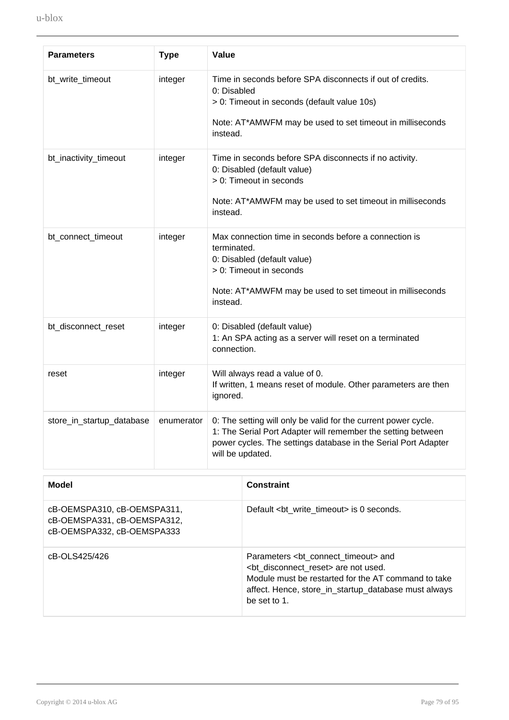| <b>Parameters</b>         | <b>Type</b> | Value                                                                                                                                                                                                                |
|---------------------------|-------------|----------------------------------------------------------------------------------------------------------------------------------------------------------------------------------------------------------------------|
| bt_write_timeout          | integer     | Time in seconds before SPA disconnects if out of credits.<br>0: Disabled<br>> 0: Timeout in seconds (default value 10s)<br>Note: AT*AMWFM may be used to set timeout in milliseconds<br>instead.                     |
| bt_inactivity_timeout     | integer     | Time in seconds before SPA disconnects if no activity.<br>0: Disabled (default value)<br>> 0: Timeout in seconds<br>Note: AT*AMWFM may be used to set timeout in milliseconds<br>instead.                            |
| bt_connect_timeout        | integer     | Max connection time in seconds before a connection is<br>terminated.<br>0: Disabled (default value)<br>> 0: Timeout in seconds<br>Note: AT*AMWFM may be used to set timeout in milliseconds<br>instead.              |
| bt_disconnect_reset       | integer     | 0: Disabled (default value)<br>1: An SPA acting as a server will reset on a terminated<br>connection.                                                                                                                |
| reset                     | integer     | Will always read a value of 0.<br>If written, 1 means reset of module. Other parameters are then<br>ignored.                                                                                                         |
| store_in_startup_database | enumerator  | 0: The setting will only be valid for the current power cycle.<br>1: The Serial Port Adapter will remember the setting between<br>power cycles. The settings database in the Serial Port Adapter<br>will be updated. |

| Model                                                                                    | <b>Constraint</b>                                                                                                                                                                                                                   |
|------------------------------------------------------------------------------------------|-------------------------------------------------------------------------------------------------------------------------------------------------------------------------------------------------------------------------------------|
| cB-OEMSPA310, cB-OEMSPA311,<br>cB-OEMSPA331, cB-OEMSPA312,<br>cB-OEMSPA332, cB-OEMSPA333 | Default <bt timeout="" write=""> is 0 seconds.</bt>                                                                                                                                                                                 |
| cB-OLS425/426                                                                            | Parameters <bt connect="" timeout=""> and<br/><bt disconnect="" reset=""> are not used.<br/>Module must be restarted for the AT command to take<br/>affect. Hence, store_in_startup_database must always<br/>be set to 1.</bt></bt> |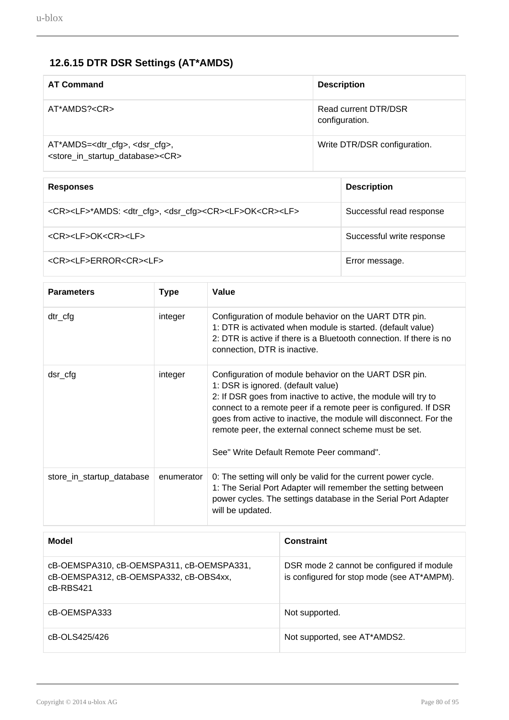# **12.6.15 DTR DSR Settings (AT\*AMDS)**

| <b>AT Command</b>                                                                                                       | <b>Description</b>                     |
|-------------------------------------------------------------------------------------------------------------------------|----------------------------------------|
| AT*AMDS? <cr></cr>                                                                                                      | Read current DTR/DSR<br>configuration. |
| AT*AMDS= <dtr_cfg>, <dsr_cfg>,<br/><store_in_startup_database><cr></cr></store_in_startup_database></dsr_cfg></dtr_cfg> | Write DTR/DSR configuration.           |

| <b>Responses</b>                                                                                        | <b>Description</b>        |
|---------------------------------------------------------------------------------------------------------|---------------------------|
| <cr><lf>*AMDS: <dtr_cfg>, <dsr_cfg><cr><lf>OK<cr><lf></lf></cr></lf></cr></dsr_cfg></dtr_cfg></lf></cr> | Successful read response  |
| <cr><lf>OK<cr><lf></lf></cr></lf></cr>                                                                  | Successful write response |
| <cr><lf>ERROR<cr><lf></lf></cr></lf></cr>                                                               | Error message.            |

| <b>Parameters</b>         | <b>Type</b> | Value                                                                                                                                                                                                                                                                                                                                                                                                      |
|---------------------------|-------------|------------------------------------------------------------------------------------------------------------------------------------------------------------------------------------------------------------------------------------------------------------------------------------------------------------------------------------------------------------------------------------------------------------|
| $dtr_c$ cfg               | integer     | Configuration of module behavior on the UART DTR pin.<br>1: DTR is activated when module is started. (default value)<br>2: DTR is active if there is a Bluetooth connection. If there is no<br>connection, DTR is inactive.                                                                                                                                                                                |
| dsr_cfg                   | integer     | Configuration of module behavior on the UART DSR pin.<br>1: DSR is ignored. (default value)<br>2: If DSR goes from inactive to active, the module will try to<br>connect to a remote peer if a remote peer is configured. If DSR<br>goes from active to inactive, the module will disconnect. For the<br>remote peer, the external connect scheme must be set.<br>See" Write Default Remote Peer command". |
| store_in_startup_database | enumerator  | 0: The setting will only be valid for the current power cycle.<br>1: The Serial Port Adapter will remember the setting between<br>power cycles. The settings database in the Serial Port Adapter<br>will be updated.                                                                                                                                                                                       |

| Model                                                                                               | <b>Constraint</b>                                                                       |
|-----------------------------------------------------------------------------------------------------|-----------------------------------------------------------------------------------------|
| cB-OEMSPA310, cB-OEMSPA311, cB-OEMSPA331,<br>cB-OEMSPA312, cB-OEMSPA332, cB-OBS4xx,<br>$c$ B-RBS421 | DSR mode 2 cannot be configured if module<br>is configured for stop mode (see AT*AMPM). |
| cB-OEMSPA333                                                                                        | Not supported.                                                                          |
| cB-OLS425/426                                                                                       | Not supported, see AT*AMDS2.                                                            |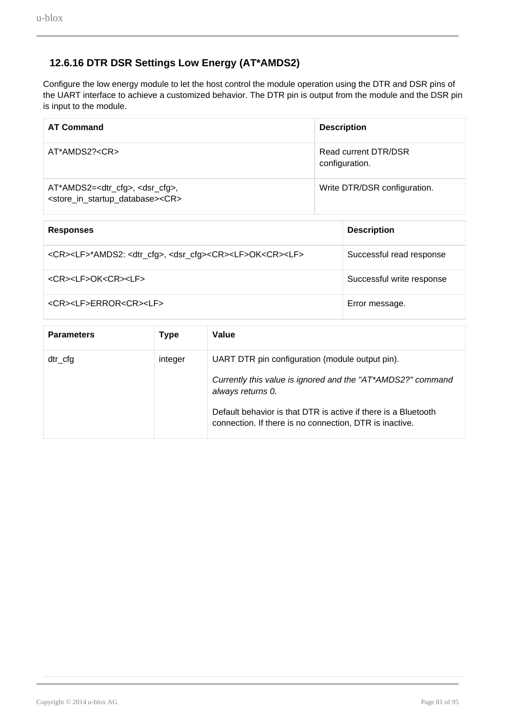#### **12.6.16 DTR DSR Settings Low Energy (AT\*AMDS2)**

Configure the low energy module to let the host control the module operation using the DTR and DSR pins of the UART interface to achieve a customized behavior. The DTR pin is output from the module and the DSR pin is input to the module.

| <b>AT Command</b>                                                                                                        | <b>Description</b>                     |  |
|--------------------------------------------------------------------------------------------------------------------------|----------------------------------------|--|
| AT*AMDS2? <cr></cr>                                                                                                      | Read current DTR/DSR<br>configuration. |  |
| AT*AMDS2= <dtr_cfg>, <dsr_cfg>,<br/><store_in_startup_database><cr></cr></store_in_startup_database></dsr_cfg></dtr_cfg> | Write DTR/DSR configuration.           |  |
| <b>Responses</b>                                                                                                         | <b>Description</b>                     |  |

| nuduungud                                                                                                | <b>PUSSIBUSI</b>          |
|----------------------------------------------------------------------------------------------------------|---------------------------|
| <cr><lf>*AMDS2: <dtr_cfg>, <dsr_cfg><cr><lf>OK<cr><lf></lf></cr></lf></cr></dsr_cfg></dtr_cfg></lf></cr> | Successful read response  |
| <cr><lf>OK<cr><lf></lf></cr></lf></cr>                                                                   | Successful write response |
| <cr><lf>ERROR<cr><lf></lf></cr></lf></cr>                                                                | Error message.            |

| <b>Parameters</b> | <b>Type</b> | Value                                                                                                                                                                                                                                                            |
|-------------------|-------------|------------------------------------------------------------------------------------------------------------------------------------------------------------------------------------------------------------------------------------------------------------------|
| $dtr_c$ cfg       | integer     | UART DTR pin configuration (module output pin).<br>Currently this value is ignored and the "AT*AMDS2?" command<br>always returns 0.<br>Default behavior is that DTR is active if there is a Bluetooth<br>connection. If there is no connection, DTR is inactive. |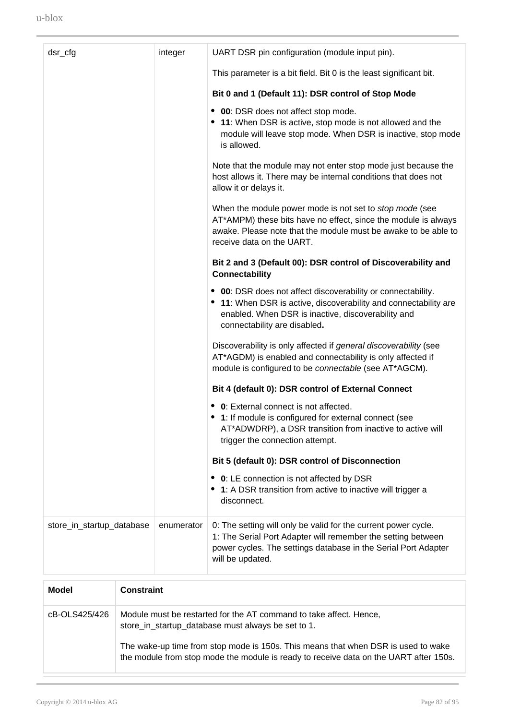| dsr_cfg                   | integer    | UART DSR pin configuration (module input pin).                                                                                                                                                                                  |
|---------------------------|------------|---------------------------------------------------------------------------------------------------------------------------------------------------------------------------------------------------------------------------------|
|                           |            | This parameter is a bit field. Bit 0 is the least significant bit.                                                                                                                                                              |
|                           |            | Bit 0 and 1 (Default 11): DSR control of Stop Mode                                                                                                                                                                              |
|                           |            | • 00: DSR does not affect stop mode.<br>• 11: When DSR is active, stop mode is not allowed and the<br>module will leave stop mode. When DSR is inactive, stop mode<br>is allowed.                                               |
|                           |            | Note that the module may not enter stop mode just because the<br>host allows it. There may be internal conditions that does not<br>allow it or delays it.                                                                       |
|                           |            | When the module power mode is not set to <i>stop mode</i> (see<br>AT*AMPM) these bits have no effect, since the module is always<br>awake. Please note that the module must be awake to be able to<br>receive data on the UART. |
|                           |            | Bit 2 and 3 (Default 00): DSR control of Discoverability and<br><b>Connectability</b>                                                                                                                                           |
|                           |            | • 00: DSR does not affect discoverability or connectability.<br>• 11: When DSR is active, discoverability and connectability are<br>enabled. When DSR is inactive, discoverability and<br>connectability are disabled.          |
|                           |            | Discoverability is only affected if general discoverability (see<br>AT*AGDM) is enabled and connectability is only affected if<br>module is configured to be connectable (see AT*AGCM).                                         |
|                           |            | Bit 4 (default 0): DSR control of External Connect                                                                                                                                                                              |
|                           |            | <b>0</b> : External connect is not affected.<br>• 1: If module is configured for external connect (see<br>AT*ADWDRP), a DSR transition from inactive to active will<br>trigger the connection attempt.                          |
|                           |            | Bit 5 (default 0): DSR control of Disconnection                                                                                                                                                                                 |
|                           |            | • 0: LE connection is not affected by DSR<br>• 1: A DSR transition from active to inactive will trigger a<br>disconnect.                                                                                                        |
| store_in_startup_database | enumerator | 0: The setting will only be valid for the current power cycle.<br>1: The Serial Port Adapter will remember the setting between<br>power cycles. The settings database in the Serial Port Adapter<br>will be updated.            |

| Model         | <b>Constraint</b>                                                                                                                                                          |
|---------------|----------------------------------------------------------------------------------------------------------------------------------------------------------------------------|
| cB-OLS425/426 | Module must be restarted for the AT command to take affect. Hence,<br>store_in_startup_database must always be set to 1.                                                   |
|               | The wake-up time from stop mode is 150s. This means that when DSR is used to wake<br>the module from stop mode the module is ready to receive data on the UART after 150s. |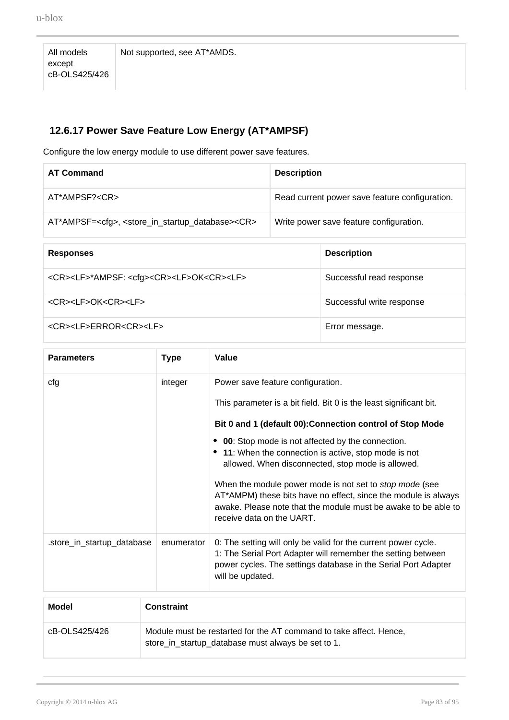All models except cB-OLS425/426

Not supported, see AT\*AMDS.

### **12.6.17 Power Save Feature Low Energy (AT\*AMPSF)**

Configure the low energy module to use different power save features.

| <b>AT Command</b>                                                                       | <b>Description</b>                             |
|-----------------------------------------------------------------------------------------|------------------------------------------------|
| AT*AMPSF? <cr></cr>                                                                     | Read current power save feature configuration. |
| AT*AMPSF= <cfg>, <store_in_startup_database><cr></cr></store_in_startup_database></cfg> | Write power save feature configuration.        |
|                                                                                         |                                                |

| <b>Responses</b>                                                            | <b>Description</b>        |
|-----------------------------------------------------------------------------|---------------------------|
| <cr><lf>*AMPSF: <cfg><cr><lf>OK<cr><lf></lf></cr></lf></cr></cfg></lf></cr> | Successful read response  |
| <cr><lf>OK<cr><lf></lf></cr></lf></cr>                                      | Successful write response |
| <cr><lf>ERROR<cr><lf></lf></cr></lf></cr>                                   | Error message.            |

| <b>Parameters</b>          | <b>Type</b> | Value                                                                                                                                                                                            |
|----------------------------|-------------|--------------------------------------------------------------------------------------------------------------------------------------------------------------------------------------------------|
| cfg                        | integer     | Power save feature configuration.                                                                                                                                                                |
|                            |             | This parameter is a bit field. Bit 0 is the least significant bit.                                                                                                                               |
|                            |             | Bit 0 and 1 (default 00): Connection control of Stop Mode                                                                                                                                        |
|                            |             | <b>00</b> : Stop mode is not affected by the connection.                                                                                                                                         |
|                            |             | • 11: When the connection is active, stop mode is not<br>allowed. When disconnected, stop mode is allowed.                                                                                       |
|                            |             | When the module power mode is not set to <i>stop mode</i> (see                                                                                                                                   |
|                            |             | AT*AMPM) these bits have no effect, since the module is always<br>awake. Please note that the module must be awake to be able to<br>receive data on the UART.                                    |
| .store_in_startup_database | enumerator  | 0: The setting will only be valid for the current power cycle.<br>1: The Serial Port Adapter will remember the setting between<br>power cycles. The settings database in the Serial Port Adapter |
|                            |             | will be updated.                                                                                                                                                                                 |

| Model         | <b>Constraint</b>                                                                                                        |
|---------------|--------------------------------------------------------------------------------------------------------------------------|
| cB-OLS425/426 | Module must be restarted for the AT command to take affect. Hence,<br>store_in_startup_database must always be set to 1. |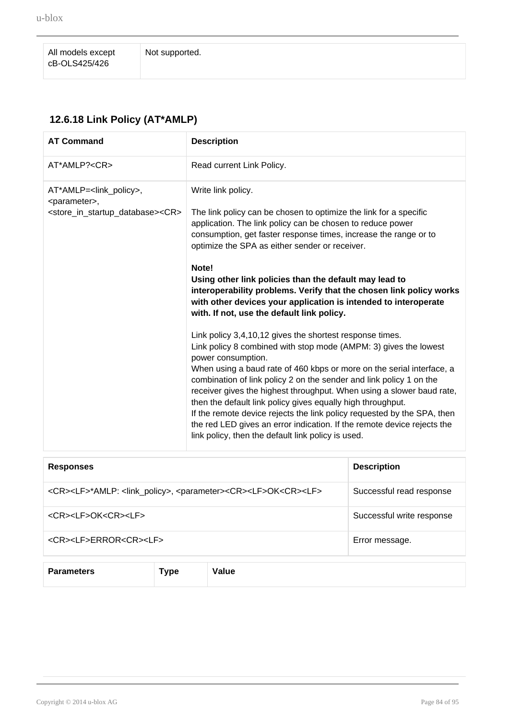All models except cB-OLS425/426

## **12.6.18 Link Policy (AT\*AMLP)**

| <b>AT Command</b>                                                                                                                       | <b>Description</b>                                                                                                                                                                                                                                                                                                                                                                                                                                                                                                                                                                                                                                                                                                                                                                                                                                                                                                                                                                                                                                                                                                                                                                               |                    |
|-----------------------------------------------------------------------------------------------------------------------------------------|--------------------------------------------------------------------------------------------------------------------------------------------------------------------------------------------------------------------------------------------------------------------------------------------------------------------------------------------------------------------------------------------------------------------------------------------------------------------------------------------------------------------------------------------------------------------------------------------------------------------------------------------------------------------------------------------------------------------------------------------------------------------------------------------------------------------------------------------------------------------------------------------------------------------------------------------------------------------------------------------------------------------------------------------------------------------------------------------------------------------------------------------------------------------------------------------------|--------------------|
| $AT^*AMLP? < CR$                                                                                                                        | Read current Link Policy.                                                                                                                                                                                                                                                                                                                                                                                                                                                                                                                                                                                                                                                                                                                                                                                                                                                                                                                                                                                                                                                                                                                                                                        |                    |
| AT*AMLP= <link_policy>,<br/><parameter>,<br/><store_in_startup_database><cr></cr></store_in_startup_database></parameter></link_policy> | Write link policy.<br>The link policy can be chosen to optimize the link for a specific<br>application. The link policy can be chosen to reduce power<br>consumption, get faster response times, increase the range or to<br>optimize the SPA as either sender or receiver.<br>Note!<br>Using other link policies than the default may lead to<br>interoperability problems. Verify that the chosen link policy works<br>with other devices your application is intended to interoperate<br>with. If not, use the default link policy.<br>Link policy 3,4,10,12 gives the shortest response times.<br>Link policy 8 combined with stop mode (AMPM: 3) gives the lowest<br>power consumption.<br>When using a baud rate of 460 kbps or more on the serial interface, a<br>combination of link policy 2 on the sender and link policy 1 on the<br>receiver gives the highest throughput. When using a slower baud rate,<br>then the default link policy gives equally high throughput.<br>If the remote device rejects the link policy requested by the SPA, then<br>the red LED gives an error indication. If the remote device rejects the<br>link policy, then the default link policy is used. |                    |
| <b>Responses</b>                                                                                                                        |                                                                                                                                                                                                                                                                                                                                                                                                                                                                                                                                                                                                                                                                                                                                                                                                                                                                                                                                                                                                                                                                                                                                                                                                  | <b>Description</b> |

| <b>Responses</b>                                                                                                    | <b>Description</b>        |
|---------------------------------------------------------------------------------------------------------------------|---------------------------|
| <cr><lf>*AMLP: <link_policy>, <parameter><cr><lf>OK<cr><lf></lf></cr></lf></cr></parameter></link_policy></lf></cr> | Successful read response  |
| <cr><lf>OK<cr><lf></lf></cr></lf></cr>                                                                              | Successful write response |
| <cr><lf>ERROR<cr><lf></lf></cr></lf></cr>                                                                           | Error message.            |
|                                                                                                                     |                           |
|                                                                                                                     |                           |

**Parameters Type Value**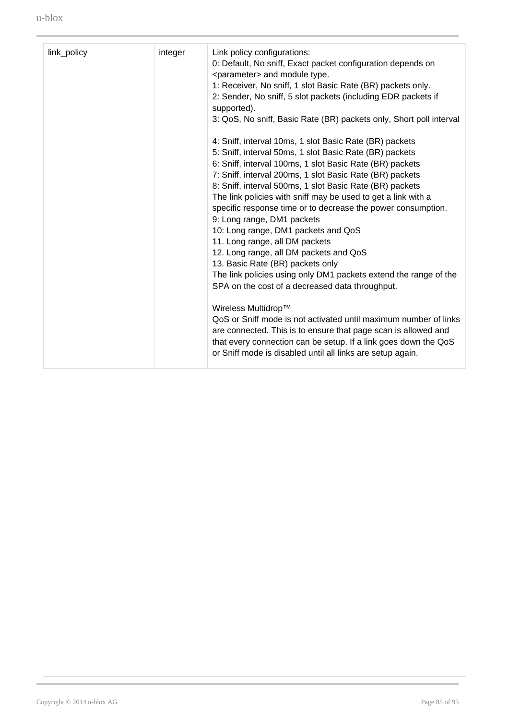| link_policy<br>integer<br>Link policy configurations:<br>0: Default, No sniff, Exact packet configuration depends on<br><parameter> and module type.<br/>1: Receiver, No sniff, 1 slot Basic Rate (BR) packets only.<br/>2: Sender, No sniff, 5 slot packets (including EDR packets if<br/>supported).<br/>3: QoS, No sniff, Basic Rate (BR) packets only, Short poll interval<br/>4: Sniff, interval 10ms, 1 slot Basic Rate (BR) packets<br/>5: Sniff, interval 50ms, 1 slot Basic Rate (BR) packets<br/>6: Sniff, interval 100ms, 1 slot Basic Rate (BR) packets<br/>7: Sniff, interval 200ms, 1 slot Basic Rate (BR) packets<br/>8: Sniff, interval 500ms, 1 slot Basic Rate (BR) packets<br/>The link policies with sniff may be used to get a link with a<br/>specific response time or to decrease the power consumption.<br/>9: Long range, DM1 packets<br/>10: Long range, DM1 packets and QoS<br/>11. Long range, all DM packets<br/>12. Long range, all DM packets and QoS<br/>13. Basic Rate (BR) packets only<br/>The link policies using only DM1 packets extend the range of the<br/>SPA on the cost of a decreased data throughput.<br/>Wireless Multidrop™<br/>QoS or Sniff mode is not activated until maximum number of links<br/>are connected. This is to ensure that page scan is allowed and<br/>that every connection can be setup. If a link goes down the QoS<br/>or Sniff mode is disabled until all links are setup again.</parameter> |  |  |
|--------------------------------------------------------------------------------------------------------------------------------------------------------------------------------------------------------------------------------------------------------------------------------------------------------------------------------------------------------------------------------------------------------------------------------------------------------------------------------------------------------------------------------------------------------------------------------------------------------------------------------------------------------------------------------------------------------------------------------------------------------------------------------------------------------------------------------------------------------------------------------------------------------------------------------------------------------------------------------------------------------------------------------------------------------------------------------------------------------------------------------------------------------------------------------------------------------------------------------------------------------------------------------------------------------------------------------------------------------------------------------------------------------------------------------------------------------------------|--|--|
|                                                                                                                                                                                                                                                                                                                                                                                                                                                                                                                                                                                                                                                                                                                                                                                                                                                                                                                                                                                                                                                                                                                                                                                                                                                                                                                                                                                                                                                                    |  |  |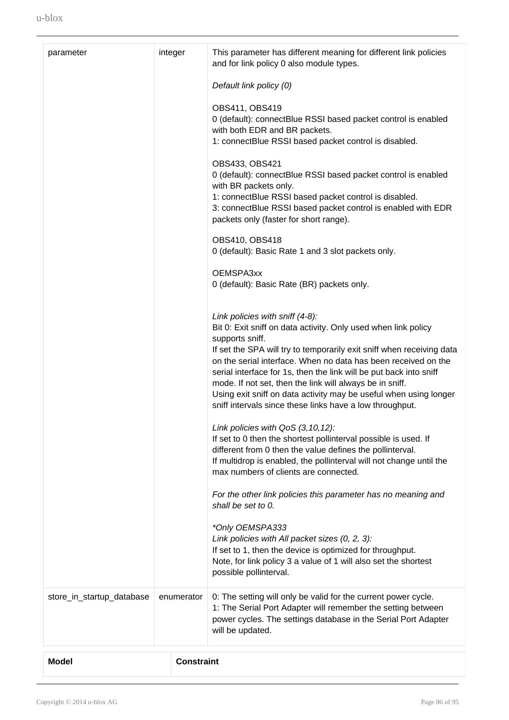| parameter                 | integer           | This parameter has different meaning for different link policies<br>and for link policy 0 also module types.<br>Default link policy (0)<br>OBS411, OBS419<br>0 (default): connectBlue RSSI based packet control is enabled<br>with both EDR and BR packets.<br>1: connectBlue RSSI based packet control is disabled.<br>OBS433, OBS421<br>0 (default): connectBlue RSSI based packet control is enabled<br>with BR packets only.<br>1: connectBlue RSSI based packet control is disabled.<br>3: connectBlue RSSI based packet control is enabled with EDR<br>packets only (faster for short range).<br>OBS410, OBS418<br>0 (default): Basic Rate 1 and 3 slot packets only.<br>OEMSPA3xx<br>0 (default): Basic Rate (BR) packets only.<br>Link policies with sniff (4-8):<br>Bit 0: Exit sniff on data activity. Only used when link policy<br>supports sniff.<br>If set the SPA will try to temporarily exit sniff when receiving data<br>on the serial interface. When no data has been received on the<br>serial interface for 1s, then the link will be put back into sniff<br>mode. If not set, then the link will always be in sniff.<br>Using exit sniff on data activity may be useful when using longer<br>sniff intervals since these links have a low throughput.<br>Link policies with QoS (3,10,12):<br>If set to 0 then the shortest pollinterval possible is used. If<br>different from 0 then the value defines the pollinterval.<br>If multidrop is enabled, the pollinterval will not change until the<br>max numbers of clients are connected.<br>For the other link policies this parameter has no meaning and<br>shall be set to $0$ .<br>*Only OEMSPA333<br>Link policies with All packet sizes (0, 2, 3):<br>If set to 1, then the device is optimized for throughput.<br>Note, for link policy 3 a value of 1 will also set the shortest |
|---------------------------|-------------------|------------------------------------------------------------------------------------------------------------------------------------------------------------------------------------------------------------------------------------------------------------------------------------------------------------------------------------------------------------------------------------------------------------------------------------------------------------------------------------------------------------------------------------------------------------------------------------------------------------------------------------------------------------------------------------------------------------------------------------------------------------------------------------------------------------------------------------------------------------------------------------------------------------------------------------------------------------------------------------------------------------------------------------------------------------------------------------------------------------------------------------------------------------------------------------------------------------------------------------------------------------------------------------------------------------------------------------------------------------------------------------------------------------------------------------------------------------------------------------------------------------------------------------------------------------------------------------------------------------------------------------------------------------------------------------------------------------------------------------------------------------------------------------------------------------------------------------------------------------------|
|                           |                   | possible pollinterval.                                                                                                                                                                                                                                                                                                                                                                                                                                                                                                                                                                                                                                                                                                                                                                                                                                                                                                                                                                                                                                                                                                                                                                                                                                                                                                                                                                                                                                                                                                                                                                                                                                                                                                                                                                                                                                           |
| store_in_startup_database | enumerator        | 0: The setting will only be valid for the current power cycle.<br>1: The Serial Port Adapter will remember the setting between<br>power cycles. The settings database in the Serial Port Adapter<br>will be updated.                                                                                                                                                                                                                                                                                                                                                                                                                                                                                                                                                                                                                                                                                                                                                                                                                                                                                                                                                                                                                                                                                                                                                                                                                                                                                                                                                                                                                                                                                                                                                                                                                                             |
| <b>Model</b>              | <b>Constraint</b> |                                                                                                                                                                                                                                                                                                                                                                                                                                                                                                                                                                                                                                                                                                                                                                                                                                                                                                                                                                                                                                                                                                                                                                                                                                                                                                                                                                                                                                                                                                                                                                                                                                                                                                                                                                                                                                                                  |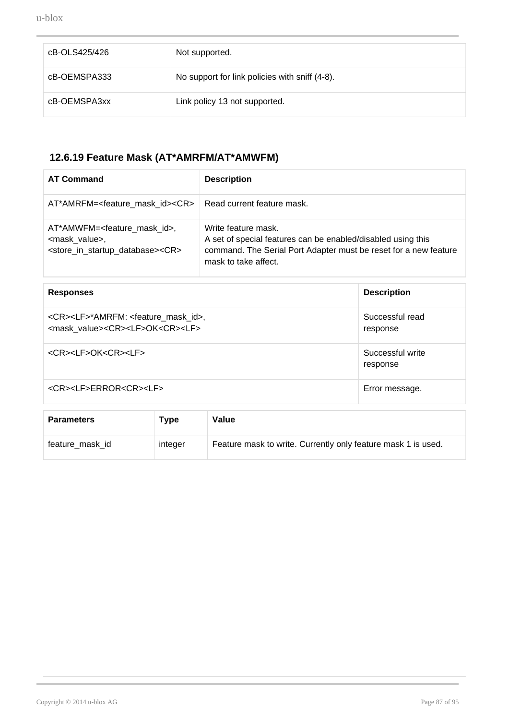| cB-OLS425/426 | Not supported.                                 |
|---------------|------------------------------------------------|
| cB-OEMSPA333  | No support for link policies with sniff (4-8). |
| cB-OEMSPA3xx  | Link policy 13 not supported.                  |

# **12.6.19 Feature Mask (AT\*AMRFM/AT\*AMWFM)**

| <b>AT Command</b>                                                                                                                             | <b>Description</b>                                                                                                                                                              |
|-----------------------------------------------------------------------------------------------------------------------------------------------|---------------------------------------------------------------------------------------------------------------------------------------------------------------------------------|
| AT*AMRFM= <feature_mask_id><cr></cr></feature_mask_id>                                                                                        | Read current feature mask.                                                                                                                                                      |
| AT*AMWFM= <feature id="" mask="">,<br/><mask value="">,<br/><store_in_startup_database><cr></cr></store_in_startup_database></mask></feature> | Write feature mask.<br>A set of special features can be enabled/disabled using this<br>command. The Serial Port Adapter must be reset for a new feature<br>mask to take affect. |

| <b>Responses</b>                                                                                                                | <b>Description</b>           |
|---------------------------------------------------------------------------------------------------------------------------------|------------------------------|
| <cr><lf>*AMRFM: <feature_mask_id>,<br/><mask value=""><cr><lf>OK<cr><lf></lf></cr></lf></cr></mask></feature_mask_id></lf></cr> | Successful read<br>response  |
| <cr><lf>OK<cr><lf></lf></cr></lf></cr>                                                                                          | Successful write<br>response |
| <cr><lf>ERROR<cr><lf></lf></cr></lf></cr>                                                                                       | Error message.               |

| <b>Parameters</b> | Type    | Value                                                         |
|-------------------|---------|---------------------------------------------------------------|
| feature_mask_id   | integer | Feature mask to write. Currently only feature mask 1 is used. |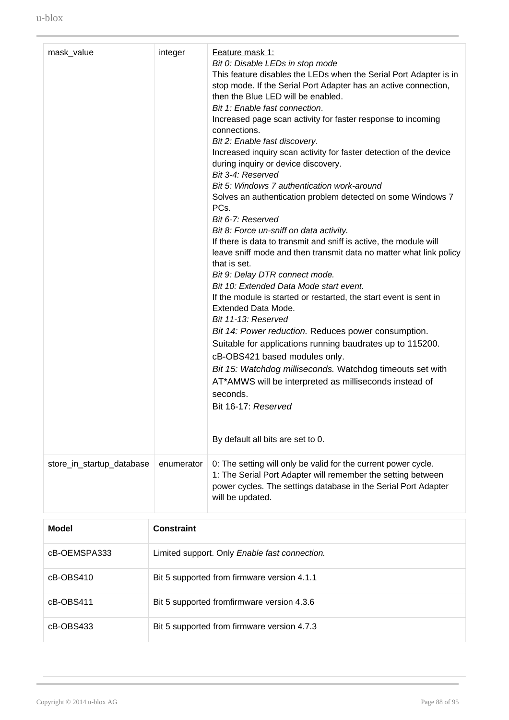| mask_value                | integer    | Feature mask 1:<br>Bit 0: Disable LEDs in stop mode<br>This feature disables the LEDs when the Serial Port Adapter is in<br>stop mode. If the Serial Port Adapter has an active connection,<br>then the Blue LED will be enabled.<br>Bit 1: Enable fast connection.<br>Increased page scan activity for faster response to incoming<br>connections.<br>Bit 2: Enable fast discovery.<br>Increased inquiry scan activity for faster detection of the device<br>during inquiry or device discovery.<br>Bit 3-4: Reserved<br>Bit 5: Windows 7 authentication work-around<br>Solves an authentication problem detected on some Windows 7<br>PCs.<br>Bit 6-7: Reserved<br>Bit 8: Force un-sniff on data activity.<br>If there is data to transmit and sniff is active, the module will<br>leave sniff mode and then transmit data no matter what link policy<br>that is set.<br>Bit 9: Delay DTR connect mode.<br>Bit 10: Extended Data Mode start event.<br>If the module is started or restarted, the start event is sent in<br>Extended Data Mode.<br>Bit 11-13: Reserved<br>Bit 14: Power reduction. Reduces power consumption.<br>Suitable for applications running baudrates up to 115200.<br>cB-OBS421 based modules only.<br>Bit 15: Watchdog milliseconds. Watchdog timeouts set with<br>AT*AMWS will be interpreted as milliseconds instead of<br>seconds.<br>Bit 16-17: Reserved<br>By default all bits are set to 0. |
|---------------------------|------------|-----------------------------------------------------------------------------------------------------------------------------------------------------------------------------------------------------------------------------------------------------------------------------------------------------------------------------------------------------------------------------------------------------------------------------------------------------------------------------------------------------------------------------------------------------------------------------------------------------------------------------------------------------------------------------------------------------------------------------------------------------------------------------------------------------------------------------------------------------------------------------------------------------------------------------------------------------------------------------------------------------------------------------------------------------------------------------------------------------------------------------------------------------------------------------------------------------------------------------------------------------------------------------------------------------------------------------------------------------------------------------------------------------------------------------|
| store_in_startup_database | enumerator | 0: The setting will only be valid for the current power cycle.<br>1: The Serial Port Adapter will remember the setting between<br>power cycles. The settings database in the Serial Port Adapter<br>will be updated.                                                                                                                                                                                                                                                                                                                                                                                                                                                                                                                                                                                                                                                                                                                                                                                                                                                                                                                                                                                                                                                                                                                                                                                                        |
|                           |            |                                                                                                                                                                                                                                                                                                                                                                                                                                                                                                                                                                                                                                                                                                                                                                                                                                                                                                                                                                                                                                                                                                                                                                                                                                                                                                                                                                                                                             |

| Model        | <b>Constraint</b>                             |
|--------------|-----------------------------------------------|
| cB-OEMSPA333 | Limited support. Only Enable fast connection. |
| cB-OBS410    | Bit 5 supported from firmware version 4.1.1   |
| cB-OBS411    | Bit 5 supported fromfirmware version 4.3.6    |
| cB-OBS433    | Bit 5 supported from firmware version 4.7.3   |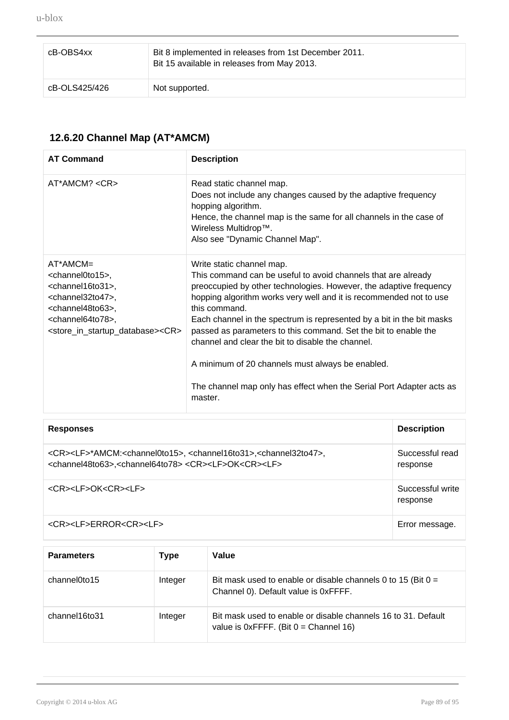| cB-OBS4xx     | Bit 8 implemented in releases from 1st December 2011.<br>Bit 15 available in releases from May 2013. |
|---------------|------------------------------------------------------------------------------------------------------|
| cB-OLS425/426 | Not supported.                                                                                       |

# **12.6.20 Channel Map (AT\*AMCM)**

| <b>AT Command</b>                                                                                                                                                                                                                                                      | <b>Description</b>                                                                                                                                                                                                                                                                                                                                                                                                                                                                                                                                                                              |
|------------------------------------------------------------------------------------------------------------------------------------------------------------------------------------------------------------------------------------------------------------------------|-------------------------------------------------------------------------------------------------------------------------------------------------------------------------------------------------------------------------------------------------------------------------------------------------------------------------------------------------------------------------------------------------------------------------------------------------------------------------------------------------------------------------------------------------------------------------------------------------|
| $AT^*AMCM? < CR$                                                                                                                                                                                                                                                       | Read static channel map.<br>Does not include any changes caused by the adaptive frequency<br>hopping algorithm.<br>Hence, the channel map is the same for all channels in the case of<br>Wireless Multidrop™.<br>Also see "Dynamic Channel Map".                                                                                                                                                                                                                                                                                                                                                |
| $AT^*AMCM=$<br><channel0to15>,<br/><channel16to31>,<br/><channel32to47>,<br/><channel48to63>,<br/><channel64to78>,<br/><store_in_startup_database><cr></cr></store_in_startup_database></channel64to78></channel48to63></channel32to47></channel16to31></channel0to15> | Write static channel map.<br>This command can be useful to avoid channels that are already<br>preoccupied by other technologies. However, the adaptive frequency<br>hopping algorithm works very well and it is recommended not to use<br>this command.<br>Each channel in the spectrum is represented by a bit in the bit masks<br>passed as parameters to this command. Set the bit to enable the<br>channel and clear the bit to disable the channel.<br>A minimum of 20 channels must always be enabled.<br>The channel map only has effect when the Serial Port Adapter acts as<br>master. |

| <b>Responses</b>                                                                                                                                                                                                                  | <b>Description</b>           |
|-----------------------------------------------------------------------------------------------------------------------------------------------------------------------------------------------------------------------------------|------------------------------|
| <cr><lf>*AMCM:<channel0to15>, <channel16to31>,<channel32to47>,<br/><channel48to63>,<channel64to78><cr><lf>OK<cr><lf></lf></cr></lf></cr></channel64to78></channel48to63></channel32to47></channel16to31></channel0to15></lf></cr> | Successful read<br>response  |
| <cr><lf>OK<cr><lf></lf></cr></lf></cr>                                                                                                                                                                                            | Successful write<br>response |
| <cr><lf>ERROR<cr><lf></lf></cr></lf></cr>                                                                                                                                                                                         | Error message.               |

| <b>Parameters</b> | Type    | Value                                                                                                       |
|-------------------|---------|-------------------------------------------------------------------------------------------------------------|
| channel0to15      | Integer | Bit mask used to enable or disable channels 0 to 15 (Bit $0 =$<br>Channel 0). Default value is 0xFFFF.      |
| channel16to31     | Integer | Bit mask used to enable or disable channels 16 to 31. Default<br>value is $0x$ FFFF. (Bit $0 =$ Channel 16) |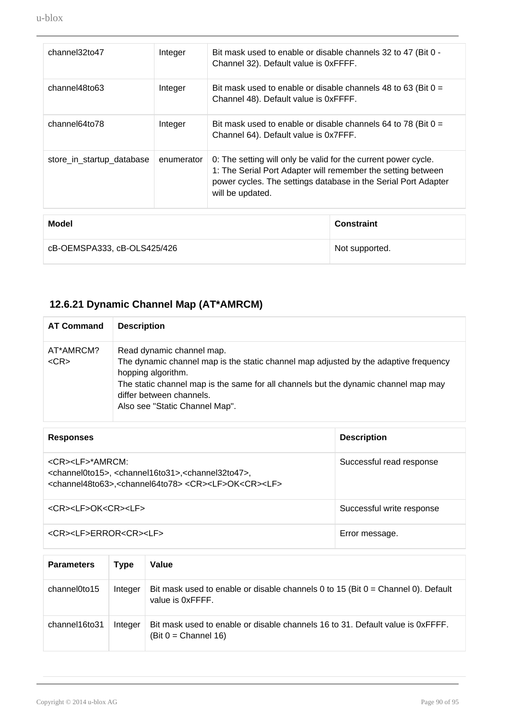| Model                     |            | Constraint                                                                                                                                                                                                           |  |
|---------------------------|------------|----------------------------------------------------------------------------------------------------------------------------------------------------------------------------------------------------------------------|--|
| store_in_startup_database | enumerator | 0: The setting will only be valid for the current power cycle.<br>1: The Serial Port Adapter will remember the setting between<br>power cycles. The settings database in the Serial Port Adapter<br>will be updated. |  |
| channel64to78             | Integer    | Bit mask used to enable or disable channels 64 to 78 (Bit $0 =$<br>Channel 64). Default value is 0x7FFF.                                                                                                             |  |
| channel48to63             | Integer    | Bit mask used to enable or disable channels 48 to 63 (Bit $0 =$<br>Channel 48). Default value is 0xFFFF.                                                                                                             |  |
| channel32to47             | Integer    | Bit mask used to enable or disable channels 32 to 47 (Bit 0 -<br>Channel 32). Default value is 0xFFFF.                                                                                                               |  |

| Model                       | <b>Constraint</b> |
|-----------------------------|-------------------|
| cB-OEMSPA333, cB-OLS425/426 | Not supported.    |

## **12.6.21 Dynamic Channel Map (AT\*AMRCM)**

| <b>AT Command</b>       | <b>Description</b>                                                                                                                                                                                                                                                                           |
|-------------------------|----------------------------------------------------------------------------------------------------------------------------------------------------------------------------------------------------------------------------------------------------------------------------------------------|
| AT*AMRCM?<br>$<$ CR $>$ | Read dynamic channel map.<br>The dynamic channel map is the static channel map adjusted by the adaptive frequency<br>hopping algorithm.<br>The static channel map is the same for all channels but the dynamic channel map may<br>differ between channels.<br>Also see "Static Channel Map". |

| <b>Responses</b>                                                                                                                                                                                                                        | <b>Description</b>        |
|-----------------------------------------------------------------------------------------------------------------------------------------------------------------------------------------------------------------------------------------|---------------------------|
| <cr><lf>*AMRCM:<br/><channel0to15>, <channel16to31>,<channel32to47>,<br/><channel48to63>,<channel64to78><cr><lf>OK<cr><lf></lf></cr></lf></cr></channel64to78></channel48to63></channel32to47></channel16to31></channel0to15></lf></cr> | Successful read response  |
| <cr><lf>OK<cr><lf></lf></cr></lf></cr>                                                                                                                                                                                                  | Successful write response |
| <cr><lf>ERROR<cr><lf></lf></cr></lf></cr>                                                                                                                                                                                               | Error message.            |

| <b>Parameters</b> | Type    | Value                                                                                                    |
|-------------------|---------|----------------------------------------------------------------------------------------------------------|
| channel0to15      | Integer | Bit mask used to enable or disable channels 0 to 15 (Bit $0 =$ Channel 0). Default<br>value is 0xFFFF.   |
| channel16to31     | Integer | Bit mask used to enable or disable channels 16 to 31. Default value is 0xFFFF.<br>$(Bit 0 = Channel 16)$ |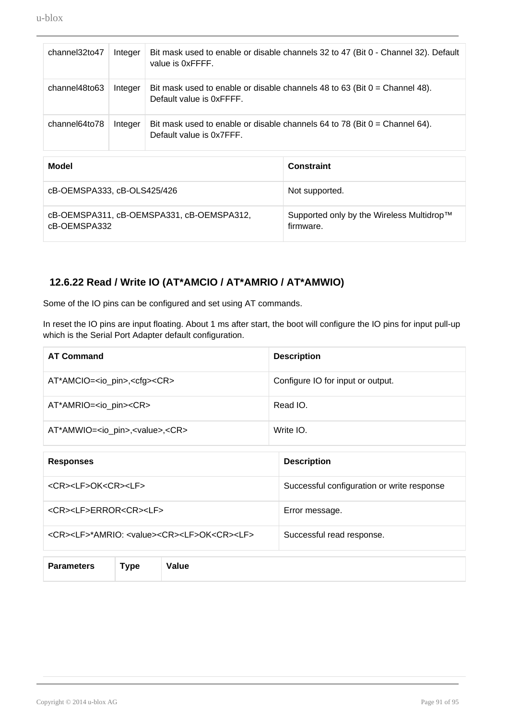| channel32to47 | Integer | Bit mask used to enable or disable channels 32 to 47 (Bit 0 - Channel 32). Default<br>value is 0xFFFF.   |
|---------------|---------|----------------------------------------------------------------------------------------------------------|
| channel48to63 | Integer | Bit mask used to enable or disable channels 48 to 63 (Bit $0 =$ Channel 48).<br>Default value is 0xFFFF. |
| channel64to78 | Integer | Bit mask used to enable or disable channels 64 to 78 (Bit $0 =$ Channel 64).<br>Default value is 0x7FFF. |

| Model                                                     | <b>Constraint</b>                                                  |
|-----------------------------------------------------------|--------------------------------------------------------------------|
| cB-OEMSPA333, cB-OLS425/426                               | Not supported.                                                     |
| cB-OEMSPA311, cB-OEMSPA331, cB-OEMSPA312,<br>cB-OEMSPA332 | Supported only by the Wireless Multidrop <sup>™</sup><br>firmware. |

#### **12.6.22 Read / Write IO (AT\*AMCIO / AT\*AMRIO / AT\*AMWIO)**

Some of the IO pins can be configured and set using AT commands.

In reset the IO pins are input floating. About 1 ms after start, the boot will configure the IO pins for input pull-up which is the Serial Port Adapter default configuration.

| <b>AT Command</b>                                     | <b>Description</b>                |
|-------------------------------------------------------|-----------------------------------|
| AT*AMCIO= <io_pin>,<cfg><cr></cr></cfg></io_pin>      | Configure IO for input or output. |
| AT*AMRIO= <io_pin><cr></cr></io_pin>                  | Read IO.                          |
| AT*AMWIO= <io_pin>,<value>,<cr></cr></value></io_pin> | Write IO.                         |

| <b>Responses</b>                                                                | <b>Description</b>                         |
|---------------------------------------------------------------------------------|--------------------------------------------|
| <cr><lf>OK<cr><lf></lf></cr></lf></cr>                                          | Successful configuration or write response |
| <cr><lf>ERROR<cr><lf></lf></cr></lf></cr>                                       | Error message.                             |
| <cr><lf>*AMRIO: <value><cr><lf>OK<cr><lf></lf></cr></lf></cr></value></lf></cr> | Successful read response.                  |

| Parameters Type | Value |
|-----------------|-------|
|                 |       |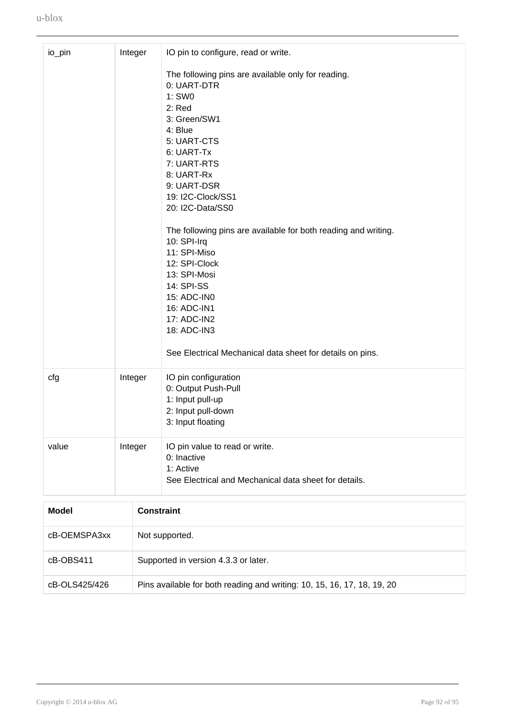| Integer<br>io_pin |  |                   | IO pin to configure, read or write.                                |  |  |
|-------------------|--|-------------------|--------------------------------------------------------------------|--|--|
|                   |  |                   | The following pins are available only for reading.                 |  |  |
|                   |  |                   | 0: UART-DTR                                                        |  |  |
|                   |  |                   | 1: SW0                                                             |  |  |
|                   |  |                   | $2:$ Red                                                           |  |  |
|                   |  |                   | 3: Green/SW1                                                       |  |  |
|                   |  |                   | 4: Blue<br>5: UART-CTS                                             |  |  |
|                   |  |                   | 6: UART-Tx                                                         |  |  |
|                   |  |                   | 7: UART-RTS                                                        |  |  |
|                   |  |                   | 8: UART-Rx                                                         |  |  |
|                   |  |                   | 9: UART-DSR                                                        |  |  |
|                   |  |                   | 19: I2C-Clock/SS1                                                  |  |  |
|                   |  |                   | 20: I2C-Data/SS0                                                   |  |  |
|                   |  |                   | The following pins are available for both reading and writing.     |  |  |
|                   |  |                   | 10: SPI-Irq                                                        |  |  |
|                   |  |                   | 11: SPI-Miso                                                       |  |  |
|                   |  |                   | 12: SPI-Clock                                                      |  |  |
|                   |  |                   | 13: SPI-Mosi<br>14: SPI-SS                                         |  |  |
|                   |  |                   | 15: ADC-IN0                                                        |  |  |
|                   |  |                   | 16: ADC-IN1                                                        |  |  |
|                   |  |                   | 17: ADC-IN2                                                        |  |  |
|                   |  |                   | 18: ADC-IN3                                                        |  |  |
|                   |  |                   | See Electrical Mechanical data sheet for details on pins.          |  |  |
| cfg               |  | Integer           | IO pin configuration                                               |  |  |
|                   |  |                   | 0: Output Push-Pull                                                |  |  |
|                   |  |                   | 1: Input pull-up                                                   |  |  |
|                   |  |                   | 2: Input pull-down<br>3: Input floating                            |  |  |
|                   |  |                   |                                                                    |  |  |
| value<br>Integer  |  |                   | IO pin value to read or write.                                     |  |  |
|                   |  |                   | 0: Inactive                                                        |  |  |
|                   |  |                   | 1: Active<br>See Electrical and Mechanical data sheet for details. |  |  |
|                   |  |                   |                                                                    |  |  |
| <b>Model</b>      |  | <b>Constraint</b> |                                                                    |  |  |
|                   |  |                   |                                                                    |  |  |
| CR-OFMSPA3vy      |  |                   | Not supported                                                      |  |  |

| cB-OEMSPA3xx  | Not supported.                                                          |
|---------------|-------------------------------------------------------------------------|
| cB-OBS411     | Supported in version 4.3.3 or later.                                    |
| cB-OLS425/426 | Pins available for both reading and writing: 10, 15, 16, 17, 18, 19, 20 |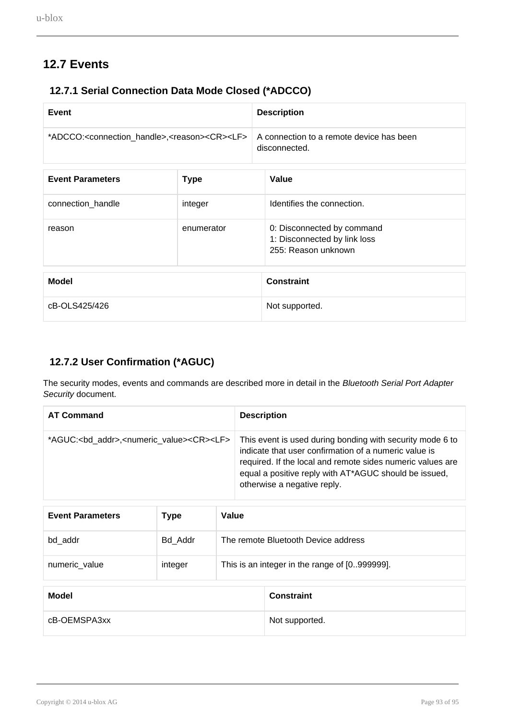# **12.7 Events**

### **12.7.1 Serial Connection Data Mode Closed (\*ADCCO)**

| Event                                                                               |             | <b>Description</b>                                                                |  |
|-------------------------------------------------------------------------------------|-------------|-----------------------------------------------------------------------------------|--|
| *ADCCO: <connection_handle>,<reason><cr><lf></lf></cr></reason></connection_handle> |             | A connection to a remote device has been<br>disconnected.                         |  |
| <b>Event Parameters</b>                                                             | <b>Type</b> | Value                                                                             |  |
| connection_handle                                                                   | integer     | Identifies the connection.                                                        |  |
| reason                                                                              | enumerator  | 0: Disconnected by command<br>1: Disconnected by link loss<br>255: Reason unknown |  |
| <b>Modol</b>                                                                        |             | Conctraint                                                                        |  |

| <b>Model</b>  | <b>Constraint</b> |
|---------------|-------------------|
| cB-OLS425/426 | Not supported.    |

### **12.7.2 User Confirmation (\*AGUC)**

The security modes, events and commands are described more in detail in the Bluetooth Serial Port Adapter Security document.

| <b>AT Command</b>                                                            | <b>Description</b>                                                                                                                                                                                                                                                       |
|------------------------------------------------------------------------------|--------------------------------------------------------------------------------------------------------------------------------------------------------------------------------------------------------------------------------------------------------------------------|
| *AGUC: <bd_addr>,<numeric_value><cr><lf></lf></cr></numeric_value></bd_addr> | This event is used during bonding with security mode 6 to<br>indicate that user confirmation of a numeric value is<br>required. If the local and remote sides numeric values are<br>equal a positive reply with AT*AGUC should be issued,<br>otherwise a negative reply. |

| <b>Event Parameters</b> | Type    | Value |                                               |
|-------------------------|---------|-------|-----------------------------------------------|
| bd addr                 | Bd Addr |       | The remote Bluetooth Device address           |
| numeric_value           | integer |       | This is an integer in the range of [0999999]. |
| <b>Model</b>            |         |       | <b>Constraint</b>                             |

| cB-OEMSPA3xx | Not supported. |
|--------------|----------------|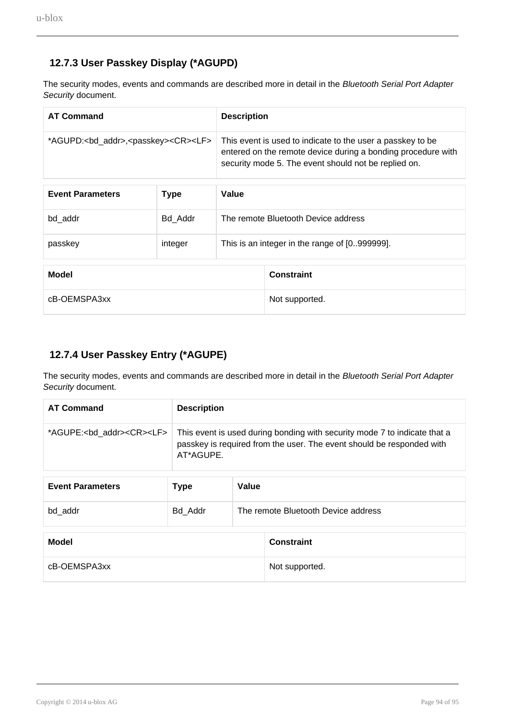### **12.7.3 User Passkey Display (\*AGUPD)**

The security modes, events and commands are described more in detail in the Bluetooth Serial Port Adapter Security document.

| <b>AT Command</b>                                                 |         | <b>Description</b>                                                                                                                                                                 |  |
|-------------------------------------------------------------------|---------|------------------------------------------------------------------------------------------------------------------------------------------------------------------------------------|--|
| *AGUPD: <bd_addr>,<passkey><cr><lf></lf></cr></passkey></bd_addr> |         | This event is used to indicate to the user a passkey to be<br>entered on the remote device during a bonding procedure with<br>security mode 5. The event should not be replied on. |  |
|                                                                   |         |                                                                                                                                                                                    |  |
| <b>Event Parameters</b>                                           | Type    | Value                                                                                                                                                                              |  |
| bd addr                                                           | Bd Addr | The remote Bluetooth Device address                                                                                                                                                |  |

| passkey      | integer | This is an integer in the range of [0999999]. |
|--------------|---------|-----------------------------------------------|
| Model        |         | <b>Constraint</b>                             |
| cB-OEMSPA3xx |         | Not supported.                                |

#### **12.7.4 User Passkey Entry (\*AGUPE)**

The security modes, events and commands are described more in detail in the Bluetooth Serial Port Adapter Security document.

| <b>AT Command</b> | <b>Description</b>                                                                                                                                                                                              |
|-------------------|-----------------------------------------------------------------------------------------------------------------------------------------------------------------------------------------------------------------|
|                   | *AGUPE: <bd_addr><cr><lf> This event is used during bonding with security mode 7 to indicate that a<br/>passkey is required from the user. The event should be responded with<br/>AT*AGUPE.</lf></cr></bd_addr> |

| <b>Event Parameters</b> | <b>Type</b> | Value                               |
|-------------------------|-------------|-------------------------------------|
| bd addr                 | Bd Addr     | The remote Bluetooth Device address |

| Model        | Constraint     |
|--------------|----------------|
| cB-OEMSPA3xx | Not supported. |